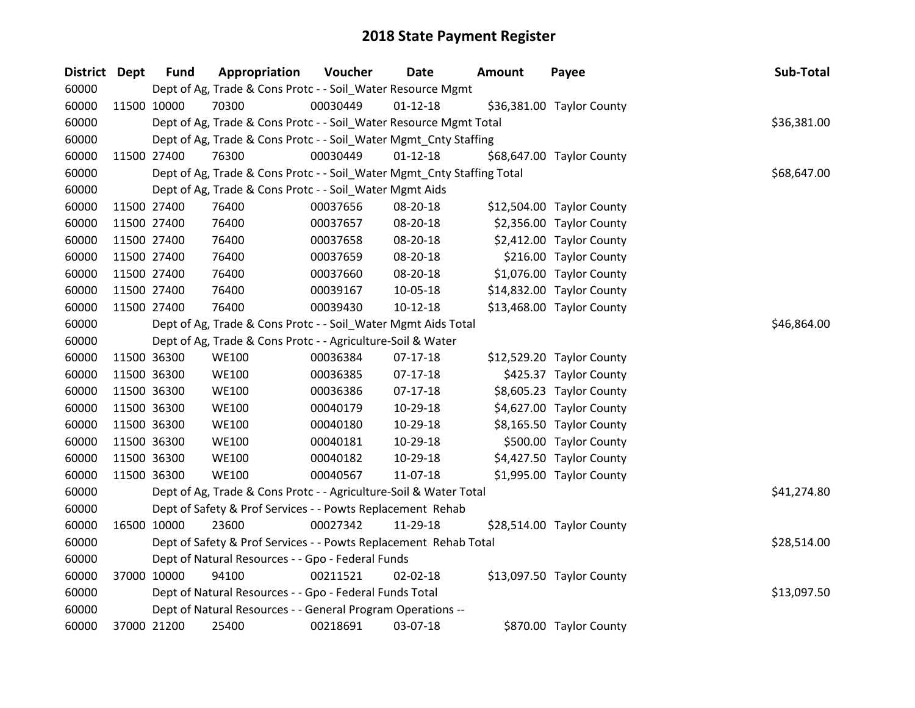| District Dept | <b>Fund</b> | Appropriation                                                          | Voucher  | Date           | <b>Amount</b> | Payee                     | Sub-Total   |
|---------------|-------------|------------------------------------------------------------------------|----------|----------------|---------------|---------------------------|-------------|
| 60000         |             | Dept of Ag, Trade & Cons Protc - - Soil_Water Resource Mgmt            |          |                |               |                           |             |
| 60000         | 11500 10000 | 70300                                                                  | 00030449 | $01 - 12 - 18$ |               | \$36,381.00 Taylor County |             |
| 60000         |             | Dept of Ag, Trade & Cons Protc - - Soil_Water Resource Mgmt Total      |          |                |               |                           | \$36,381.00 |
| 60000         |             | Dept of Ag, Trade & Cons Protc - - Soil_Water Mgmt_Cnty Staffing       |          |                |               |                           |             |
| 60000         | 11500 27400 | 76300                                                                  | 00030449 | $01 - 12 - 18$ |               | \$68,647.00 Taylor County |             |
| 60000         |             | Dept of Ag, Trade & Cons Protc - - Soil_Water Mgmt_Cnty Staffing Total |          |                |               |                           | \$68,647.00 |
| 60000         |             | Dept of Ag, Trade & Cons Protc - - Soil_Water Mgmt Aids                |          |                |               |                           |             |
| 60000         | 11500 27400 | 76400                                                                  | 00037656 | 08-20-18       |               | \$12,504.00 Taylor County |             |
| 60000         | 11500 27400 | 76400                                                                  | 00037657 | 08-20-18       |               | \$2,356.00 Taylor County  |             |
| 60000         | 11500 27400 | 76400                                                                  | 00037658 | 08-20-18       |               | \$2,412.00 Taylor County  |             |
| 60000         | 11500 27400 | 76400                                                                  | 00037659 | 08-20-18       |               | \$216.00 Taylor County    |             |
| 60000         | 11500 27400 | 76400                                                                  | 00037660 | 08-20-18       |               | \$1,076.00 Taylor County  |             |
| 60000         | 11500 27400 | 76400                                                                  | 00039167 | 10-05-18       |               | \$14,832.00 Taylor County |             |
| 60000         | 11500 27400 | 76400                                                                  | 00039430 | $10-12-18$     |               | \$13,468.00 Taylor County |             |
| 60000         |             | Dept of Ag, Trade & Cons Protc - - Soil_Water Mgmt Aids Total          |          |                |               |                           | \$46,864.00 |
| 60000         |             | Dept of Ag, Trade & Cons Protc - - Agriculture-Soil & Water            |          |                |               |                           |             |
| 60000         | 11500 36300 | <b>WE100</b>                                                           | 00036384 | $07-17-18$     |               | \$12,529.20 Taylor County |             |
| 60000         | 11500 36300 | <b>WE100</b>                                                           | 00036385 | $07-17-18$     |               | \$425.37 Taylor County    |             |
| 60000         | 11500 36300 | <b>WE100</b>                                                           | 00036386 | 07-17-18       |               | \$8,605.23 Taylor County  |             |
| 60000         | 11500 36300 | <b>WE100</b>                                                           | 00040179 | 10-29-18       |               | \$4,627.00 Taylor County  |             |
| 60000         | 11500 36300 | <b>WE100</b>                                                           | 00040180 | 10-29-18       |               | \$8,165.50 Taylor County  |             |
| 60000         | 11500 36300 | <b>WE100</b>                                                           | 00040181 | 10-29-18       |               | \$500.00 Taylor County    |             |
| 60000         | 11500 36300 | <b>WE100</b>                                                           | 00040182 | 10-29-18       |               | \$4,427.50 Taylor County  |             |
| 60000         | 11500 36300 | <b>WE100</b>                                                           | 00040567 | 11-07-18       |               | \$1,995.00 Taylor County  |             |
| 60000         |             | Dept of Ag, Trade & Cons Protc - - Agriculture-Soil & Water Total      |          |                |               |                           | \$41,274.80 |
| 60000         |             | Dept of Safety & Prof Services - - Powts Replacement Rehab             |          |                |               |                           |             |
| 60000         | 16500 10000 | 23600                                                                  | 00027342 | 11-29-18       |               | \$28,514.00 Taylor County |             |
| 60000         |             | Dept of Safety & Prof Services - - Powts Replacement Rehab Total       |          |                |               |                           | \$28,514.00 |
| 60000         |             | Dept of Natural Resources - - Gpo - Federal Funds                      |          |                |               |                           |             |
| 60000         | 37000 10000 | 94100                                                                  | 00211521 | 02-02-18       |               | \$13,097.50 Taylor County |             |
| 60000         |             | Dept of Natural Resources - - Gpo - Federal Funds Total                |          |                |               |                           | \$13,097.50 |
| 60000         |             | Dept of Natural Resources - - General Program Operations --            |          |                |               |                           |             |
| 60000         | 37000 21200 | 25400                                                                  | 00218691 | 03-07-18       |               | \$870.00 Taylor County    |             |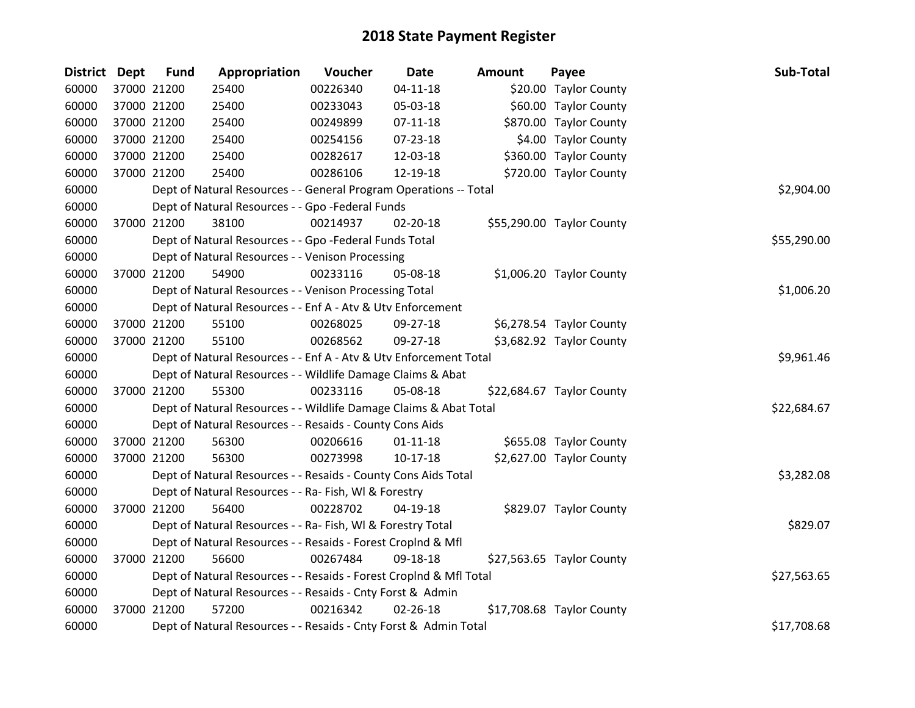| <b>District</b> | <b>Dept</b> | <b>Fund</b> | Appropriation                                                      | Voucher  | <b>Date</b>    | <b>Amount</b> | Payee                     | Sub-Total   |
|-----------------|-------------|-------------|--------------------------------------------------------------------|----------|----------------|---------------|---------------------------|-------------|
| 60000           |             | 37000 21200 | 25400                                                              | 00226340 | $04 - 11 - 18$ |               | \$20.00 Taylor County     |             |
| 60000           |             | 37000 21200 | 25400                                                              | 00233043 | 05-03-18       |               | \$60.00 Taylor County     |             |
| 60000           |             | 37000 21200 | 25400                                                              | 00249899 | $07-11-18$     |               | \$870.00 Taylor County    |             |
| 60000           |             | 37000 21200 | 25400                                                              | 00254156 | 07-23-18       |               | \$4.00 Taylor County      |             |
| 60000           |             | 37000 21200 | 25400                                                              | 00282617 | 12-03-18       |               | \$360.00 Taylor County    |             |
| 60000           |             | 37000 21200 | 25400                                                              | 00286106 | 12-19-18       |               | \$720.00 Taylor County    |             |
| 60000           |             |             | Dept of Natural Resources - - General Program Operations -- Total  |          |                |               |                           | \$2,904.00  |
| 60000           |             |             | Dept of Natural Resources - - Gpo -Federal Funds                   |          |                |               |                           |             |
| 60000           |             | 37000 21200 | 38100                                                              | 00214937 | 02-20-18       |               | \$55,290.00 Taylor County |             |
| 60000           |             |             | Dept of Natural Resources - - Gpo -Federal Funds Total             |          |                |               |                           | \$55,290.00 |
| 60000           |             |             | Dept of Natural Resources - - Venison Processing                   |          |                |               |                           |             |
| 60000           |             | 37000 21200 | 54900                                                              | 00233116 | 05-08-18       |               | \$1,006.20 Taylor County  |             |
| 60000           |             |             | Dept of Natural Resources - - Venison Processing Total             |          |                |               |                           | \$1,006.20  |
| 60000           |             |             | Dept of Natural Resources - - Enf A - Atv & Utv Enforcement        |          |                |               |                           |             |
| 60000           |             | 37000 21200 | 55100                                                              | 00268025 | 09-27-18       |               | \$6,278.54 Taylor County  |             |
| 60000           |             | 37000 21200 | 55100                                                              | 00268562 | 09-27-18       |               | \$3,682.92 Taylor County  |             |
| 60000           |             |             | Dept of Natural Resources - - Enf A - Atv & Utv Enforcement Total  |          |                |               |                           | \$9,961.46  |
| 60000           |             |             | Dept of Natural Resources - - Wildlife Damage Claims & Abat        |          |                |               |                           |             |
| 60000           |             | 37000 21200 | 55300                                                              | 00233116 | 05-08-18       |               | \$22,684.67 Taylor County |             |
| 60000           |             |             | Dept of Natural Resources - - Wildlife Damage Claims & Abat Total  |          |                |               |                           | \$22,684.67 |
| 60000           |             |             | Dept of Natural Resources - - Resaids - County Cons Aids           |          |                |               |                           |             |
| 60000           |             | 37000 21200 | 56300                                                              | 00206616 | $01 - 11 - 18$ |               | \$655.08 Taylor County    |             |
| 60000           |             | 37000 21200 | 56300                                                              | 00273998 | $10-17-18$     |               | \$2,627.00 Taylor County  |             |
| 60000           |             |             | Dept of Natural Resources - - Resaids - County Cons Aids Total     |          |                |               |                           | \$3,282.08  |
| 60000           |             |             | Dept of Natural Resources - - Ra- Fish, WI & Forestry              |          |                |               |                           |             |
| 60000           |             | 37000 21200 | 56400                                                              | 00228702 | 04-19-18       |               | \$829.07 Taylor County    |             |
| 60000           |             |             | Dept of Natural Resources - - Ra- Fish, WI & Forestry Total        |          |                |               |                           | \$829.07    |
| 60000           |             |             | Dept of Natural Resources - - Resaids - Forest CropInd & Mfl       |          |                |               |                           |             |
| 60000           |             | 37000 21200 | 56600                                                              | 00267484 | 09-18-18       |               | \$27,563.65 Taylor County |             |
| 60000           |             |             | Dept of Natural Resources - - Resaids - Forest CropInd & Mfl Total |          |                |               |                           | \$27,563.65 |
| 60000           |             |             | Dept of Natural Resources - - Resaids - Cnty Forst & Admin         |          |                |               |                           |             |
| 60000           |             | 37000 21200 | 57200                                                              | 00216342 | $02 - 26 - 18$ |               | \$17,708.68 Taylor County |             |
| 60000           |             |             | Dept of Natural Resources - - Resaids - Cnty Forst & Admin Total   |          |                |               |                           | \$17,708.68 |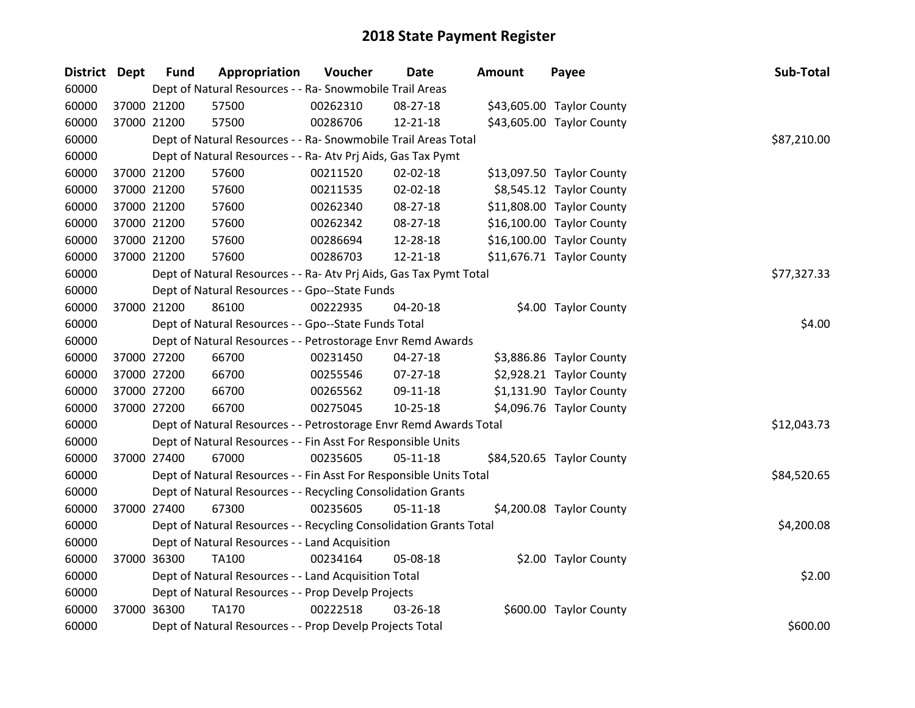| District Dept | <b>Fund</b> | Appropriation                                                      | Voucher  | Date           | <b>Amount</b> | Payee                     | Sub-Total   |
|---------------|-------------|--------------------------------------------------------------------|----------|----------------|---------------|---------------------------|-------------|
| 60000         |             | Dept of Natural Resources - - Ra- Snowmobile Trail Areas           |          |                |               |                           |             |
| 60000         | 37000 21200 | 57500                                                              | 00262310 | 08-27-18       |               | \$43,605.00 Taylor County |             |
| 60000         | 37000 21200 | 57500                                                              | 00286706 | 12-21-18       |               | \$43,605.00 Taylor County |             |
| 60000         |             | Dept of Natural Resources - - Ra- Snowmobile Trail Areas Total     |          |                |               |                           | \$87,210.00 |
| 60000         |             | Dept of Natural Resources - - Ra- Atv Prj Aids, Gas Tax Pymt       |          |                |               |                           |             |
| 60000         | 37000 21200 | 57600                                                              | 00211520 | 02-02-18       |               | \$13,097.50 Taylor County |             |
| 60000         | 37000 21200 | 57600                                                              | 00211535 | 02-02-18       |               | \$8,545.12 Taylor County  |             |
| 60000         | 37000 21200 | 57600                                                              | 00262340 | 08-27-18       |               | \$11,808.00 Taylor County |             |
| 60000         | 37000 21200 | 57600                                                              | 00262342 | 08-27-18       |               | \$16,100.00 Taylor County |             |
| 60000         | 37000 21200 | 57600                                                              | 00286694 | 12-28-18       |               | \$16,100.00 Taylor County |             |
| 60000         | 37000 21200 | 57600                                                              | 00286703 | 12-21-18       |               | \$11,676.71 Taylor County |             |
| 60000         |             | Dept of Natural Resources - - Ra- Atv Prj Aids, Gas Tax Pymt Total |          |                |               |                           | \$77,327.33 |
| 60000         |             | Dept of Natural Resources - - Gpo--State Funds                     |          |                |               |                           |             |
| 60000         | 37000 21200 | 86100                                                              | 00222935 | 04-20-18       |               | \$4.00 Taylor County      |             |
| 60000         |             | Dept of Natural Resources - - Gpo--State Funds Total               | \$4.00   |                |               |                           |             |
| 60000         |             | Dept of Natural Resources - - Petrostorage Envr Remd Awards        |          |                |               |                           |             |
| 60000         | 37000 27200 | 66700                                                              | 00231450 | $04 - 27 - 18$ |               | \$3,886.86 Taylor County  |             |
| 60000         | 37000 27200 | 66700                                                              | 00255546 | 07-27-18       |               | \$2,928.21 Taylor County  |             |
| 60000         | 37000 27200 | 66700                                                              | 00265562 | 09-11-18       |               | \$1,131.90 Taylor County  |             |
| 60000         | 37000 27200 | 66700                                                              | 00275045 | $10 - 25 - 18$ |               | \$4,096.76 Taylor County  |             |
| 60000         |             | Dept of Natural Resources - - Petrostorage Envr Remd Awards Total  |          |                |               |                           | \$12,043.73 |
| 60000         |             | Dept of Natural Resources - - Fin Asst For Responsible Units       |          |                |               |                           |             |
| 60000         | 37000 27400 | 67000                                                              | 00235605 | $05 - 11 - 18$ |               | \$84,520.65 Taylor County |             |
| 60000         |             | Dept of Natural Resources - - Fin Asst For Responsible Units Total |          |                |               |                           | \$84,520.65 |
| 60000         |             | Dept of Natural Resources - - Recycling Consolidation Grants       |          |                |               |                           |             |
| 60000         | 37000 27400 | 67300                                                              | 00235605 | $05 - 11 - 18$ |               | \$4,200.08 Taylor County  |             |
| 60000         |             | Dept of Natural Resources - - Recycling Consolidation Grants Total |          |                |               |                           | \$4,200.08  |
| 60000         |             | Dept of Natural Resources - - Land Acquisition                     |          |                |               |                           |             |
| 60000         | 37000 36300 | TA100                                                              | 00234164 | 05-08-18       |               | \$2.00 Taylor County      |             |
| 60000         |             | Dept of Natural Resources - - Land Acquisition Total               |          |                |               |                           | \$2.00      |
| 60000         |             | Dept of Natural Resources - - Prop Develp Projects                 |          |                |               |                           |             |
| 60000         | 37000 36300 | <b>TA170</b>                                                       | 00222518 | 03-26-18       |               | \$600.00 Taylor County    |             |
| 60000         |             | Dept of Natural Resources - - Prop Develp Projects Total           |          |                |               |                           | \$600.00    |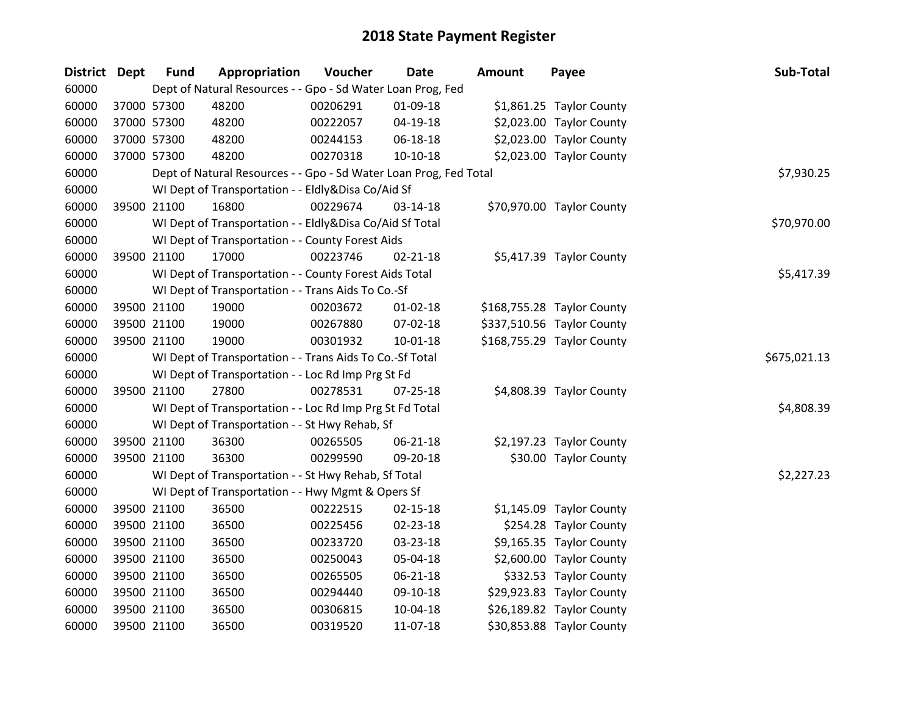| <b>District</b> | <b>Dept</b> | <b>Fund</b> | Appropriation                                                     | Voucher  | <b>Date</b>    | <b>Amount</b> | Payee                      | Sub-Total    |
|-----------------|-------------|-------------|-------------------------------------------------------------------|----------|----------------|---------------|----------------------------|--------------|
| 60000           |             |             | Dept of Natural Resources - - Gpo - Sd Water Loan Prog, Fed       |          |                |               |                            |              |
| 60000           |             | 37000 57300 | 48200                                                             | 00206291 | 01-09-18       |               | \$1,861.25 Taylor County   |              |
| 60000           |             | 37000 57300 | 48200                                                             | 00222057 | 04-19-18       |               | \$2,023.00 Taylor County   |              |
| 60000           |             | 37000 57300 | 48200                                                             | 00244153 | 06-18-18       |               | \$2,023.00 Taylor County   |              |
| 60000           |             | 37000 57300 | 48200                                                             | 00270318 | 10-10-18       |               | \$2,023.00 Taylor County   |              |
| 60000           |             |             | Dept of Natural Resources - - Gpo - Sd Water Loan Prog, Fed Total |          |                |               |                            | \$7,930.25   |
| 60000           |             |             | WI Dept of Transportation - - Eldly&Disa Co/Aid Sf                |          |                |               |                            |              |
| 60000           |             | 39500 21100 | 16800                                                             | 00229674 | 03-14-18       |               | \$70,970.00 Taylor County  |              |
| 60000           |             |             | WI Dept of Transportation - - Eldly&Disa Co/Aid Sf Total          |          |                |               |                            | \$70,970.00  |
| 60000           |             |             | WI Dept of Transportation - - County Forest Aids                  |          |                |               |                            |              |
| 60000           |             | 39500 21100 | 17000                                                             | 00223746 | $02 - 21 - 18$ |               | \$5,417.39 Taylor County   |              |
| 60000           |             |             | WI Dept of Transportation - - County Forest Aids Total            |          |                |               |                            | \$5,417.39   |
| 60000           |             |             | WI Dept of Transportation - - Trans Aids To Co.-Sf                |          |                |               |                            |              |
| 60000           |             | 39500 21100 | 19000                                                             | 00203672 | 01-02-18       |               | \$168,755.28 Taylor County |              |
| 60000           |             | 39500 21100 | 19000                                                             | 00267880 | 07-02-18       |               | \$337,510.56 Taylor County |              |
| 60000           |             | 39500 21100 | 19000                                                             | 00301932 | $10-01-18$     |               | \$168,755.29 Taylor County |              |
| 60000           |             |             | WI Dept of Transportation - - Trans Aids To Co.-Sf Total          |          |                |               |                            | \$675,021.13 |
| 60000           |             |             | WI Dept of Transportation - - Loc Rd Imp Prg St Fd                |          |                |               |                            |              |
| 60000           |             | 39500 21100 | 27800                                                             | 00278531 | 07-25-18       |               | \$4,808.39 Taylor County   |              |
| 60000           |             |             | WI Dept of Transportation - - Loc Rd Imp Prg St Fd Total          |          |                |               |                            | \$4,808.39   |
| 60000           |             |             | WI Dept of Transportation - - St Hwy Rehab, Sf                    |          |                |               |                            |              |
| 60000           |             | 39500 21100 | 36300                                                             | 00265505 | 06-21-18       |               | \$2,197.23 Taylor County   |              |
| 60000           |             | 39500 21100 | 36300                                                             | 00299590 | 09-20-18       |               | \$30.00 Taylor County      |              |
| 60000           |             |             | WI Dept of Transportation - - St Hwy Rehab, Sf Total              |          |                |               |                            | \$2,227.23   |
| 60000           |             |             | WI Dept of Transportation - - Hwy Mgmt & Opers Sf                 |          |                |               |                            |              |
| 60000           |             | 39500 21100 | 36500                                                             | 00222515 | 02-15-18       |               | \$1,145.09 Taylor County   |              |
| 60000           |             | 39500 21100 | 36500                                                             | 00225456 | 02-23-18       |               | \$254.28 Taylor County     |              |
| 60000           |             | 39500 21100 | 36500                                                             | 00233720 | 03-23-18       |               | \$9,165.35 Taylor County   |              |
| 60000           |             | 39500 21100 | 36500                                                             | 00250043 | 05-04-18       |               | \$2,600.00 Taylor County   |              |
| 60000           |             | 39500 21100 | 36500                                                             | 00265505 | 06-21-18       |               | \$332.53 Taylor County     |              |
| 60000           |             | 39500 21100 | 36500                                                             | 00294440 | 09-10-18       |               | \$29,923.83 Taylor County  |              |
| 60000           |             | 39500 21100 | 36500                                                             | 00306815 | 10-04-18       |               | \$26,189.82 Taylor County  |              |
| 60000           |             | 39500 21100 | 36500                                                             | 00319520 | 11-07-18       |               | \$30,853.88 Taylor County  |              |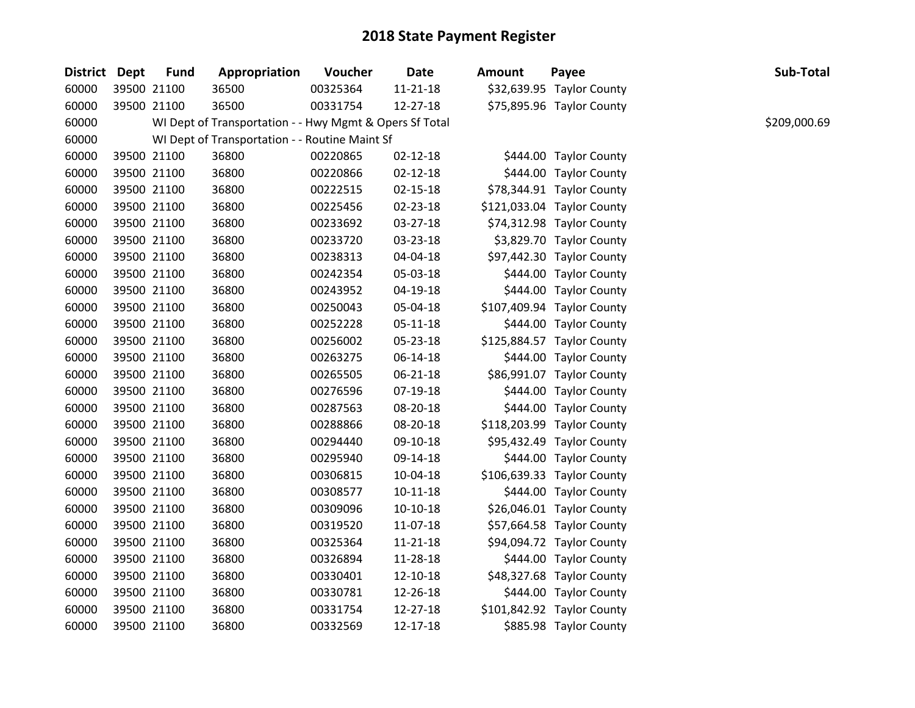| District Dept | <b>Fund</b> | Appropriation                                           | Voucher  | Date           | <b>Amount</b> | Payee                      | Sub-Total    |
|---------------|-------------|---------------------------------------------------------|----------|----------------|---------------|----------------------------|--------------|
| 60000         | 39500 21100 | 36500                                                   | 00325364 | $11 - 21 - 18$ |               | \$32,639.95 Taylor County  |              |
| 60000         | 39500 21100 | 36500                                                   | 00331754 | 12-27-18       |               | \$75,895.96 Taylor County  |              |
| 60000         |             | WI Dept of Transportation - - Hwy Mgmt & Opers Sf Total |          |                |               |                            | \$209,000.69 |
| 60000         |             | WI Dept of Transportation - - Routine Maint Sf          |          |                |               |                            |              |
| 60000         | 39500 21100 | 36800                                                   | 00220865 | $02 - 12 - 18$ |               | \$444.00 Taylor County     |              |
| 60000         | 39500 21100 | 36800                                                   | 00220866 | $02 - 12 - 18$ |               | \$444.00 Taylor County     |              |
| 60000         | 39500 21100 | 36800                                                   | 00222515 | $02 - 15 - 18$ |               | \$78,344.91 Taylor County  |              |
| 60000         | 39500 21100 | 36800                                                   | 00225456 | 02-23-18       |               | \$121,033.04 Taylor County |              |
| 60000         | 39500 21100 | 36800                                                   | 00233692 | 03-27-18       |               | \$74,312.98 Taylor County  |              |
| 60000         | 39500 21100 | 36800                                                   | 00233720 | 03-23-18       |               | \$3,829.70 Taylor County   |              |
| 60000         | 39500 21100 | 36800                                                   | 00238313 | 04-04-18       |               | \$97,442.30 Taylor County  |              |
| 60000         | 39500 21100 | 36800                                                   | 00242354 | 05-03-18       |               | \$444.00 Taylor County     |              |
| 60000         | 39500 21100 | 36800                                                   | 00243952 | 04-19-18       |               | \$444.00 Taylor County     |              |
| 60000         | 39500 21100 | 36800                                                   | 00250043 | 05-04-18       |               | \$107,409.94 Taylor County |              |
| 60000         | 39500 21100 | 36800                                                   | 00252228 | $05 - 11 - 18$ |               | \$444.00 Taylor County     |              |
| 60000         | 39500 21100 | 36800                                                   | 00256002 | 05-23-18       |               | \$125,884.57 Taylor County |              |
| 60000         | 39500 21100 | 36800                                                   | 00263275 | 06-14-18       |               | \$444.00 Taylor County     |              |
| 60000         | 39500 21100 | 36800                                                   | 00265505 | 06-21-18       |               | \$86,991.07 Taylor County  |              |
| 60000         | 39500 21100 | 36800                                                   | 00276596 | 07-19-18       |               | \$444.00 Taylor County     |              |
| 60000         | 39500 21100 | 36800                                                   | 00287563 | 08-20-18       |               | \$444.00 Taylor County     |              |
| 60000         | 39500 21100 | 36800                                                   | 00288866 | 08-20-18       |               | \$118,203.99 Taylor County |              |
| 60000         | 39500 21100 | 36800                                                   | 00294440 | 09-10-18       |               | \$95,432.49 Taylor County  |              |
| 60000         | 39500 21100 | 36800                                                   | 00295940 | 09-14-18       |               | \$444.00 Taylor County     |              |
| 60000         | 39500 21100 | 36800                                                   | 00306815 | 10-04-18       |               | \$106,639.33 Taylor County |              |
| 60000         | 39500 21100 | 36800                                                   | 00308577 | $10 - 11 - 18$ |               | \$444.00 Taylor County     |              |
| 60000         | 39500 21100 | 36800                                                   | 00309096 | $10-10-18$     |               | \$26,046.01 Taylor County  |              |
| 60000         | 39500 21100 | 36800                                                   | 00319520 | 11-07-18       |               | \$57,664.58 Taylor County  |              |
| 60000         | 39500 21100 | 36800                                                   | 00325364 | 11-21-18       |               | \$94,094.72 Taylor County  |              |
| 60000         | 39500 21100 | 36800                                                   | 00326894 | 11-28-18       |               | \$444.00 Taylor County     |              |
| 60000         | 39500 21100 | 36800                                                   | 00330401 | 12-10-18       |               | \$48,327.68 Taylor County  |              |
| 60000         | 39500 21100 | 36800                                                   | 00330781 | 12-26-18       |               | \$444.00 Taylor County     |              |
| 60000         | 39500 21100 | 36800                                                   | 00331754 | 12-27-18       |               | \$101,842.92 Taylor County |              |
| 60000         | 39500 21100 | 36800                                                   | 00332569 | 12-17-18       |               | \$885.98 Taylor County     |              |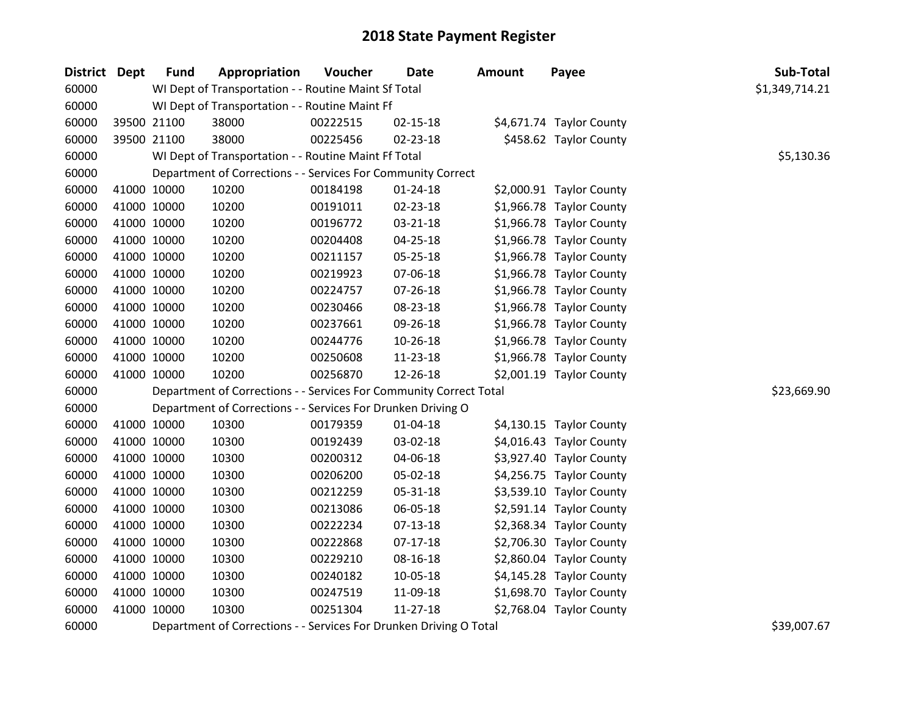| District Dept | <b>Fund</b> | Appropriation                                                      | Voucher  | <b>Date</b>    | <b>Amount</b> | Payee                    | Sub-Total      |
|---------------|-------------|--------------------------------------------------------------------|----------|----------------|---------------|--------------------------|----------------|
| 60000         |             | WI Dept of Transportation - - Routine Maint Sf Total               |          |                |               |                          | \$1,349,714.21 |
| 60000         |             | WI Dept of Transportation - - Routine Maint Ff                     |          |                |               |                          |                |
| 60000         | 39500 21100 | 38000                                                              | 00222515 | $02 - 15 - 18$ |               | \$4,671.74 Taylor County |                |
| 60000         | 39500 21100 | 38000                                                              | 00225456 | 02-23-18       |               | \$458.62 Taylor County   |                |
| 60000         |             | WI Dept of Transportation - - Routine Maint Ff Total               |          |                |               |                          | \$5,130.36     |
| 60000         |             | Department of Corrections - - Services For Community Correct       |          |                |               |                          |                |
| 60000         | 41000 10000 | 10200                                                              | 00184198 | $01 - 24 - 18$ |               | \$2,000.91 Taylor County |                |
| 60000         | 41000 10000 | 10200                                                              | 00191011 | 02-23-18       |               | \$1,966.78 Taylor County |                |
| 60000         | 41000 10000 | 10200                                                              | 00196772 | 03-21-18       |               | \$1,966.78 Taylor County |                |
| 60000         | 41000 10000 | 10200                                                              | 00204408 | $04 - 25 - 18$ |               | \$1,966.78 Taylor County |                |
| 60000         | 41000 10000 | 10200                                                              | 00211157 | 05-25-18       |               | \$1,966.78 Taylor County |                |
| 60000         | 41000 10000 | 10200                                                              | 00219923 | 07-06-18       |               | \$1,966.78 Taylor County |                |
| 60000         | 41000 10000 | 10200                                                              | 00224757 | $07 - 26 - 18$ |               | \$1,966.78 Taylor County |                |
| 60000         | 41000 10000 | 10200                                                              | 00230466 | 08-23-18       |               | \$1,966.78 Taylor County |                |
| 60000         | 41000 10000 | 10200                                                              | 00237661 | 09-26-18       |               | \$1,966.78 Taylor County |                |
| 60000         | 41000 10000 | 10200                                                              | 00244776 | 10-26-18       |               | \$1,966.78 Taylor County |                |
| 60000         | 41000 10000 | 10200                                                              | 00250608 | 11-23-18       |               | \$1,966.78 Taylor County |                |
| 60000         | 41000 10000 | 10200                                                              | 00256870 | 12-26-18       |               | \$2,001.19 Taylor County |                |
| 60000         |             | Department of Corrections - - Services For Community Correct Total |          |                |               |                          | \$23,669.90    |
| 60000         |             | Department of Corrections - - Services For Drunken Driving O       |          |                |               |                          |                |
| 60000         | 41000 10000 | 10300                                                              | 00179359 | $01 - 04 - 18$ |               | \$4,130.15 Taylor County |                |
| 60000         | 41000 10000 | 10300                                                              | 00192439 | 03-02-18       |               | \$4,016.43 Taylor County |                |
| 60000         | 41000 10000 | 10300                                                              | 00200312 | 04-06-18       |               | \$3,927.40 Taylor County |                |
| 60000         | 41000 10000 | 10300                                                              | 00206200 | 05-02-18       |               | \$4,256.75 Taylor County |                |
| 60000         | 41000 10000 | 10300                                                              | 00212259 | 05-31-18       |               | \$3,539.10 Taylor County |                |
| 60000         | 41000 10000 | 10300                                                              | 00213086 | 06-05-18       |               | \$2,591.14 Taylor County |                |
| 60000         | 41000 10000 | 10300                                                              | 00222234 | $07 - 13 - 18$ |               | \$2,368.34 Taylor County |                |
| 60000         | 41000 10000 | 10300                                                              | 00222868 | $07-17-18$     |               | \$2,706.30 Taylor County |                |
| 60000         | 41000 10000 | 10300                                                              | 00229210 | 08-16-18       |               | \$2,860.04 Taylor County |                |
| 60000         | 41000 10000 | 10300                                                              | 00240182 | 10-05-18       |               | \$4,145.28 Taylor County |                |
| 60000         | 41000 10000 | 10300                                                              | 00247519 | 11-09-18       |               | \$1,698.70 Taylor County |                |
| 60000         | 41000 10000 | 10300                                                              | 00251304 | $11 - 27 - 18$ |               | \$2,768.04 Taylor County |                |
| 60000         |             | Department of Corrections - - Services For Drunken Driving O Total |          |                |               |                          | \$39,007.67    |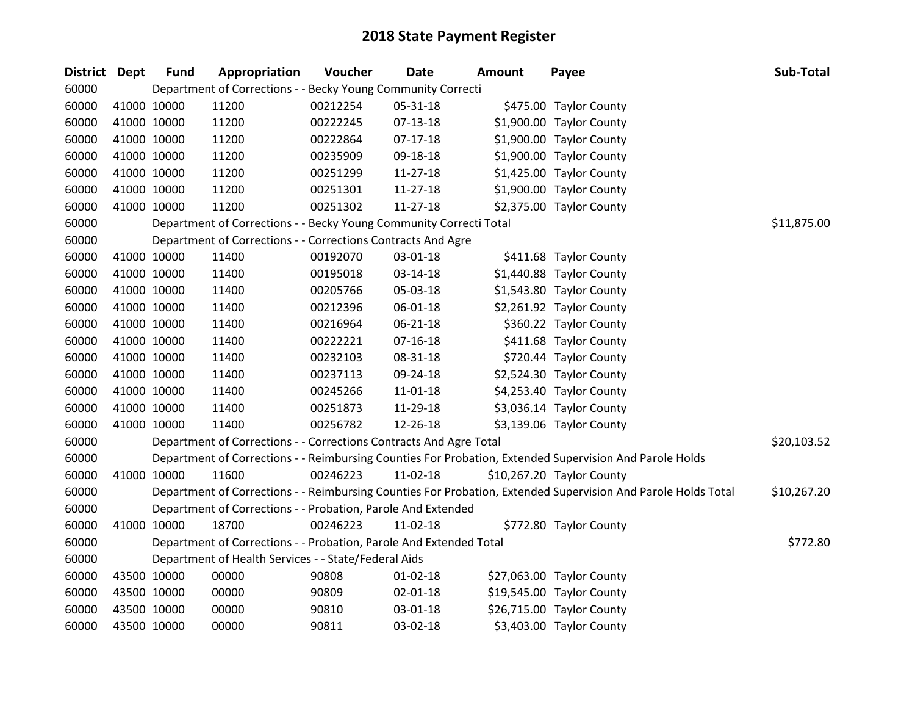| <b>District</b> | <b>Dept</b> | <b>Fund</b> | Appropriation                                                      | Voucher  | <b>Date</b>    | <b>Amount</b> | Payee                                                                                                         | Sub-Total   |
|-----------------|-------------|-------------|--------------------------------------------------------------------|----------|----------------|---------------|---------------------------------------------------------------------------------------------------------------|-------------|
| 60000           |             |             | Department of Corrections - - Becky Young Community Correcti       |          |                |               |                                                                                                               |             |
| 60000           | 41000 10000 |             | 11200                                                              | 00212254 | 05-31-18       |               | \$475.00 Taylor County                                                                                        |             |
| 60000           | 41000 10000 |             | 11200                                                              | 00222245 | 07-13-18       |               | \$1,900.00 Taylor County                                                                                      |             |
| 60000           | 41000 10000 |             | 11200                                                              | 00222864 | $07-17-18$     |               | \$1,900.00 Taylor County                                                                                      |             |
| 60000           | 41000 10000 |             | 11200                                                              | 00235909 | 09-18-18       |               | \$1,900.00 Taylor County                                                                                      |             |
| 60000           | 41000 10000 |             | 11200                                                              | 00251299 | $11-27-18$     |               | \$1,425.00 Taylor County                                                                                      |             |
| 60000           | 41000 10000 |             | 11200                                                              | 00251301 | $11-27-18$     |               | \$1,900.00 Taylor County                                                                                      |             |
| 60000           | 41000 10000 |             | 11200                                                              | 00251302 | $11 - 27 - 18$ |               | \$2,375.00 Taylor County                                                                                      |             |
| 60000           |             |             | Department of Corrections - - Becky Young Community Correcti Total |          |                |               |                                                                                                               | \$11,875.00 |
| 60000           |             |             | Department of Corrections - - Corrections Contracts And Agre       |          |                |               |                                                                                                               |             |
| 60000           | 41000 10000 |             | 11400                                                              | 00192070 | 03-01-18       |               | \$411.68 Taylor County                                                                                        |             |
| 60000           | 41000 10000 |             | 11400                                                              | 00195018 | 03-14-18       |               | \$1,440.88 Taylor County                                                                                      |             |
| 60000           | 41000 10000 |             | 11400                                                              | 00205766 | 05-03-18       |               | \$1,543.80 Taylor County                                                                                      |             |
| 60000           | 41000 10000 |             | 11400                                                              | 00212396 | 06-01-18       |               | \$2,261.92 Taylor County                                                                                      |             |
| 60000           | 41000 10000 |             | 11400                                                              | 00216964 | 06-21-18       |               | \$360.22 Taylor County                                                                                        |             |
| 60000           | 41000 10000 |             | 11400                                                              | 00222221 | $07 - 16 - 18$ |               | \$411.68 Taylor County                                                                                        |             |
| 60000           | 41000 10000 |             | 11400                                                              | 00232103 | 08-31-18       |               | \$720.44 Taylor County                                                                                        |             |
| 60000           | 41000 10000 |             | 11400                                                              | 00237113 | 09-24-18       |               | \$2,524.30 Taylor County                                                                                      |             |
| 60000           | 41000 10000 |             | 11400                                                              | 00245266 | 11-01-18       |               | \$4,253.40 Taylor County                                                                                      |             |
| 60000           | 41000 10000 |             | 11400                                                              | 00251873 | 11-29-18       |               | \$3,036.14 Taylor County                                                                                      |             |
| 60000           | 41000 10000 |             | 11400                                                              | 00256782 | 12-26-18       |               | \$3,139.06 Taylor County                                                                                      |             |
| 60000           |             |             | Department of Corrections - - Corrections Contracts And Agre Total |          |                |               |                                                                                                               | \$20,103.52 |
| 60000           |             |             |                                                                    |          |                |               | Department of Corrections - - Reimbursing Counties For Probation, Extended Supervision And Parole Holds       |             |
| 60000           | 41000 10000 |             | 11600                                                              | 00246223 | 11-02-18       |               | \$10,267.20 Taylor County                                                                                     |             |
| 60000           |             |             |                                                                    |          |                |               | Department of Corrections - - Reimbursing Counties For Probation, Extended Supervision And Parole Holds Total | \$10,267.20 |
| 60000           |             |             | Department of Corrections - - Probation, Parole And Extended       |          |                |               |                                                                                                               |             |
| 60000           | 41000 10000 |             | 18700                                                              | 00246223 | 11-02-18       |               | \$772.80 Taylor County                                                                                        |             |
| 60000           |             |             | Department of Corrections - - Probation, Parole And Extended Total |          |                |               |                                                                                                               | \$772.80    |
| 60000           |             |             | Department of Health Services - - State/Federal Aids               |          |                |               |                                                                                                               |             |
| 60000           | 43500 10000 |             | 00000                                                              | 90808    | 01-02-18       |               | \$27,063.00 Taylor County                                                                                     |             |
| 60000           | 43500 10000 |             | 00000                                                              | 90809    | 02-01-18       |               | \$19,545.00 Taylor County                                                                                     |             |
| 60000           | 43500 10000 |             | 00000                                                              | 90810    | 03-01-18       |               | \$26,715.00 Taylor County                                                                                     |             |
| 60000           | 43500 10000 |             | 00000                                                              | 90811    | 03-02-18       |               | \$3,403.00 Taylor County                                                                                      |             |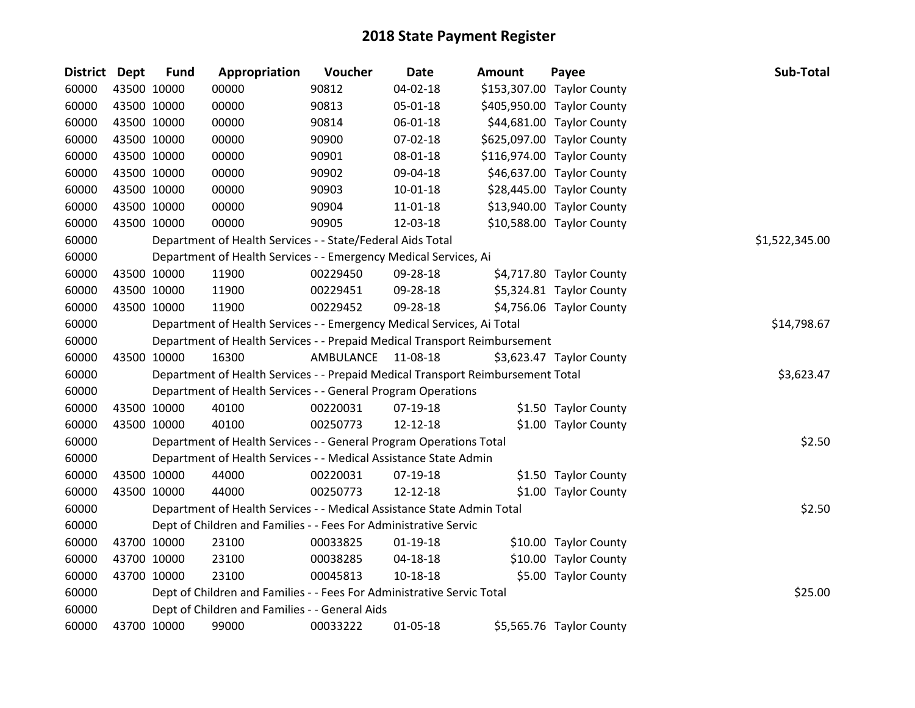| <b>District Dept</b> |             | <b>Fund</b> | Appropriation                                                                   | Voucher   | Date           | <b>Amount</b> | Payee                      | Sub-Total      |
|----------------------|-------------|-------------|---------------------------------------------------------------------------------|-----------|----------------|---------------|----------------------------|----------------|
| 60000                |             | 43500 10000 | 00000                                                                           | 90812     | 04-02-18       |               | \$153,307.00 Taylor County |                |
| 60000                |             | 43500 10000 | 00000                                                                           | 90813     | 05-01-18       |               | \$405,950.00 Taylor County |                |
| 60000                | 43500 10000 |             | 00000                                                                           | 90814     | 06-01-18       |               | \$44,681.00 Taylor County  |                |
| 60000                | 43500 10000 |             | 00000                                                                           | 90900     | 07-02-18       |               | \$625,097.00 Taylor County |                |
| 60000                |             | 43500 10000 | 00000                                                                           | 90901     | 08-01-18       |               | \$116,974.00 Taylor County |                |
| 60000                |             | 43500 10000 | 00000                                                                           | 90902     | 09-04-18       |               | \$46,637.00 Taylor County  |                |
| 60000                |             | 43500 10000 | 00000                                                                           | 90903     | $10 - 01 - 18$ |               | \$28,445.00 Taylor County  |                |
| 60000                | 43500 10000 |             | 00000                                                                           | 90904     | 11-01-18       |               | \$13,940.00 Taylor County  |                |
| 60000                |             | 43500 10000 | 00000                                                                           | 90905     | 12-03-18       |               | \$10,588.00 Taylor County  |                |
| 60000                |             |             | Department of Health Services - - State/Federal Aids Total                      |           |                |               |                            | \$1,522,345.00 |
| 60000                |             |             | Department of Health Services - - Emergency Medical Services, Ai                |           |                |               |                            |                |
| 60000                |             | 43500 10000 | 11900                                                                           | 00229450  | 09-28-18       |               | \$4,717.80 Taylor County   |                |
| 60000                |             | 43500 10000 | 11900                                                                           | 00229451  | 09-28-18       |               | \$5,324.81 Taylor County   |                |
| 60000                |             | 43500 10000 | 11900                                                                           | 00229452  | 09-28-18       |               | \$4,756.06 Taylor County   |                |
| 60000                |             |             | Department of Health Services - - Emergency Medical Services, Ai Total          |           |                |               |                            | \$14,798.67    |
| 60000                |             |             | Department of Health Services - - Prepaid Medical Transport Reimbursement       |           |                |               |                            |                |
| 60000                |             | 43500 10000 | 16300                                                                           | AMBULANCE | 11-08-18       |               | \$3,623.47 Taylor County   |                |
| 60000                |             |             | Department of Health Services - - Prepaid Medical Transport Reimbursement Total |           |                |               |                            | \$3,623.47     |
| 60000                |             |             | Department of Health Services - - General Program Operations                    |           |                |               |                            |                |
| 60000                |             | 43500 10000 | 40100                                                                           | 00220031  | 07-19-18       |               | \$1.50 Taylor County       |                |
| 60000                |             | 43500 10000 | 40100                                                                           | 00250773  | 12-12-18       |               | \$1.00 Taylor County       |                |
| 60000                |             |             | Department of Health Services - - General Program Operations Total              |           |                |               |                            | \$2.50         |
| 60000                |             |             | Department of Health Services - - Medical Assistance State Admin                |           |                |               |                            |                |
| 60000                |             | 43500 10000 | 44000                                                                           | 00220031  | 07-19-18       |               | \$1.50 Taylor County       |                |
| 60000                |             | 43500 10000 | 44000                                                                           | 00250773  | 12-12-18       |               | \$1.00 Taylor County       |                |
| 60000                |             |             | Department of Health Services - - Medical Assistance State Admin Total          |           |                |               |                            | \$2.50         |
| 60000                |             |             | Dept of Children and Families - - Fees For Administrative Servic                |           |                |               |                            |                |
| 60000                |             | 43700 10000 | 23100                                                                           | 00033825  | $01-19-18$     |               | \$10.00 Taylor County      |                |
| 60000                |             | 43700 10000 | 23100                                                                           | 00038285  | 04-18-18       |               | \$10.00 Taylor County      |                |
| 60000                |             | 43700 10000 | 23100                                                                           | 00045813  | $10 - 18 - 18$ |               | \$5.00 Taylor County       |                |
| 60000                |             |             | Dept of Children and Families - - Fees For Administrative Servic Total          |           |                |               |                            | \$25.00        |
| 60000                |             |             | Dept of Children and Families - - General Aids                                  |           |                |               |                            |                |
| 60000                |             | 43700 10000 | 99000                                                                           | 00033222  | 01-05-18       |               | \$5,565.76 Taylor County   |                |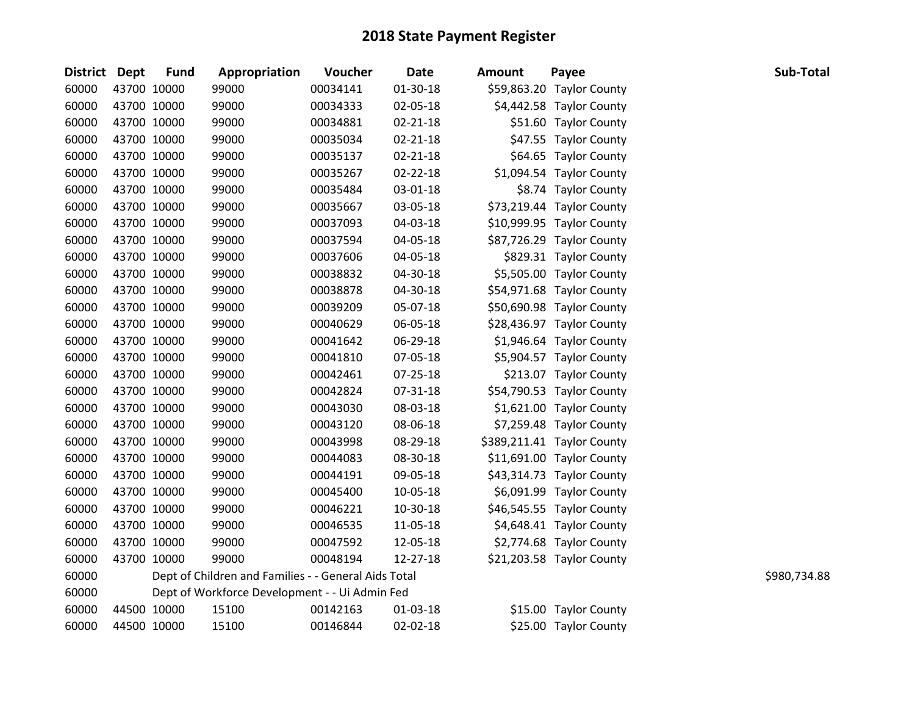| District Dept | <b>Fund</b> | Appropriation                                        | Voucher  | <b>Date</b>    | Amount | Payee                      | Sub-Total    |
|---------------|-------------|------------------------------------------------------|----------|----------------|--------|----------------------------|--------------|
| 60000         | 43700 10000 | 99000                                                | 00034141 | $01-30-18$     |        | \$59,863.20 Taylor County  |              |
| 60000         | 43700 10000 | 99000                                                | 00034333 | 02-05-18       |        | \$4,442.58 Taylor County   |              |
| 60000         | 43700 10000 | 99000                                                | 00034881 | $02 - 21 - 18$ |        | \$51.60 Taylor County      |              |
| 60000         | 43700 10000 | 99000                                                | 00035034 | $02 - 21 - 18$ |        | \$47.55 Taylor County      |              |
| 60000         | 43700 10000 | 99000                                                | 00035137 | $02 - 21 - 18$ |        | \$64.65 Taylor County      |              |
| 60000         | 43700 10000 | 99000                                                | 00035267 | $02 - 22 - 18$ |        | \$1,094.54 Taylor County   |              |
| 60000         | 43700 10000 | 99000                                                | 00035484 | 03-01-18       |        | \$8.74 Taylor County       |              |
| 60000         | 43700 10000 | 99000                                                | 00035667 | 03-05-18       |        | \$73,219.44 Taylor County  |              |
| 60000         | 43700 10000 | 99000                                                | 00037093 | 04-03-18       |        | \$10,999.95 Taylor County  |              |
| 60000         | 43700 10000 | 99000                                                | 00037594 | 04-05-18       |        | \$87,726.29 Taylor County  |              |
| 60000         | 43700 10000 | 99000                                                | 00037606 | 04-05-18       |        | \$829.31 Taylor County     |              |
| 60000         | 43700 10000 | 99000                                                | 00038832 | 04-30-18       |        | \$5,505.00 Taylor County   |              |
| 60000         | 43700 10000 | 99000                                                | 00038878 | 04-30-18       |        | \$54,971.68 Taylor County  |              |
| 60000         | 43700 10000 | 99000                                                | 00039209 | 05-07-18       |        | \$50,690.98 Taylor County  |              |
| 60000         | 43700 10000 | 99000                                                | 00040629 | 06-05-18       |        | \$28,436.97 Taylor County  |              |
| 60000         | 43700 10000 | 99000                                                | 00041642 | 06-29-18       |        | \$1,946.64 Taylor County   |              |
| 60000         | 43700 10000 | 99000                                                | 00041810 | 07-05-18       |        | \$5,904.57 Taylor County   |              |
| 60000         | 43700 10000 | 99000                                                | 00042461 | 07-25-18       |        | \$213.07 Taylor County     |              |
| 60000         | 43700 10000 | 99000                                                | 00042824 | 07-31-18       |        | \$54,790.53 Taylor County  |              |
| 60000         | 43700 10000 | 99000                                                | 00043030 | 08-03-18       |        | \$1,621.00 Taylor County   |              |
| 60000         | 43700 10000 | 99000                                                | 00043120 | 08-06-18       |        | \$7,259.48 Taylor County   |              |
| 60000         | 43700 10000 | 99000                                                | 00043998 | 08-29-18       |        | \$389,211.41 Taylor County |              |
| 60000         | 43700 10000 | 99000                                                | 00044083 | 08-30-18       |        | \$11,691.00 Taylor County  |              |
| 60000         | 43700 10000 | 99000                                                | 00044191 | 09-05-18       |        | \$43,314.73 Taylor County  |              |
| 60000         | 43700 10000 | 99000                                                | 00045400 | 10-05-18       |        | \$6,091.99 Taylor County   |              |
| 60000         | 43700 10000 | 99000                                                | 00046221 | 10-30-18       |        | \$46,545.55 Taylor County  |              |
| 60000         | 43700 10000 | 99000                                                | 00046535 | 11-05-18       |        | \$4,648.41 Taylor County   |              |
| 60000         | 43700 10000 | 99000                                                | 00047592 | 12-05-18       |        | \$2,774.68 Taylor County   |              |
| 60000         | 43700 10000 | 99000                                                | 00048194 | 12-27-18       |        | \$21,203.58 Taylor County  |              |
| 60000         |             | Dept of Children and Families - - General Aids Total |          |                |        |                            | \$980,734.88 |
| 60000         |             | Dept of Workforce Development - - Ui Admin Fed       |          |                |        |                            |              |
| 60000         | 44500 10000 | 15100                                                | 00142163 | 01-03-18       |        | \$15.00 Taylor County      |              |
| 60000         | 44500 10000 | 15100                                                | 00146844 | 02-02-18       |        | \$25.00 Taylor County      |              |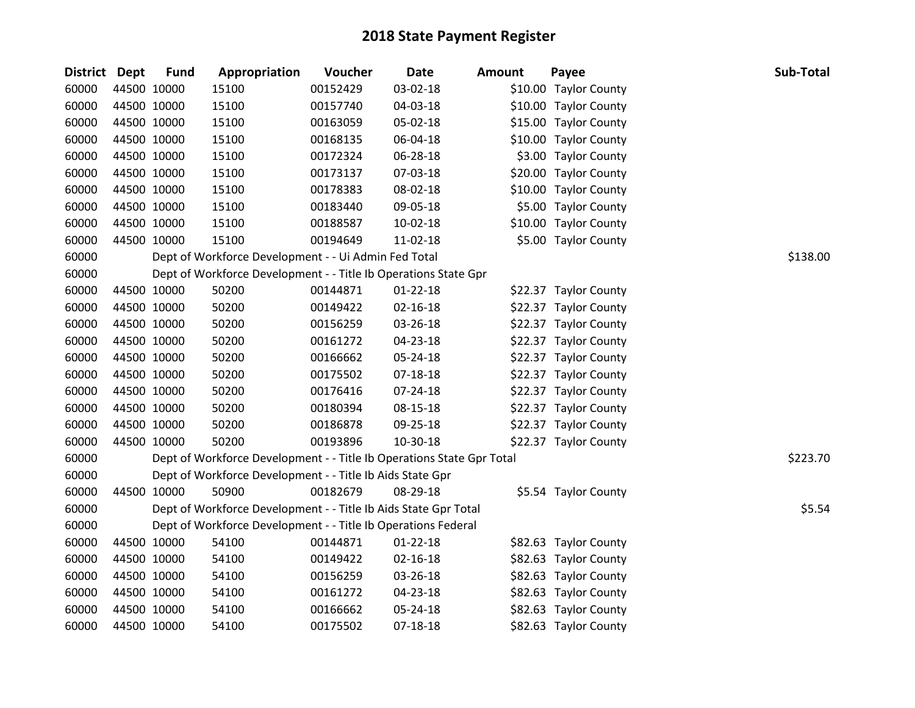| District Dept |             | <b>Fund</b> | Appropriation                                                         | Voucher  | <b>Date</b>    | <b>Amount</b> | Payee                 | Sub-Total |
|---------------|-------------|-------------|-----------------------------------------------------------------------|----------|----------------|---------------|-----------------------|-----------|
| 60000         | 44500 10000 |             | 15100                                                                 | 00152429 | 03-02-18       |               | \$10.00 Taylor County |           |
| 60000         | 44500 10000 |             | 15100                                                                 | 00157740 | 04-03-18       |               | \$10.00 Taylor County |           |
| 60000         |             | 44500 10000 | 15100                                                                 | 00163059 | 05-02-18       |               | \$15.00 Taylor County |           |
| 60000         | 44500 10000 |             | 15100                                                                 | 00168135 | 06-04-18       |               | \$10.00 Taylor County |           |
| 60000         | 44500 10000 |             | 15100                                                                 | 00172324 | 06-28-18       |               | \$3.00 Taylor County  |           |
| 60000         | 44500 10000 |             | 15100                                                                 | 00173137 | 07-03-18       |               | \$20.00 Taylor County |           |
| 60000         |             | 44500 10000 | 15100                                                                 | 00178383 | 08-02-18       |               | \$10.00 Taylor County |           |
| 60000         |             | 44500 10000 | 15100                                                                 | 00183440 | 09-05-18       |               | \$5.00 Taylor County  |           |
| 60000         | 44500 10000 |             | 15100                                                                 | 00188587 | 10-02-18       |               | \$10.00 Taylor County |           |
| 60000         | 44500 10000 |             | 15100                                                                 | 00194649 | 11-02-18       |               | \$5.00 Taylor County  |           |
| 60000         |             |             | Dept of Workforce Development - - Ui Admin Fed Total                  |          |                |               |                       | \$138.00  |
| 60000         |             |             | Dept of Workforce Development - - Title Ib Operations State Gpr       |          |                |               |                       |           |
| 60000         | 44500 10000 |             | 50200                                                                 | 00144871 | $01 - 22 - 18$ |               | \$22.37 Taylor County |           |
| 60000         | 44500 10000 |             | 50200                                                                 | 00149422 | $02 - 16 - 18$ |               | \$22.37 Taylor County |           |
| 60000         | 44500 10000 |             | 50200                                                                 | 00156259 | 03-26-18       |               | \$22.37 Taylor County |           |
| 60000         | 44500 10000 |             | 50200                                                                 | 00161272 | 04-23-18       |               | \$22.37 Taylor County |           |
| 60000         |             | 44500 10000 | 50200                                                                 | 00166662 | 05-24-18       |               | \$22.37 Taylor County |           |
| 60000         | 44500 10000 |             | 50200                                                                 | 00175502 | 07-18-18       |               | \$22.37 Taylor County |           |
| 60000         | 44500 10000 |             | 50200                                                                 | 00176416 | 07-24-18       |               | \$22.37 Taylor County |           |
| 60000         | 44500 10000 |             | 50200                                                                 | 00180394 | 08-15-18       |               | \$22.37 Taylor County |           |
| 60000         | 44500 10000 |             | 50200                                                                 | 00186878 | 09-25-18       |               | \$22.37 Taylor County |           |
| 60000         |             | 44500 10000 | 50200                                                                 | 00193896 | 10-30-18       |               | \$22.37 Taylor County |           |
| 60000         |             |             | Dept of Workforce Development - - Title Ib Operations State Gpr Total |          |                |               |                       | \$223.70  |
| 60000         |             |             | Dept of Workforce Development - - Title Ib Aids State Gpr             |          |                |               |                       |           |
| 60000         | 44500 10000 |             | 50900                                                                 | 00182679 | 08-29-18       |               | \$5.54 Taylor County  |           |
| 60000         |             |             | Dept of Workforce Development - - Title Ib Aids State Gpr Total       |          |                |               |                       | \$5.54    |
| 60000         |             |             | Dept of Workforce Development - - Title Ib Operations Federal         |          |                |               |                       |           |
| 60000         | 44500 10000 |             | 54100                                                                 | 00144871 | $01 - 22 - 18$ |               | \$82.63 Taylor County |           |
| 60000         | 44500 10000 |             | 54100                                                                 | 00149422 | $02 - 16 - 18$ |               | \$82.63 Taylor County |           |
| 60000         | 44500 10000 |             | 54100                                                                 | 00156259 | 03-26-18       |               | \$82.63 Taylor County |           |
| 60000         | 44500 10000 |             | 54100                                                                 | 00161272 | 04-23-18       |               | \$82.63 Taylor County |           |
| 60000         | 44500 10000 |             | 54100                                                                 | 00166662 | 05-24-18       |               | \$82.63 Taylor County |           |
| 60000         | 44500 10000 |             | 54100                                                                 | 00175502 | 07-18-18       |               | \$82.63 Taylor County |           |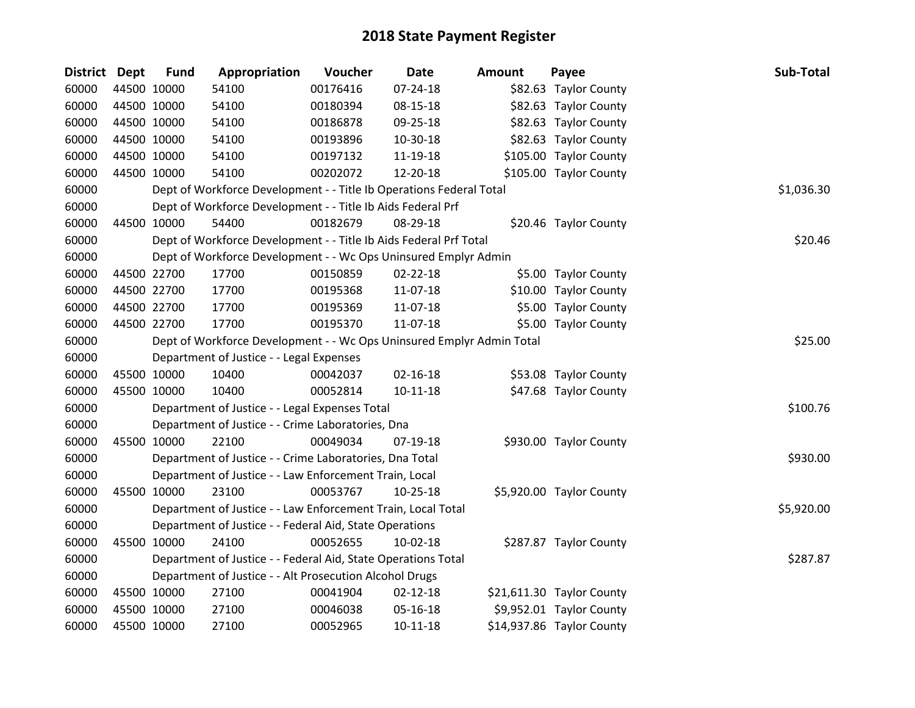| <b>District Dept</b> |             | <b>Fund</b> | Appropriation                                                         | Voucher  | <b>Date</b>    | Amount | Payee                     | Sub-Total  |
|----------------------|-------------|-------------|-----------------------------------------------------------------------|----------|----------------|--------|---------------------------|------------|
| 60000                | 44500 10000 |             | 54100                                                                 | 00176416 | $07 - 24 - 18$ |        | \$82.63 Taylor County     |            |
| 60000                |             | 44500 10000 | 54100                                                                 | 00180394 | 08-15-18       |        | \$82.63 Taylor County     |            |
| 60000                | 44500 10000 |             | 54100                                                                 | 00186878 | 09-25-18       |        | \$82.63 Taylor County     |            |
| 60000                | 44500 10000 |             | 54100                                                                 | 00193896 | 10-30-18       |        | \$82.63 Taylor County     |            |
| 60000                | 44500 10000 |             | 54100                                                                 | 00197132 | 11-19-18       |        | \$105.00 Taylor County    |            |
| 60000                | 44500 10000 |             | 54100                                                                 | 00202072 | 12-20-18       |        | \$105.00 Taylor County    |            |
| 60000                |             |             | Dept of Workforce Development - - Title Ib Operations Federal Total   |          |                |        |                           | \$1,036.30 |
| 60000                |             |             | Dept of Workforce Development - - Title Ib Aids Federal Prf           |          |                |        |                           |            |
| 60000                | 44500 10000 |             | 54400                                                                 | 00182679 | 08-29-18       |        | \$20.46 Taylor County     |            |
| 60000                |             |             | Dept of Workforce Development - - Title Ib Aids Federal Prf Total     |          |                |        |                           | \$20.46    |
| 60000                |             |             | Dept of Workforce Development - - Wc Ops Uninsured Emplyr Admin       |          |                |        |                           |            |
| 60000                |             | 44500 22700 | 17700                                                                 | 00150859 | $02 - 22 - 18$ |        | \$5.00 Taylor County      |            |
| 60000                | 44500 22700 |             | 17700                                                                 | 00195368 | 11-07-18       |        | \$10.00 Taylor County     |            |
| 60000                | 44500 22700 |             | 17700                                                                 | 00195369 | 11-07-18       |        | \$5.00 Taylor County      |            |
| 60000                | 44500 22700 |             | 17700                                                                 | 00195370 | 11-07-18       |        | \$5.00 Taylor County      |            |
| 60000                |             |             | Dept of Workforce Development - - Wc Ops Uninsured Emplyr Admin Total |          |                |        |                           | \$25.00    |
| 60000                |             |             | Department of Justice - - Legal Expenses                              |          |                |        |                           |            |
| 60000                | 45500 10000 |             | 10400                                                                 | 00042037 | $02 - 16 - 18$ |        | \$53.08 Taylor County     |            |
| 60000                | 45500 10000 |             | 10400                                                                 | 00052814 | $10 - 11 - 18$ |        | \$47.68 Taylor County     |            |
| 60000                |             |             | Department of Justice - - Legal Expenses Total                        |          |                |        |                           | \$100.76   |
| 60000                |             |             | Department of Justice - - Crime Laboratories, Dna                     |          |                |        |                           |            |
| 60000                | 45500 10000 |             | 22100                                                                 | 00049034 | 07-19-18       |        | \$930.00 Taylor County    |            |
| 60000                |             |             | Department of Justice - - Crime Laboratories, Dna Total               |          |                |        |                           | \$930.00   |
| 60000                |             |             | Department of Justice - - Law Enforcement Train, Local                |          |                |        |                           |            |
| 60000                | 45500 10000 |             | 23100                                                                 | 00053767 | 10-25-18       |        | \$5,920.00 Taylor County  |            |
| 60000                |             |             | Department of Justice - - Law Enforcement Train, Local Total          |          |                |        |                           | \$5,920.00 |
| 60000                |             |             | Department of Justice - - Federal Aid, State Operations               |          |                |        |                           |            |
| 60000                | 45500 10000 |             | 24100                                                                 | 00052655 | $10-02-18$     |        | \$287.87 Taylor County    |            |
| 60000                |             |             | Department of Justice - - Federal Aid, State Operations Total         |          |                |        |                           | \$287.87   |
| 60000                |             |             | Department of Justice - - Alt Prosecution Alcohol Drugs               |          |                |        |                           |            |
| 60000                | 45500 10000 |             | 27100                                                                 | 00041904 | $02 - 12 - 18$ |        | \$21,611.30 Taylor County |            |
| 60000                | 45500 10000 |             | 27100                                                                 | 00046038 | 05-16-18       |        | \$9,952.01 Taylor County  |            |
| 60000                | 45500 10000 |             | 27100                                                                 | 00052965 | $10 - 11 - 18$ |        | \$14,937.86 Taylor County |            |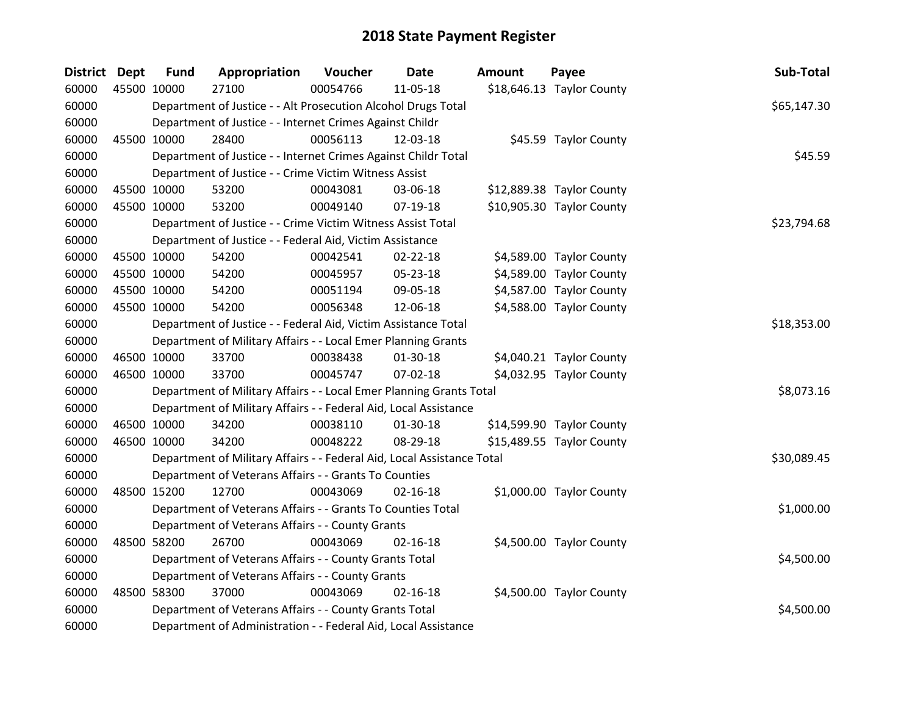| District Dept |             | <b>Fund</b> | Appropriation                                                          | Voucher     | <b>Date</b>    | <b>Amount</b> | Payee                     | Sub-Total   |
|---------------|-------------|-------------|------------------------------------------------------------------------|-------------|----------------|---------------|---------------------------|-------------|
| 60000         |             | 45500 10000 | 27100                                                                  | 00054766    | 11-05-18       |               | \$18,646.13 Taylor County |             |
| 60000         |             |             | Department of Justice - - Alt Prosecution Alcohol Drugs Total          |             |                |               |                           | \$65,147.30 |
| 60000         |             |             | Department of Justice - - Internet Crimes Against Childr               |             |                |               |                           |             |
| 60000         | 45500 10000 |             | 28400                                                                  | 00056113    | 12-03-18       |               | \$45.59 Taylor County     |             |
| 60000         |             |             | Department of Justice - - Internet Crimes Against Childr Total         |             |                |               |                           | \$45.59     |
| 60000         |             |             | Department of Justice - - Crime Victim Witness Assist                  |             |                |               |                           |             |
| 60000         | 45500 10000 |             | 53200                                                                  | 00043081    | 03-06-18       |               | \$12,889.38 Taylor County |             |
| 60000         | 45500 10000 |             | 53200                                                                  | 00049140    | 07-19-18       |               | \$10,905.30 Taylor County |             |
| 60000         |             |             | Department of Justice - - Crime Victim Witness Assist Total            |             |                |               |                           | \$23,794.68 |
| 60000         |             |             | Department of Justice - - Federal Aid, Victim Assistance               |             |                |               |                           |             |
| 60000         |             | 45500 10000 | 54200                                                                  | 00042541    | $02 - 22 - 18$ |               | \$4,589.00 Taylor County  |             |
| 60000         | 45500 10000 |             | 54200                                                                  | 00045957    | 05-23-18       |               | \$4,589.00 Taylor County  |             |
| 60000         |             | 45500 10000 | 54200                                                                  | 00051194    | 09-05-18       |               | \$4,587.00 Taylor County  |             |
| 60000         | 45500 10000 |             | 54200                                                                  | 00056348    | 12-06-18       |               | \$4,588.00 Taylor County  |             |
| 60000         |             |             | Department of Justice - - Federal Aid, Victim Assistance Total         | \$18,353.00 |                |               |                           |             |
| 60000         |             |             | Department of Military Affairs - - Local Emer Planning Grants          |             |                |               |                           |             |
| 60000         | 46500 10000 |             | 33700                                                                  | 00038438    | 01-30-18       |               | \$4,040.21 Taylor County  |             |
| 60000         | 46500 10000 |             | 33700                                                                  | 00045747    | 07-02-18       |               | \$4,032.95 Taylor County  |             |
| 60000         |             |             | Department of Military Affairs - - Local Emer Planning Grants Total    |             |                |               |                           | \$8,073.16  |
| 60000         |             |             | Department of Military Affairs - - Federal Aid, Local Assistance       |             |                |               |                           |             |
| 60000         | 46500 10000 |             | 34200                                                                  | 00038110    | 01-30-18       |               | \$14,599.90 Taylor County |             |
| 60000         | 46500 10000 |             | 34200                                                                  | 00048222    | 08-29-18       |               | \$15,489.55 Taylor County |             |
| 60000         |             |             | Department of Military Affairs - - Federal Aid, Local Assistance Total |             |                |               |                           | \$30,089.45 |
| 60000         |             |             | Department of Veterans Affairs - - Grants To Counties                  |             |                |               |                           |             |
| 60000         | 48500 15200 |             | 12700                                                                  | 00043069    | $02 - 16 - 18$ |               | \$1,000.00 Taylor County  |             |
| 60000         |             |             | Department of Veterans Affairs - - Grants To Counties Total            |             |                |               |                           | \$1,000.00  |
| 60000         |             |             | Department of Veterans Affairs - - County Grants                       |             |                |               |                           |             |
| 60000         | 48500 58200 |             | 26700                                                                  | 00043069    | $02 - 16 - 18$ |               | \$4,500.00 Taylor County  |             |
| 60000         |             |             | Department of Veterans Affairs - - County Grants Total                 |             |                |               |                           | \$4,500.00  |
| 60000         |             |             | Department of Veterans Affairs - - County Grants                       |             |                |               |                           |             |
| 60000         |             | 48500 58300 | 37000                                                                  | 00043069    | $02 - 16 - 18$ |               | \$4,500.00 Taylor County  |             |
| 60000         |             |             | Department of Veterans Affairs - - County Grants Total                 |             |                |               |                           | \$4,500.00  |
| 60000         |             |             | Department of Administration - - Federal Aid, Local Assistance         |             |                |               |                           |             |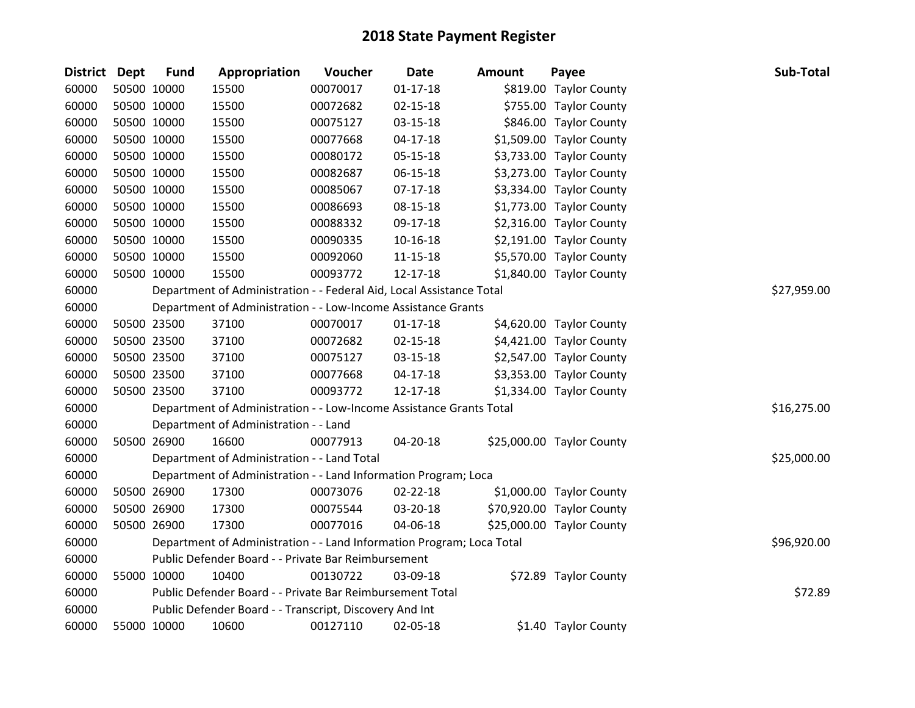| District Dept | <b>Fund</b> | Appropriation                                                         | Voucher  | Date           | <b>Amount</b> | Payee                     | Sub-Total   |
|---------------|-------------|-----------------------------------------------------------------------|----------|----------------|---------------|---------------------------|-------------|
| 60000         | 50500 10000 | 15500                                                                 | 00070017 | $01 - 17 - 18$ |               | \$819.00 Taylor County    |             |
| 60000         | 50500 10000 | 15500                                                                 | 00072682 | $02 - 15 - 18$ |               | \$755.00 Taylor County    |             |
| 60000         | 50500 10000 | 15500                                                                 | 00075127 | $03 - 15 - 18$ |               | \$846.00 Taylor County    |             |
| 60000         | 50500 10000 | 15500                                                                 | 00077668 | $04 - 17 - 18$ |               | \$1,509.00 Taylor County  |             |
| 60000         | 50500 10000 | 15500                                                                 | 00080172 | 05-15-18       |               | \$3,733.00 Taylor County  |             |
| 60000         | 50500 10000 | 15500                                                                 | 00082687 | 06-15-18       |               | \$3,273.00 Taylor County  |             |
| 60000         | 50500 10000 | 15500                                                                 | 00085067 | $07-17-18$     |               | \$3,334.00 Taylor County  |             |
| 60000         | 50500 10000 | 15500                                                                 | 00086693 | 08-15-18       |               | \$1,773.00 Taylor County  |             |
| 60000         | 50500 10000 | 15500                                                                 | 00088332 | 09-17-18       |               | \$2,316.00 Taylor County  |             |
| 60000         | 50500 10000 | 15500                                                                 | 00090335 | $10 - 16 - 18$ |               | \$2,191.00 Taylor County  |             |
| 60000         | 50500 10000 | 15500                                                                 | 00092060 | 11-15-18       |               | \$5,570.00 Taylor County  |             |
| 60000         | 50500 10000 | 15500                                                                 | 00093772 | 12-17-18       |               | \$1,840.00 Taylor County  |             |
| 60000         |             | Department of Administration - - Federal Aid, Local Assistance Total  |          |                |               |                           | \$27,959.00 |
| 60000         |             | Department of Administration - - Low-Income Assistance Grants         |          |                |               |                           |             |
| 60000         | 50500 23500 | 37100                                                                 | 00070017 | $01 - 17 - 18$ |               | \$4,620.00 Taylor County  |             |
| 60000         | 50500 23500 | 37100                                                                 | 00072682 | $02 - 15 - 18$ |               | \$4,421.00 Taylor County  |             |
| 60000         | 50500 23500 | 37100                                                                 | 00075127 | 03-15-18       |               | \$2,547.00 Taylor County  |             |
| 60000         | 50500 23500 | 37100                                                                 | 00077668 | $04 - 17 - 18$ |               | \$3,353.00 Taylor County  |             |
| 60000         | 50500 23500 | 37100                                                                 | 00093772 | 12-17-18       |               | \$1,334.00 Taylor County  |             |
| 60000         |             | Department of Administration - - Low-Income Assistance Grants Total   |          |                |               |                           | \$16,275.00 |
| 60000         |             | Department of Administration - - Land                                 |          |                |               |                           |             |
| 60000         | 50500 26900 | 16600                                                                 | 00077913 | 04-20-18       |               | \$25,000.00 Taylor County |             |
| 60000         |             | Department of Administration - - Land Total                           |          |                |               |                           | \$25,000.00 |
| 60000         |             | Department of Administration - - Land Information Program; Loca       |          |                |               |                           |             |
| 60000         | 50500 26900 | 17300                                                                 | 00073076 | 02-22-18       |               | \$1,000.00 Taylor County  |             |
| 60000         | 50500 26900 | 17300                                                                 | 00075544 | 03-20-18       |               | \$70,920.00 Taylor County |             |
| 60000         | 50500 26900 | 17300                                                                 | 00077016 | 04-06-18       |               | \$25,000.00 Taylor County |             |
| 60000         |             | Department of Administration - - Land Information Program; Loca Total |          |                |               |                           | \$96,920.00 |
| 60000         |             | Public Defender Board - - Private Bar Reimbursement                   |          |                |               |                           |             |
| 60000         | 55000 10000 | 10400                                                                 | 00130722 | 03-09-18       |               | \$72.89 Taylor County     |             |
| 60000         |             | Public Defender Board - - Private Bar Reimbursement Total             |          |                |               |                           | \$72.89     |
| 60000         |             | Public Defender Board - - Transcript, Discovery And Int               |          |                |               |                           |             |
| 60000         | 55000 10000 | 10600                                                                 | 00127110 | 02-05-18       |               | \$1.40 Taylor County      |             |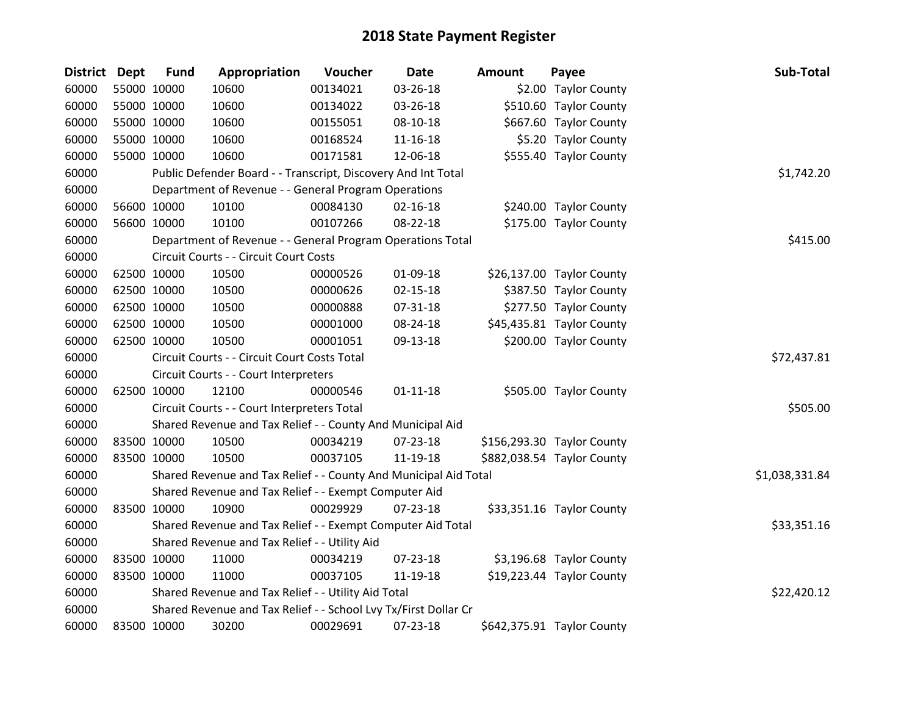| <b>District</b> | Dept | <b>Fund</b> | Appropriation                                                    | Voucher  | <b>Date</b>    | <b>Amount</b> | Payee                      | Sub-Total      |
|-----------------|------|-------------|------------------------------------------------------------------|----------|----------------|---------------|----------------------------|----------------|
| 60000           |      | 55000 10000 | 10600                                                            | 00134021 | 03-26-18       |               | \$2.00 Taylor County       |                |
| 60000           |      | 55000 10000 | 10600                                                            | 00134022 | 03-26-18       |               | \$510.60 Taylor County     |                |
| 60000           |      | 55000 10000 | 10600                                                            | 00155051 | 08-10-18       |               | \$667.60 Taylor County     |                |
| 60000           |      | 55000 10000 | 10600                                                            | 00168524 | 11-16-18       |               | \$5.20 Taylor County       |                |
| 60000           |      | 55000 10000 | 10600                                                            | 00171581 | 12-06-18       |               | \$555.40 Taylor County     |                |
| 60000           |      |             | Public Defender Board - - Transcript, Discovery And Int Total    |          |                |               |                            | \$1,742.20     |
| 60000           |      |             | Department of Revenue - - General Program Operations             |          |                |               |                            |                |
| 60000           |      | 56600 10000 | 10100                                                            | 00084130 | $02 - 16 - 18$ |               | \$240.00 Taylor County     |                |
| 60000           |      | 56600 10000 | 10100                                                            | 00107266 | 08-22-18       |               | \$175.00 Taylor County     |                |
| 60000           |      |             | Department of Revenue - - General Program Operations Total       |          |                |               |                            | \$415.00       |
| 60000           |      |             | Circuit Courts - - Circuit Court Costs                           |          |                |               |                            |                |
| 60000           |      | 62500 10000 | 10500                                                            | 00000526 | 01-09-18       |               | \$26,137.00 Taylor County  |                |
| 60000           |      | 62500 10000 | 10500                                                            | 00000626 | $02 - 15 - 18$ |               | \$387.50 Taylor County     |                |
| 60000           |      | 62500 10000 | 10500                                                            | 00000888 | 07-31-18       |               | \$277.50 Taylor County     |                |
| 60000           |      | 62500 10000 | 10500                                                            | 00001000 | 08-24-18       |               | \$45,435.81 Taylor County  |                |
| 60000           |      | 62500 10000 | 10500                                                            | 00001051 | 09-13-18       |               | \$200.00 Taylor County     |                |
| 60000           |      |             | Circuit Courts - - Circuit Court Costs Total                     |          |                |               |                            | \$72,437.81    |
| 60000           |      |             | Circuit Courts - - Court Interpreters                            |          |                |               |                            |                |
| 60000           |      | 62500 10000 | 12100                                                            | 00000546 | $01 - 11 - 18$ |               | \$505.00 Taylor County     |                |
| 60000           |      |             | Circuit Courts - - Court Interpreters Total                      |          |                |               |                            | \$505.00       |
| 60000           |      |             | Shared Revenue and Tax Relief - - County And Municipal Aid       |          |                |               |                            |                |
| 60000           |      | 83500 10000 | 10500                                                            | 00034219 | 07-23-18       |               | \$156,293.30 Taylor County |                |
| 60000           |      | 83500 10000 | 10500                                                            | 00037105 | 11-19-18       |               | \$882,038.54 Taylor County |                |
| 60000           |      |             | Shared Revenue and Tax Relief - - County And Municipal Aid Total |          |                |               |                            | \$1,038,331.84 |
| 60000           |      |             | Shared Revenue and Tax Relief - - Exempt Computer Aid            |          |                |               |                            |                |
| 60000           |      | 83500 10000 | 10900                                                            | 00029929 | 07-23-18       |               | \$33,351.16 Taylor County  |                |
| 60000           |      |             | Shared Revenue and Tax Relief - - Exempt Computer Aid Total      |          |                |               |                            | \$33,351.16    |
| 60000           |      |             | Shared Revenue and Tax Relief - - Utility Aid                    |          |                |               |                            |                |
| 60000           |      | 83500 10000 | 11000                                                            | 00034219 | 07-23-18       |               | \$3,196.68 Taylor County   |                |
| 60000           |      | 83500 10000 | 11000                                                            | 00037105 | 11-19-18       |               | \$19,223.44 Taylor County  |                |
| 60000           |      |             | Shared Revenue and Tax Relief - - Utility Aid Total              |          |                |               |                            | \$22,420.12    |
| 60000           |      |             | Shared Revenue and Tax Relief - - School Lvy Tx/First Dollar Cr  |          |                |               |                            |                |
| 60000           |      | 83500 10000 | 30200                                                            | 00029691 | 07-23-18       |               | \$642,375.91 Taylor County |                |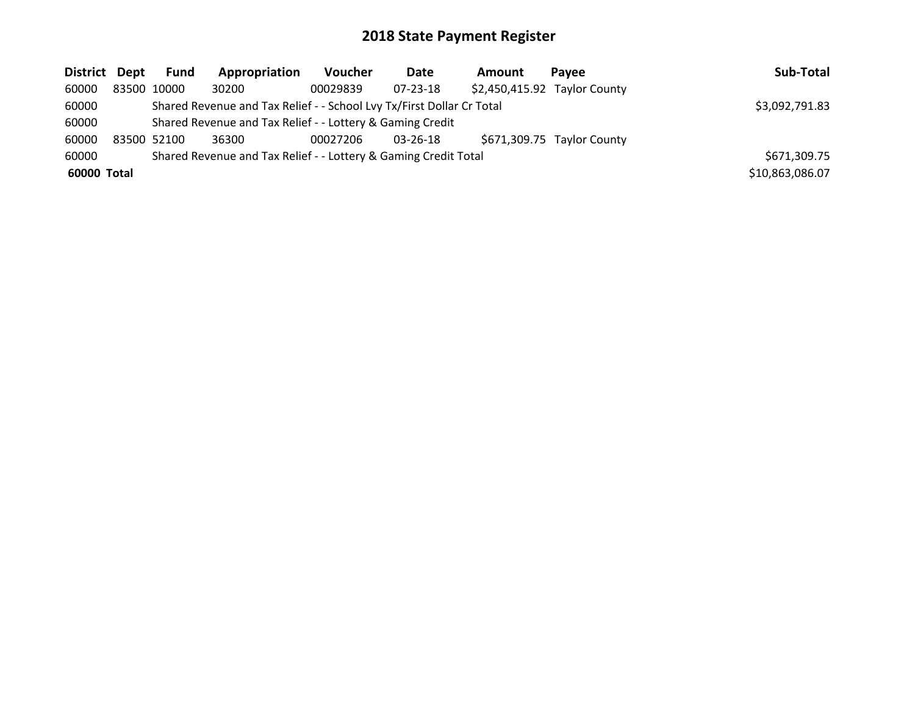| District Dept | Fund        | Appropriation                                                         | <b>Voucher</b> | Date           | <b>Amount</b> | Pavee                        | Sub-Total       |
|---------------|-------------|-----------------------------------------------------------------------|----------------|----------------|---------------|------------------------------|-----------------|
| 60000         | 83500 10000 | 30200                                                                 | 00029839       | $07 - 23 - 18$ |               | \$2,450,415.92 Taylor County |                 |
| 60000         |             | Shared Revenue and Tax Relief - - School Lvy Tx/First Dollar Cr Total |                |                |               |                              | \$3,092,791.83  |
| 60000         |             | Shared Revenue and Tax Relief - - Lottery & Gaming Credit             |                |                |               |                              |                 |
| 60000         | 83500 52100 | 36300                                                                 | 00027206       | 03-26-18       |               | \$671,309.75 Taylor County   |                 |
| 60000         |             | Shared Revenue and Tax Relief - - Lottery & Gaming Credit Total       |                |                |               |                              | \$671,309.75    |
| 60000 Total   |             |                                                                       |                |                |               |                              | \$10,863,086.07 |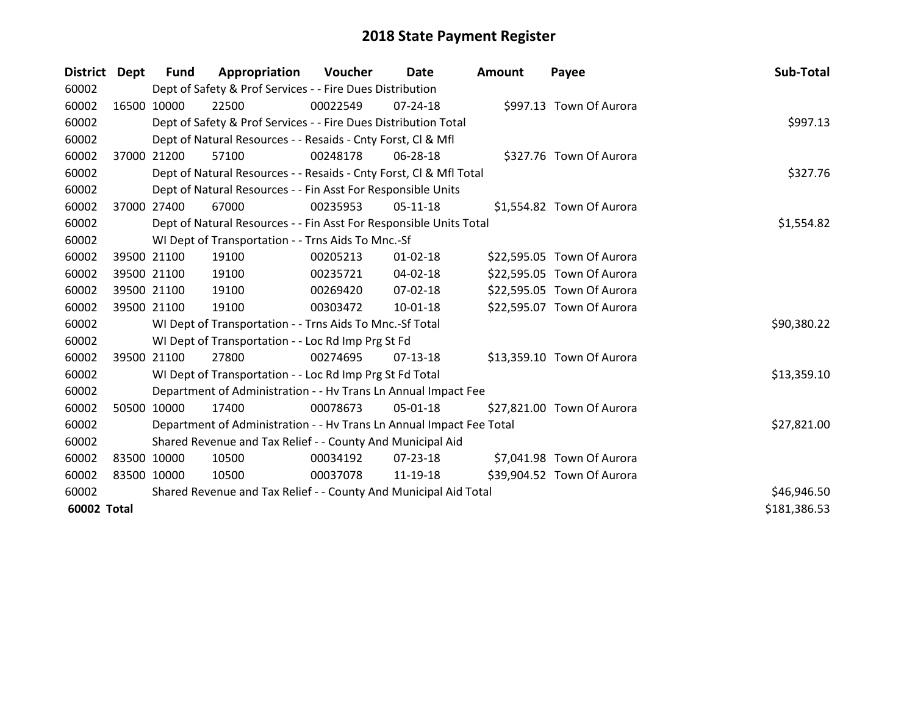| <b>District</b> | <b>Dept</b> | <b>Fund</b> | Appropriation                                                        | Voucher  | Date           | <b>Amount</b> | Payee                      | Sub-Total    |
|-----------------|-------------|-------------|----------------------------------------------------------------------|----------|----------------|---------------|----------------------------|--------------|
| 60002           |             |             | Dept of Safety & Prof Services - - Fire Dues Distribution            |          |                |               |                            |              |
| 60002           | 16500 10000 |             | 22500                                                                | 00022549 | $07 - 24 - 18$ |               | \$997.13 Town Of Aurora    |              |
| 60002           |             |             | Dept of Safety & Prof Services - - Fire Dues Distribution Total      |          |                |               |                            | \$997.13     |
| 60002           |             |             | Dept of Natural Resources - - Resaids - Cnty Forst, CI & Mfl         |          |                |               |                            |              |
| 60002           |             | 37000 21200 | 57100                                                                | 00248178 | 06-28-18       |               | \$327.76 Town Of Aurora    |              |
| 60002           |             |             | Dept of Natural Resources - - Resaids - Cnty Forst, Cl & Mfl Total   |          |                |               |                            | \$327.76     |
| 60002           |             |             | Dept of Natural Resources - - Fin Asst For Responsible Units         |          |                |               |                            |              |
| 60002           |             | 37000 27400 | 67000                                                                | 00235953 | 05-11-18       |               | \$1,554.82 Town Of Aurora  |              |
| 60002           |             |             | Dept of Natural Resources - - Fin Asst For Responsible Units Total   |          |                |               |                            | \$1,554.82   |
| 60002           |             |             | WI Dept of Transportation - - Trns Aids To Mnc.-Sf                   |          |                |               |                            |              |
| 60002           |             | 39500 21100 | 19100                                                                | 00205213 | $01 - 02 - 18$ |               | \$22,595.05 Town Of Aurora |              |
| 60002           |             | 39500 21100 | 19100                                                                | 00235721 | 04-02-18       |               | \$22,595.05 Town Of Aurora |              |
| 60002           |             | 39500 21100 | 19100                                                                | 00269420 | $07 - 02 - 18$ |               | \$22,595.05 Town Of Aurora |              |
| 60002           | 39500 21100 |             | 19100                                                                | 00303472 | 10-01-18       |               | \$22,595.07 Town Of Aurora |              |
| 60002           |             |             | WI Dept of Transportation - - Trns Aids To Mnc.-Sf Total             |          |                |               |                            | \$90,380.22  |
| 60002           |             |             | WI Dept of Transportation - - Loc Rd Imp Prg St Fd                   |          |                |               |                            |              |
| 60002           | 39500 21100 |             | 27800                                                                | 00274695 | $07-13-18$     |               | \$13,359.10 Town Of Aurora |              |
| 60002           |             |             | WI Dept of Transportation - - Loc Rd Imp Prg St Fd Total             |          |                |               |                            | \$13,359.10  |
| 60002           |             |             | Department of Administration - - Hv Trans Ln Annual Impact Fee       |          |                |               |                            |              |
| 60002           | 50500       | 10000       | 17400                                                                | 00078673 | 05-01-18       |               | \$27,821.00 Town Of Aurora |              |
| 60002           |             |             | Department of Administration - - Hv Trans Ln Annual Impact Fee Total |          |                |               |                            | \$27,821.00  |
| 60002           |             |             | Shared Revenue and Tax Relief - - County And Municipal Aid           |          |                |               |                            |              |
| 60002           | 83500 10000 |             | 10500                                                                | 00034192 | 07-23-18       |               | \$7,041.98 Town Of Aurora  |              |
| 60002           | 83500 10000 |             | 10500                                                                | 00037078 | 11-19-18       |               | \$39,904.52 Town Of Aurora |              |
| 60002           |             |             | Shared Revenue and Tax Relief - - County And Municipal Aid Total     |          |                |               |                            | \$46,946.50  |
| 60002 Total     |             |             |                                                                      |          |                |               |                            | \$181,386.53 |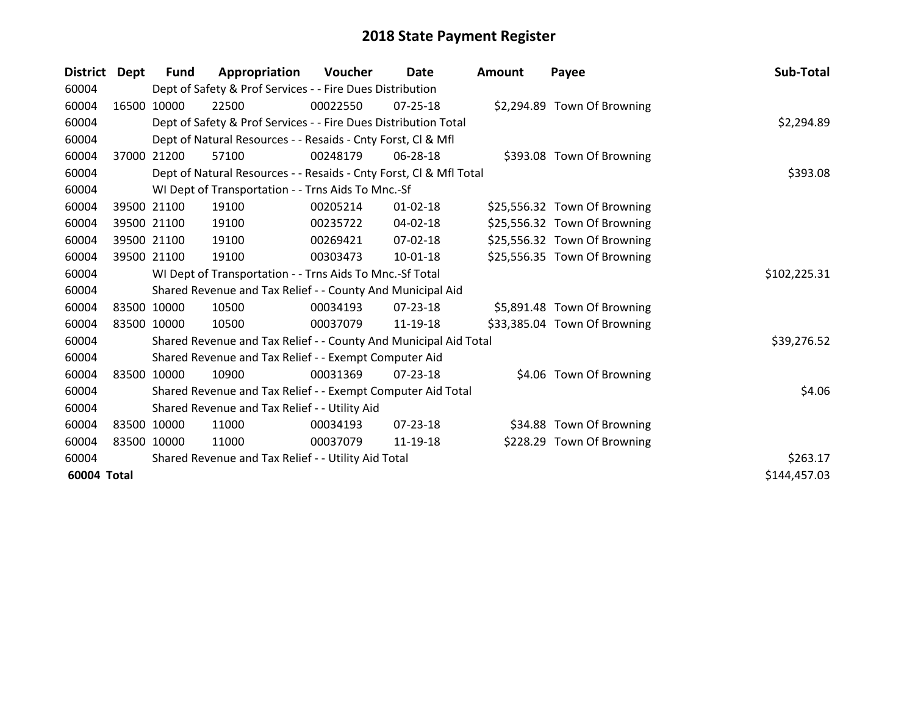| <b>District</b> | Dept        | Fund        | Appropriation                                                      | Voucher  | Date           | Amount | Payee                        | Sub-Total    |
|-----------------|-------------|-------------|--------------------------------------------------------------------|----------|----------------|--------|------------------------------|--------------|
| 60004           |             |             | Dept of Safety & Prof Services - - Fire Dues Distribution          |          |                |        |                              |              |
| 60004           |             | 16500 10000 | 22500                                                              | 00022550 | 07-25-18       |        | \$2,294.89 Town Of Browning  |              |
| 60004           |             |             | Dept of Safety & Prof Services - - Fire Dues Distribution Total    |          |                |        |                              | \$2,294.89   |
| 60004           |             |             | Dept of Natural Resources - - Resaids - Cnty Forst, CI & Mfl       |          |                |        |                              |              |
| 60004           | 37000       | 21200       | 57100                                                              | 00248179 | 06-28-18       |        | \$393.08 Town Of Browning    |              |
| 60004           |             |             | Dept of Natural Resources - - Resaids - Cnty Forst, Cl & Mfl Total |          |                |        |                              | \$393.08     |
| 60004           |             |             | WI Dept of Transportation - - Trns Aids To Mnc.-Sf                 |          |                |        |                              |              |
| 60004           |             | 39500 21100 | 19100                                                              | 00205214 | $01 - 02 - 18$ |        | \$25,556.32 Town Of Browning |              |
| 60004           |             | 39500 21100 | 19100                                                              | 00235722 | $04 - 02 - 18$ |        | \$25,556.32 Town Of Browning |              |
| 60004           |             | 39500 21100 | 19100                                                              | 00269421 | 07-02-18       |        | \$25,556.32 Town Of Browning |              |
| 60004           |             | 39500 21100 | 19100                                                              | 00303473 | 10-01-18       |        | \$25,556.35 Town Of Browning |              |
| 60004           |             |             | WI Dept of Transportation - - Trns Aids To Mnc.-Sf Total           |          |                |        |                              | \$102,225.31 |
| 60004           |             |             | Shared Revenue and Tax Relief - - County And Municipal Aid         |          |                |        |                              |              |
| 60004           |             | 83500 10000 | 10500                                                              | 00034193 | 07-23-18       |        | \$5,891.48 Town Of Browning  |              |
| 60004           | 83500 10000 |             | 10500                                                              | 00037079 | 11-19-18       |        | \$33,385.04 Town Of Browning |              |
| 60004           |             |             | Shared Revenue and Tax Relief - - County And Municipal Aid Total   |          |                |        |                              | \$39,276.52  |
| 60004           |             |             | Shared Revenue and Tax Relief - - Exempt Computer Aid              |          |                |        |                              |              |
| 60004           |             | 83500 10000 | 10900                                                              | 00031369 | $07 - 23 - 18$ |        | \$4.06 Town Of Browning      |              |
| 60004           |             |             | Shared Revenue and Tax Relief - - Exempt Computer Aid Total        |          |                |        |                              | \$4.06       |
| 60004           |             |             | Shared Revenue and Tax Relief - - Utility Aid                      |          |                |        |                              |              |
| 60004           |             | 83500 10000 | 11000                                                              | 00034193 | $07 - 23 - 18$ |        | \$34.88 Town Of Browning     |              |
| 60004           | 83500 10000 |             | 11000                                                              | 00037079 | 11-19-18       |        | \$228.29 Town Of Browning    |              |
| 60004           |             |             | Shared Revenue and Tax Relief - - Utility Aid Total                |          |                |        |                              | \$263.17     |
| 60004 Total     |             |             |                                                                    |          |                |        |                              | \$144,457.03 |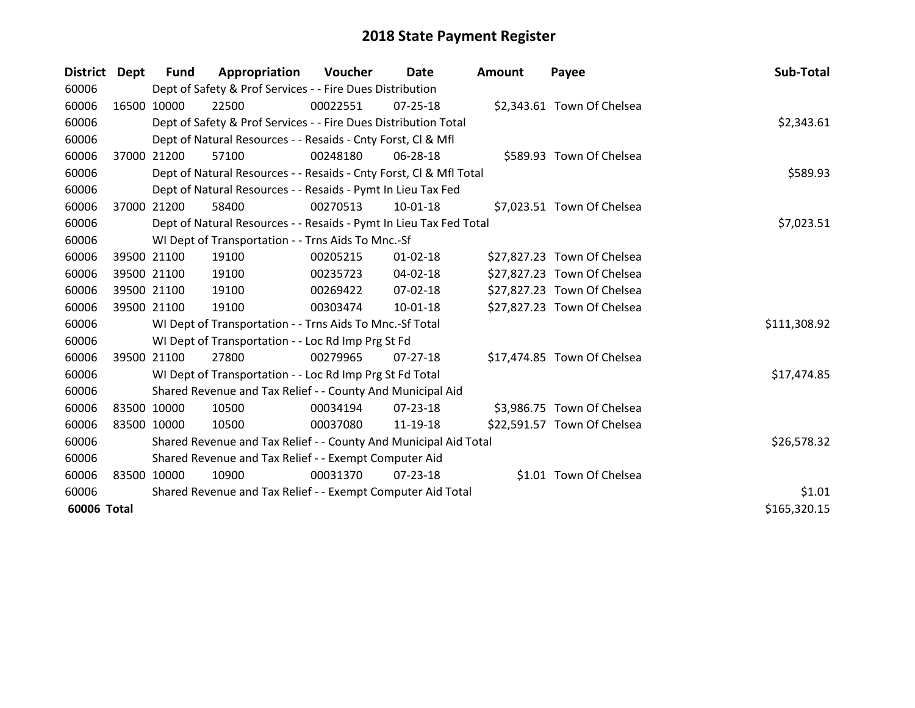| <b>District</b> | Dept        | <b>Fund</b> | Appropriation                                                      | Voucher     | Date           | <b>Amount</b> | Payee                       | Sub-Total    |
|-----------------|-------------|-------------|--------------------------------------------------------------------|-------------|----------------|---------------|-----------------------------|--------------|
| 60006           |             |             | Dept of Safety & Prof Services - - Fire Dues Distribution          |             |                |               |                             |              |
| 60006           | 16500 10000 |             | 22500                                                              | 00022551    | 07-25-18       |               | \$2,343.61 Town Of Chelsea  |              |
| 60006           |             |             | Dept of Safety & Prof Services - - Fire Dues Distribution Total    |             |                |               |                             | \$2,343.61   |
| 60006           |             |             | Dept of Natural Resources - - Resaids - Cnty Forst, CI & Mfl       |             |                |               |                             |              |
| 60006           |             | 37000 21200 | 57100                                                              | 00248180    | 06-28-18       |               | \$589.93 Town Of Chelsea    |              |
| 60006           |             |             | Dept of Natural Resources - - Resaids - Cnty Forst, Cl & Mfl Total |             |                |               |                             | \$589.93     |
| 60006           |             |             | Dept of Natural Resources - - Resaids - Pymt In Lieu Tax Fed       |             |                |               |                             |              |
| 60006           | 37000       | 21200       | 58400                                                              | 00270513    | 10-01-18       |               | \$7,023.51 Town Of Chelsea  |              |
| 60006           |             |             | Dept of Natural Resources - - Resaids - Pymt In Lieu Tax Fed Total |             |                |               |                             | \$7,023.51   |
| 60006           |             |             | WI Dept of Transportation - - Trns Aids To Mnc.-Sf                 |             |                |               |                             |              |
| 60006           |             | 39500 21100 | 19100                                                              | 00205215    | $01 - 02 - 18$ |               | \$27,827.23 Town Of Chelsea |              |
| 60006           |             | 39500 21100 | 19100                                                              | 00235723    | 04-02-18       |               | \$27,827.23 Town Of Chelsea |              |
| 60006           |             | 39500 21100 | 19100                                                              | 00269422    | $07 - 02 - 18$ |               | \$27,827.23 Town Of Chelsea |              |
| 60006           | 39500 21100 |             | 19100                                                              | 00303474    | 10-01-18       |               | \$27,827.23 Town Of Chelsea |              |
| 60006           |             |             | WI Dept of Transportation - - Trns Aids To Mnc.-Sf Total           |             |                |               |                             | \$111,308.92 |
| 60006           |             |             | WI Dept of Transportation - - Loc Rd Imp Prg St Fd                 |             |                |               |                             |              |
| 60006           | 39500 21100 |             | 27800                                                              | 00279965    | $07 - 27 - 18$ |               | \$17,474.85 Town Of Chelsea |              |
| 60006           |             |             | WI Dept of Transportation - - Loc Rd Imp Prg St Fd Total           |             |                |               |                             | \$17,474.85  |
| 60006           |             |             | Shared Revenue and Tax Relief - - County And Municipal Aid         |             |                |               |                             |              |
| 60006           | 83500 10000 |             | 10500                                                              | 00034194    | 07-23-18       |               | \$3,986.75 Town Of Chelsea  |              |
| 60006           | 83500 10000 |             | 10500                                                              | 00037080    | 11-19-18       |               | \$22,591.57 Town Of Chelsea |              |
| 60006           |             |             | Shared Revenue and Tax Relief - - County And Municipal Aid Total   | \$26,578.32 |                |               |                             |              |
| 60006           |             |             | Shared Revenue and Tax Relief - - Exempt Computer Aid              |             |                |               |                             |              |
| 60006           | 83500 10000 |             | 10900                                                              | 00031370    | 07-23-18       |               | \$1.01 Town Of Chelsea      |              |
| 60006           |             |             | Shared Revenue and Tax Relief - - Exempt Computer Aid Total        |             |                |               |                             | \$1.01       |
| 60006 Total     |             |             |                                                                    |             |                |               |                             | \$165,320.15 |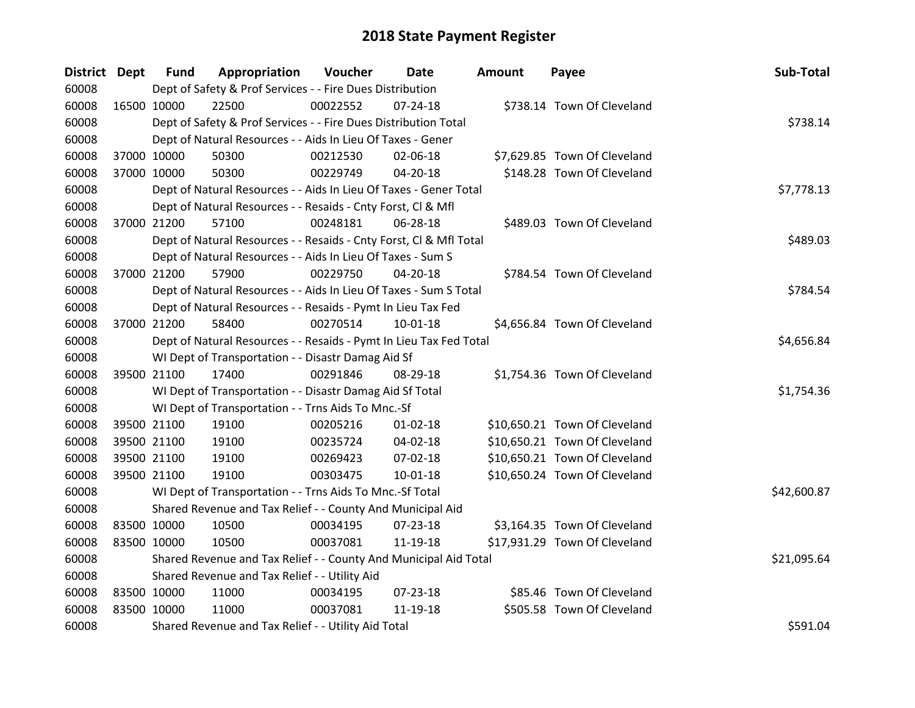| District Dept |             | <b>Fund</b> | Appropriation                                                      | Voucher  | <b>Date</b>    | <b>Amount</b> | Payee                         | Sub-Total   |
|---------------|-------------|-------------|--------------------------------------------------------------------|----------|----------------|---------------|-------------------------------|-------------|
| 60008         |             |             | Dept of Safety & Prof Services - - Fire Dues Distribution          |          |                |               |                               |             |
| 60008         | 16500 10000 |             | 22500                                                              | 00022552 | $07 - 24 - 18$ |               | \$738.14 Town Of Cleveland    |             |
| 60008         |             |             | Dept of Safety & Prof Services - - Fire Dues Distribution Total    |          |                |               |                               | \$738.14    |
| 60008         |             |             | Dept of Natural Resources - - Aids In Lieu Of Taxes - Gener        |          |                |               |                               |             |
| 60008         | 37000 10000 |             | 50300                                                              | 00212530 | 02-06-18       |               | \$7,629.85 Town Of Cleveland  |             |
| 60008         | 37000 10000 |             | 50300                                                              | 00229749 | 04-20-18       |               | \$148.28 Town Of Cleveland    |             |
| 60008         |             |             | Dept of Natural Resources - - Aids In Lieu Of Taxes - Gener Total  |          |                |               |                               | \$7,778.13  |
| 60008         |             |             | Dept of Natural Resources - - Resaids - Cnty Forst, Cl & Mfl       |          |                |               |                               |             |
| 60008         | 37000 21200 |             | 57100                                                              | 00248181 | 06-28-18       |               | \$489.03 Town Of Cleveland    |             |
| 60008         |             |             | Dept of Natural Resources - - Resaids - Cnty Forst, Cl & Mfl Total |          |                |               |                               | \$489.03    |
| 60008         |             |             | Dept of Natural Resources - - Aids In Lieu Of Taxes - Sum S        |          |                |               |                               |             |
| 60008         | 37000 21200 |             | 57900                                                              | 00229750 | $04 - 20 - 18$ |               | \$784.54 Town Of Cleveland    |             |
| 60008         |             |             | Dept of Natural Resources - - Aids In Lieu Of Taxes - Sum S Total  |          |                |               |                               | \$784.54    |
| 60008         |             |             | Dept of Natural Resources - - Resaids - Pymt In Lieu Tax Fed       |          |                |               |                               |             |
| 60008         | 37000 21200 |             | 58400                                                              | 00270514 | $10 - 01 - 18$ |               | \$4,656.84 Town Of Cleveland  |             |
| 60008         |             |             | Dept of Natural Resources - - Resaids - Pymt In Lieu Tax Fed Total |          |                |               |                               | \$4,656.84  |
| 60008         |             |             | WI Dept of Transportation - - Disastr Damag Aid Sf                 |          |                |               |                               |             |
| 60008         | 39500 21100 |             | 17400                                                              | 00291846 | 08-29-18       |               | \$1,754.36 Town Of Cleveland  |             |
| 60008         |             |             | WI Dept of Transportation - - Disastr Damag Aid Sf Total           |          |                |               |                               | \$1,754.36  |
| 60008         |             |             | WI Dept of Transportation - - Trns Aids To Mnc.-Sf                 |          |                |               |                               |             |
| 60008         |             | 39500 21100 | 19100                                                              | 00205216 | $01 - 02 - 18$ |               | \$10,650.21 Town Of Cleveland |             |
| 60008         | 39500 21100 |             | 19100                                                              | 00235724 | 04-02-18       |               | \$10,650.21 Town Of Cleveland |             |
| 60008         | 39500 21100 |             | 19100                                                              | 00269423 | 07-02-18       |               | \$10,650.21 Town Of Cleveland |             |
| 60008         | 39500 21100 |             | 19100                                                              | 00303475 | 10-01-18       |               | \$10,650.24 Town Of Cleveland |             |
| 60008         |             |             | WI Dept of Transportation - - Trns Aids To Mnc.-Sf Total           |          |                |               |                               | \$42,600.87 |
| 60008         |             |             | Shared Revenue and Tax Relief - - County And Municipal Aid         |          |                |               |                               |             |
| 60008         | 83500 10000 |             | 10500                                                              | 00034195 | 07-23-18       |               | \$3,164.35 Town Of Cleveland  |             |
| 60008         | 83500 10000 |             | 10500                                                              | 00037081 | 11-19-18       |               | \$17,931.29 Town Of Cleveland |             |
| 60008         |             |             | Shared Revenue and Tax Relief - - County And Municipal Aid Total   |          |                |               |                               | \$21,095.64 |
| 60008         |             |             | Shared Revenue and Tax Relief - - Utility Aid                      |          |                |               |                               |             |
| 60008         | 83500 10000 |             | 11000                                                              | 00034195 | $07 - 23 - 18$ |               | \$85.46 Town Of Cleveland     |             |
| 60008         | 83500 10000 |             | 11000                                                              | 00037081 | 11-19-18       |               | \$505.58 Town Of Cleveland    |             |
| 60008         |             |             | Shared Revenue and Tax Relief - - Utility Aid Total                |          |                |               |                               | \$591.04    |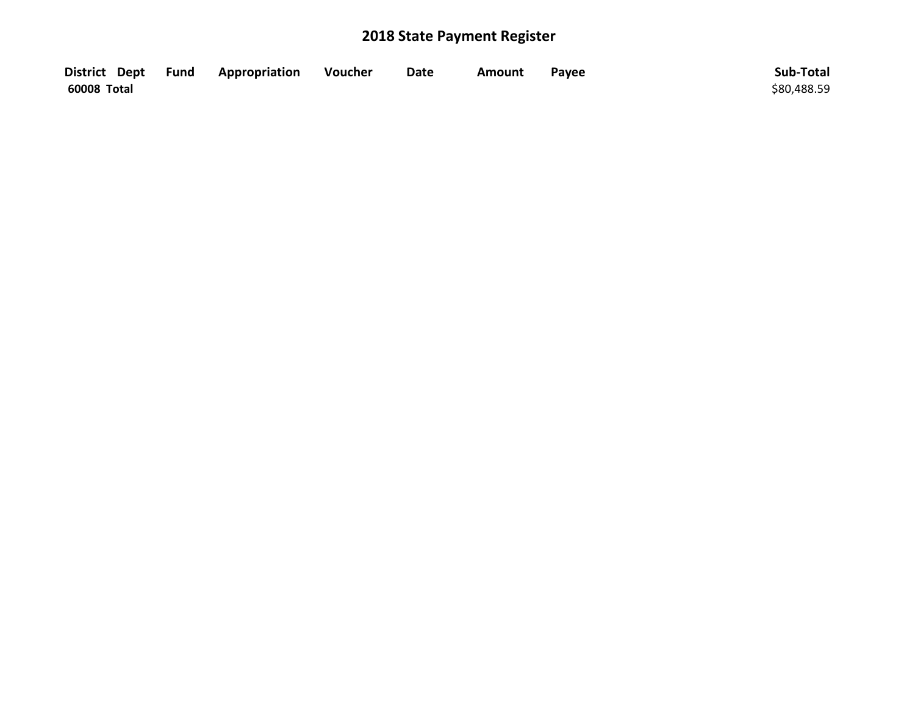|             | District Dept Fund Appropriation | Voucher | <b>Date</b> | Amount | Payee | Sub-Total   |
|-------------|----------------------------------|---------|-------------|--------|-------|-------------|
| 60008 Total |                                  |         |             |        |       | \$80,488.59 |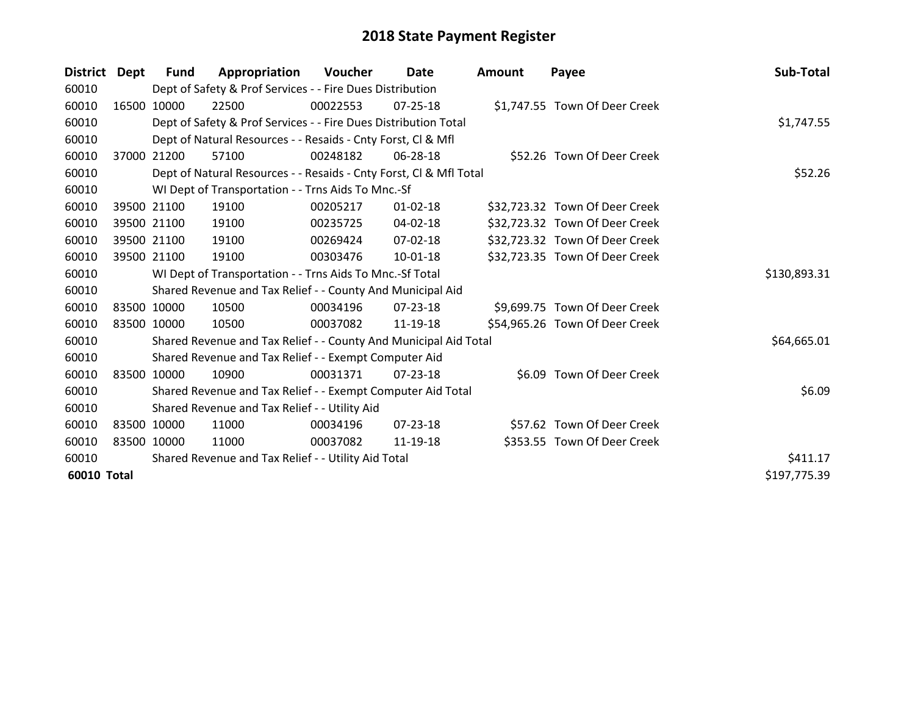| <b>District</b> | Dept  | Fund        | Appropriation                                                      | <b>Voucher</b> | Date           | <b>Amount</b> | Payee                          | Sub-Total    |
|-----------------|-------|-------------|--------------------------------------------------------------------|----------------|----------------|---------------|--------------------------------|--------------|
| 60010           |       |             | Dept of Safety & Prof Services - - Fire Dues Distribution          |                |                |               |                                |              |
| 60010           |       | 16500 10000 | 22500                                                              | 00022553       | $07 - 25 - 18$ |               | \$1,747.55 Town Of Deer Creek  |              |
| 60010           |       |             | Dept of Safety & Prof Services - - Fire Dues Distribution Total    |                |                |               |                                | \$1,747.55   |
| 60010           |       |             | Dept of Natural Resources - - Resaids - Cnty Forst, CI & Mfl       |                |                |               |                                |              |
| 60010           | 37000 | 21200       | 57100                                                              | 00248182       | 06-28-18       |               | \$52.26 Town Of Deer Creek     |              |
| 60010           |       |             | Dept of Natural Resources - - Resaids - Cnty Forst, Cl & Mfl Total |                |                |               |                                | \$52.26      |
| 60010           |       |             | WI Dept of Transportation - - Trns Aids To Mnc.-Sf                 |                |                |               |                                |              |
| 60010           |       | 39500 21100 | 19100                                                              | 00205217       | $01 - 02 - 18$ |               | \$32,723.32 Town Of Deer Creek |              |
| 60010           |       | 39500 21100 | 19100                                                              | 00235725       | 04-02-18       |               | \$32,723.32 Town Of Deer Creek |              |
| 60010           |       | 39500 21100 | 19100                                                              | 00269424       | 07-02-18       |               | \$32,723.32 Town Of Deer Creek |              |
| 60010           |       | 39500 21100 | 19100                                                              | 00303476       | 10-01-18       |               | \$32,723.35 Town Of Deer Creek |              |
| 60010           |       |             | WI Dept of Transportation - - Trns Aids To Mnc.-Sf Total           |                |                |               |                                | \$130,893.31 |
| 60010           |       |             | Shared Revenue and Tax Relief - - County And Municipal Aid         |                |                |               |                                |              |
| 60010           |       | 83500 10000 | 10500                                                              | 00034196       | 07-23-18       |               | \$9,699.75 Town Of Deer Creek  |              |
| 60010           |       | 83500 10000 | 10500                                                              | 00037082       | 11-19-18       |               | \$54,965.26 Town Of Deer Creek |              |
| 60010           |       |             | Shared Revenue and Tax Relief - - County And Municipal Aid Total   |                |                |               |                                | \$64,665.01  |
| 60010           |       |             | Shared Revenue and Tax Relief - - Exempt Computer Aid              |                |                |               |                                |              |
| 60010           |       | 83500 10000 | 10900                                                              | 00031371       | $07 - 23 - 18$ |               | \$6.09 Town Of Deer Creek      |              |
| 60010           |       |             | Shared Revenue and Tax Relief - - Exempt Computer Aid Total        |                |                |               |                                | \$6.09       |
| 60010           |       |             | Shared Revenue and Tax Relief - - Utility Aid                      |                |                |               |                                |              |
| 60010           |       | 83500 10000 | 11000                                                              | 00034196       | $07 - 23 - 18$ |               | \$57.62 Town Of Deer Creek     |              |
| 60010           |       | 83500 10000 | 11000                                                              | 00037082       | 11-19-18       |               | \$353.55 Town Of Deer Creek    |              |
| 60010           |       |             | Shared Revenue and Tax Relief - - Utility Aid Total                |                |                |               |                                | \$411.17     |
| 60010 Total     |       |             |                                                                    |                |                |               |                                | \$197,775.39 |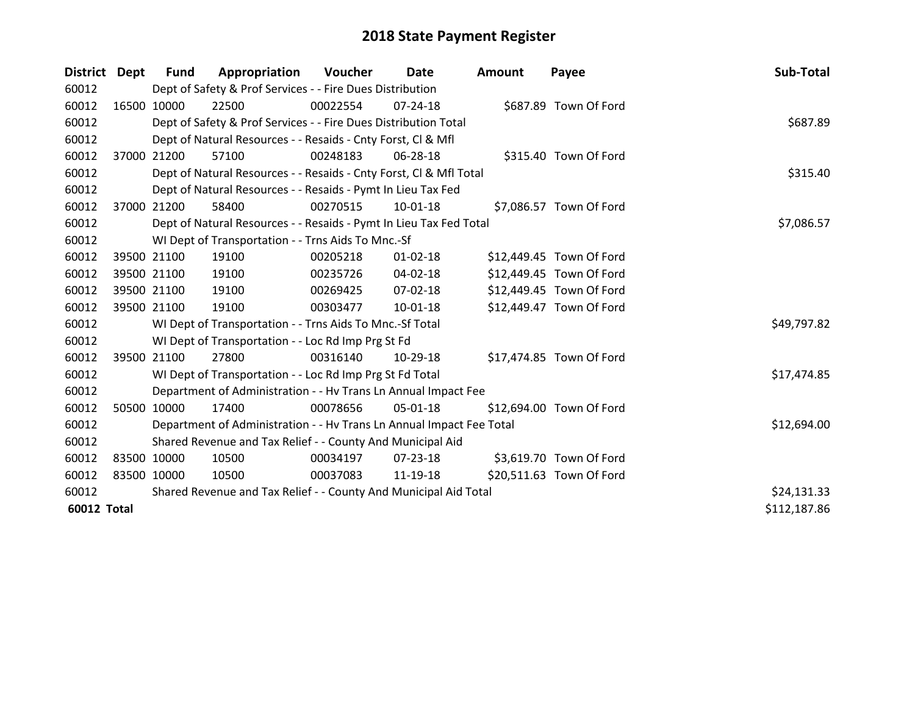| <b>District</b>    | Dept        | <b>Fund</b> | Appropriation                                                        | Voucher  | Date           | <b>Amount</b> | Payee                    | Sub-Total    |
|--------------------|-------------|-------------|----------------------------------------------------------------------|----------|----------------|---------------|--------------------------|--------------|
| 60012              |             |             | Dept of Safety & Prof Services - - Fire Dues Distribution            |          |                |               |                          |              |
| 60012              | 16500 10000 |             | 22500                                                                | 00022554 | $07 - 24 - 18$ |               | \$687.89 Town Of Ford    |              |
| 60012              |             |             | Dept of Safety & Prof Services - - Fire Dues Distribution Total      |          |                |               |                          | \$687.89     |
| 60012              |             |             | Dept of Natural Resources - - Resaids - Cnty Forst, CI & Mfl         |          |                |               |                          |              |
| 60012              | 37000 21200 |             | 57100                                                                | 00248183 | 06-28-18       |               | \$315.40 Town Of Ford    |              |
| 60012              |             |             | Dept of Natural Resources - - Resaids - Cnty Forst, Cl & Mfl Total   |          |                |               |                          | \$315.40     |
| 60012              |             |             | Dept of Natural Resources - - Resaids - Pymt In Lieu Tax Fed         |          |                |               |                          |              |
| 60012              | 37000       | 21200       | 58400                                                                | 00270515 | 10-01-18       |               | \$7,086.57 Town Of Ford  |              |
| 60012              |             |             | Dept of Natural Resources - - Resaids - Pymt In Lieu Tax Fed Total   |          |                |               |                          | \$7,086.57   |
| 60012              |             |             | WI Dept of Transportation - - Trns Aids To Mnc.-Sf                   |          |                |               |                          |              |
| 60012              | 39500 21100 |             | 19100                                                                | 00205218 | $01 - 02 - 18$ |               | \$12,449.45 Town Of Ford |              |
| 60012              | 39500 21100 |             | 19100                                                                | 00235726 | 04-02-18       |               | \$12,449.45 Town Of Ford |              |
| 60012              | 39500 21100 |             | 19100                                                                | 00269425 | 07-02-18       |               | \$12,449.45 Town Of Ford |              |
| 60012              | 39500 21100 |             | 19100                                                                | 00303477 | 10-01-18       |               | \$12,449.47 Town Of Ford |              |
| 60012              |             |             | WI Dept of Transportation - - Trns Aids To Mnc.-Sf Total             |          |                |               |                          | \$49,797.82  |
| 60012              |             |             | WI Dept of Transportation - - Loc Rd Imp Prg St Fd                   |          |                |               |                          |              |
| 60012              | 39500 21100 |             | 27800                                                                | 00316140 | $10-29-18$     |               | \$17,474.85 Town Of Ford |              |
| 60012              |             |             | WI Dept of Transportation - - Loc Rd Imp Prg St Fd Total             |          |                |               |                          | \$17,474.85  |
| 60012              |             |             | Department of Administration - - Hv Trans Ln Annual Impact Fee       |          |                |               |                          |              |
| 60012              | 50500       | 10000       | 17400                                                                | 00078656 | 05-01-18       |               | \$12,694.00 Town Of Ford |              |
| 60012              |             |             | Department of Administration - - Hv Trans Ln Annual Impact Fee Total |          |                |               |                          | \$12,694.00  |
| 60012              |             |             | Shared Revenue and Tax Relief - - County And Municipal Aid           |          |                |               |                          |              |
| 60012              | 83500 10000 |             | 10500                                                                | 00034197 | 07-23-18       |               | \$3,619.70 Town Of Ford  |              |
| 60012              | 83500 10000 |             | 10500                                                                | 00037083 | 11-19-18       |               | \$20,511.63 Town Of Ford |              |
| 60012              |             |             | Shared Revenue and Tax Relief - - County And Municipal Aid Total     |          |                |               |                          | \$24,131.33  |
| <b>60012 Total</b> |             |             |                                                                      |          |                |               |                          | \$112,187.86 |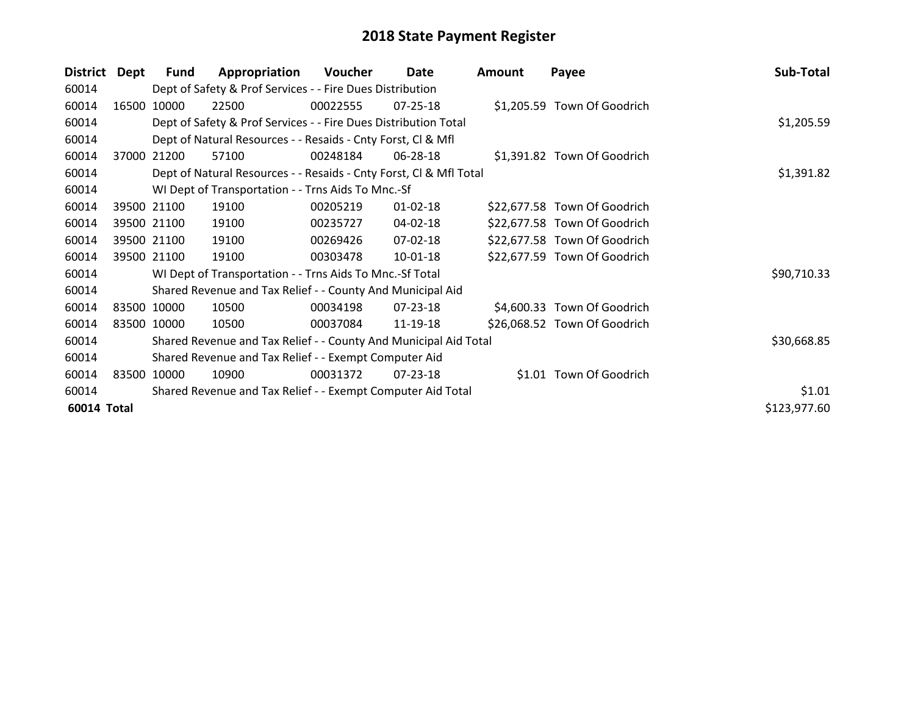| <b>District</b> | Dept  | <b>Fund</b> | Appropriation                                                      | <b>Voucher</b> | Date           | <b>Amount</b> | Payee                        | Sub-Total    |
|-----------------|-------|-------------|--------------------------------------------------------------------|----------------|----------------|---------------|------------------------------|--------------|
| 60014           |       |             | Dept of Safety & Prof Services - - Fire Dues Distribution          |                |                |               |                              |              |
| 60014           | 16500 | 10000       | 22500                                                              | 00022555       | $07 - 25 - 18$ |               | \$1,205.59 Town Of Goodrich  |              |
| 60014           |       |             | Dept of Safety & Prof Services - - Fire Dues Distribution Total    |                |                |               |                              | \$1,205.59   |
| 60014           |       |             | Dept of Natural Resources - - Resaids - Cnty Forst, CI & Mfl       |                |                |               |                              |              |
| 60014           | 37000 | 21200       | 57100                                                              | 00248184       | 06-28-18       |               | \$1,391.82 Town Of Goodrich  |              |
| 60014           |       |             | Dept of Natural Resources - - Resaids - Cnty Forst, CI & Mfl Total | \$1,391.82     |                |               |                              |              |
| 60014           |       |             | WI Dept of Transportation - - Trns Aids To Mnc.-Sf                 |                |                |               |                              |              |
| 60014           |       | 39500 21100 | 19100                                                              | 00205219       | $01 - 02 - 18$ |               | \$22,677.58 Town Of Goodrich |              |
| 60014           |       | 39500 21100 | 19100                                                              | 00235727       | 04-02-18       |               | \$22,677.58 Town Of Goodrich |              |
| 60014           |       | 39500 21100 | 19100                                                              | 00269426       | 07-02-18       |               | \$22,677.58 Town Of Goodrich |              |
| 60014           |       | 39500 21100 | 19100                                                              | 00303478       | 10-01-18       |               | \$22,677.59 Town Of Goodrich |              |
| 60014           |       |             | WI Dept of Transportation - - Trns Aids To Mnc.-Sf Total           |                |                |               |                              | \$90,710.33  |
| 60014           |       |             | Shared Revenue and Tax Relief - - County And Municipal Aid         |                |                |               |                              |              |
| 60014           |       | 83500 10000 | 10500                                                              | 00034198       | $07 - 23 - 18$ |               | \$4,600.33 Town Of Goodrich  |              |
| 60014           |       | 83500 10000 | 10500                                                              | 00037084       | 11-19-18       |               | \$26,068.52 Town Of Goodrich |              |
| 60014           |       |             | Shared Revenue and Tax Relief - - County And Municipal Aid Total   |                |                |               |                              | \$30,668.85  |
| 60014           |       |             | Shared Revenue and Tax Relief - - Exempt Computer Aid              |                |                |               |                              |              |
| 60014           |       | 83500 10000 | 10900                                                              | 00031372       | 07-23-18       |               | \$1.01 Town Of Goodrich      |              |
| 60014           |       |             | Shared Revenue and Tax Relief - - Exempt Computer Aid Total        |                |                |               |                              | \$1.01       |
| 60014 Total     |       |             |                                                                    |                |                |               |                              | \$123,977.60 |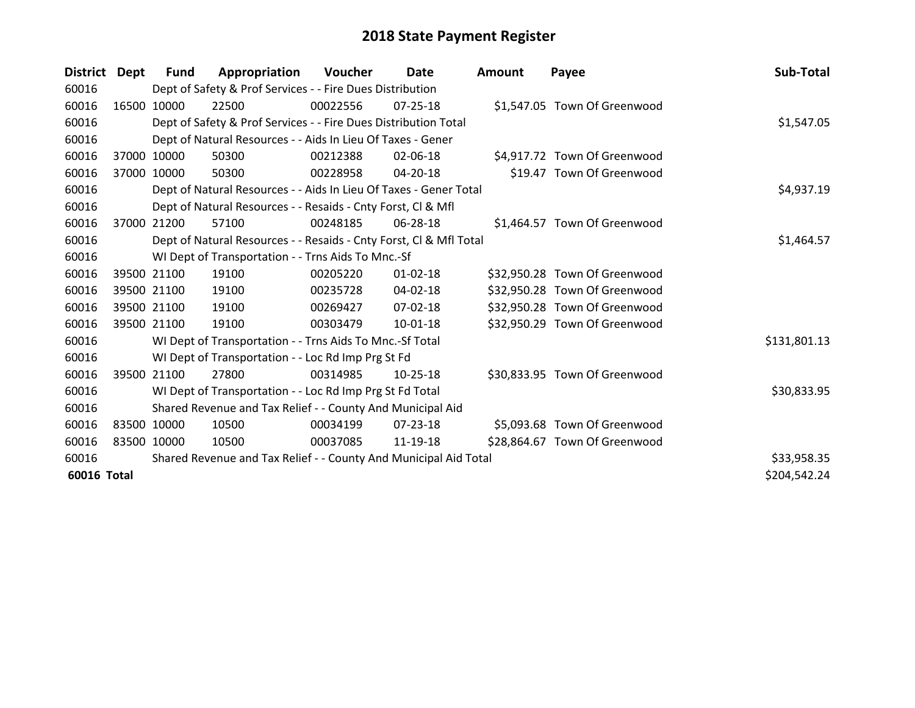| District Dept |             | <b>Fund</b> | Appropriation                                                      | <b>Voucher</b> | <b>Date</b>    | <b>Amount</b> | Payee                         | Sub-Total    |
|---------------|-------------|-------------|--------------------------------------------------------------------|----------------|----------------|---------------|-------------------------------|--------------|
| 60016         |             |             | Dept of Safety & Prof Services - - Fire Dues Distribution          |                |                |               |                               |              |
| 60016         |             | 16500 10000 | 22500                                                              | 00022556       | $07 - 25 - 18$ |               | \$1,547.05 Town Of Greenwood  |              |
| 60016         |             |             | Dept of Safety & Prof Services - - Fire Dues Distribution Total    |                |                |               |                               | \$1,547.05   |
| 60016         |             |             | Dept of Natural Resources - - Aids In Lieu Of Taxes - Gener        |                |                |               |                               |              |
| 60016         |             | 37000 10000 | 50300                                                              | 00212388       | 02-06-18       |               | \$4,917.72 Town Of Greenwood  |              |
| 60016         |             | 37000 10000 | 50300                                                              | 00228958       | 04-20-18       |               | \$19.47 Town Of Greenwood     |              |
| 60016         |             |             | Dept of Natural Resources - - Aids In Lieu Of Taxes - Gener Total  |                |                |               |                               | \$4,937.19   |
| 60016         |             |             | Dept of Natural Resources - - Resaids - Cnty Forst, CI & Mfl       |                |                |               |                               |              |
| 60016         |             | 37000 21200 | 57100                                                              | 00248185       | 06-28-18       |               | \$1,464.57 Town Of Greenwood  |              |
| 60016         |             |             | Dept of Natural Resources - - Resaids - Cnty Forst, Cl & Mfl Total |                |                |               |                               | \$1,464.57   |
| 60016         |             |             | WI Dept of Transportation - - Trns Aids To Mnc.-Sf                 |                |                |               |                               |              |
| 60016         |             | 39500 21100 | 19100                                                              | 00205220       | $01 - 02 - 18$ |               | \$32,950.28 Town Of Greenwood |              |
| 60016         |             | 39500 21100 | 19100                                                              | 00235728       | 04-02-18       |               | \$32,950.28 Town Of Greenwood |              |
| 60016         |             | 39500 21100 | 19100                                                              | 00269427       | $07 - 02 - 18$ |               | \$32,950.28 Town Of Greenwood |              |
| 60016         |             | 39500 21100 | 19100                                                              | 00303479       | 10-01-18       |               | \$32,950.29 Town Of Greenwood |              |
| 60016         |             |             | WI Dept of Transportation - - Trns Aids To Mnc.-Sf Total           |                |                |               |                               | \$131,801.13 |
| 60016         |             |             | WI Dept of Transportation - - Loc Rd Imp Prg St Fd                 |                |                |               |                               |              |
| 60016         |             | 39500 21100 | 27800                                                              | 00314985       | $10-25-18$     |               | \$30,833.95 Town Of Greenwood |              |
| 60016         |             |             | WI Dept of Transportation - - Loc Rd Imp Prg St Fd Total           |                |                |               |                               | \$30,833.95  |
| 60016         |             |             | Shared Revenue and Tax Relief - - County And Municipal Aid         |                |                |               |                               |              |
| 60016         | 83500 10000 |             | 10500                                                              | 00034199       | $07 - 23 - 18$ |               | \$5,093.68 Town Of Greenwood  |              |
| 60016         | 83500 10000 |             | 10500                                                              | 00037085       | 11-19-18       |               | \$28,864.67 Town Of Greenwood |              |
| 60016         |             |             | Shared Revenue and Tax Relief - - County And Municipal Aid Total   |                |                |               |                               | \$33,958.35  |
| 60016 Total   |             |             |                                                                    |                |                |               |                               | \$204,542.24 |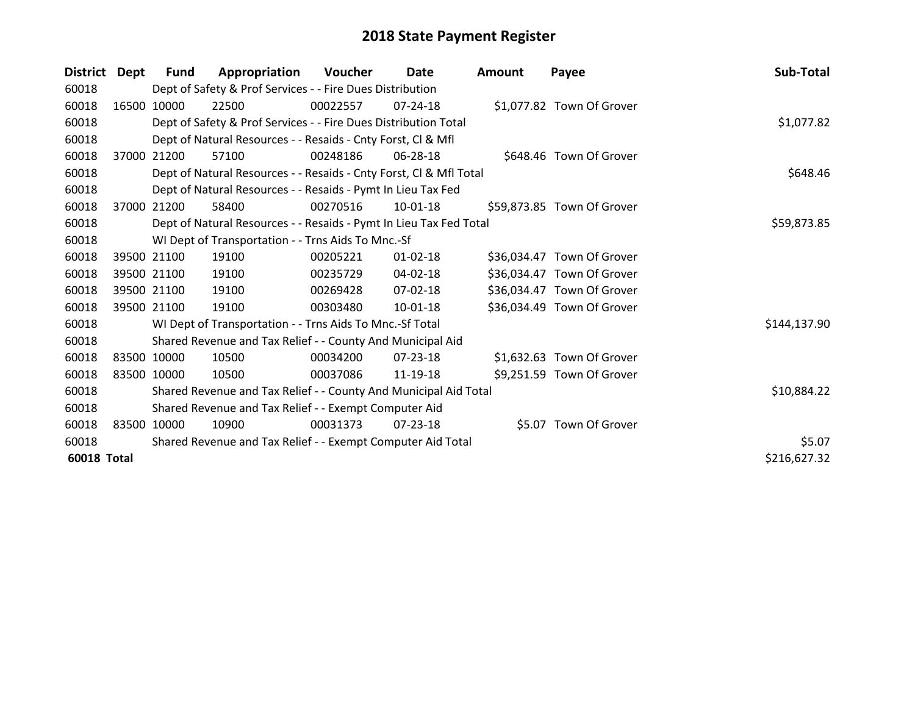| District    | Dept  | <b>Fund</b> | Appropriation                                                      | Voucher  | Date           | <b>Amount</b> | Payee                      | Sub-Total    |
|-------------|-------|-------------|--------------------------------------------------------------------|----------|----------------|---------------|----------------------------|--------------|
| 60018       |       |             | Dept of Safety & Prof Services - - Fire Dues Distribution          |          |                |               |                            |              |
| 60018       |       | 16500 10000 | 22500                                                              | 00022557 | $07 - 24 - 18$ |               | \$1,077.82 Town Of Grover  |              |
| 60018       |       |             | Dept of Safety & Prof Services - - Fire Dues Distribution Total    |          |                |               |                            | \$1,077.82   |
| 60018       |       |             | Dept of Natural Resources - - Resaids - Cnty Forst, CI & Mfl       |          |                |               |                            |              |
| 60018       |       | 37000 21200 | 57100                                                              | 00248186 | 06-28-18       |               | \$648.46 Town Of Grover    |              |
| 60018       |       |             | Dept of Natural Resources - - Resaids - Cnty Forst, Cl & Mfl Total |          |                |               |                            | \$648.46     |
| 60018       |       |             | Dept of Natural Resources - - Resaids - Pymt In Lieu Tax Fed       |          |                |               |                            |              |
| 60018       | 37000 | 21200       | 58400                                                              | 00270516 | $10-01-18$     |               | \$59,873.85 Town Of Grover |              |
| 60018       |       |             | Dept of Natural Resources - - Resaids - Pymt In Lieu Tax Fed Total |          |                |               |                            | \$59,873.85  |
| 60018       |       |             | WI Dept of Transportation - - Trns Aids To Mnc.-Sf                 |          |                |               |                            |              |
| 60018       |       | 39500 21100 | 19100                                                              | 00205221 | $01 - 02 - 18$ |               | \$36,034.47 Town Of Grover |              |
| 60018       |       | 39500 21100 | 19100                                                              | 00235729 | $04 - 02 - 18$ |               | \$36,034.47 Town Of Grover |              |
| 60018       |       | 39500 21100 | 19100                                                              | 00269428 | $07 - 02 - 18$ |               | \$36,034.47 Town Of Grover |              |
| 60018       |       | 39500 21100 | 19100                                                              | 00303480 | $10 - 01 - 18$ |               | \$36,034.49 Town Of Grover |              |
| 60018       |       |             | WI Dept of Transportation - - Trns Aids To Mnc.-Sf Total           |          |                |               |                            | \$144,137.90 |
| 60018       |       |             | Shared Revenue and Tax Relief - - County And Municipal Aid         |          |                |               |                            |              |
| 60018       |       | 83500 10000 | 10500                                                              | 00034200 | 07-23-18       |               | \$1,632.63 Town Of Grover  |              |
| 60018       |       | 83500 10000 | 10500                                                              | 00037086 | 11-19-18       |               | \$9,251.59 Town Of Grover  |              |
| 60018       |       |             | Shared Revenue and Tax Relief - - County And Municipal Aid Total   |          |                |               |                            | \$10,884.22  |
| 60018       |       |             | Shared Revenue and Tax Relief - - Exempt Computer Aid              |          |                |               |                            |              |
| 60018       |       | 83500 10000 | 10900                                                              | 00031373 | $07 - 23 - 18$ |               | \$5.07 Town Of Grover      |              |
| 60018       |       |             | Shared Revenue and Tax Relief - - Exempt Computer Aid Total        |          |                |               |                            | \$5.07       |
| 60018 Total |       |             |                                                                    |          |                |               |                            | \$216,627.32 |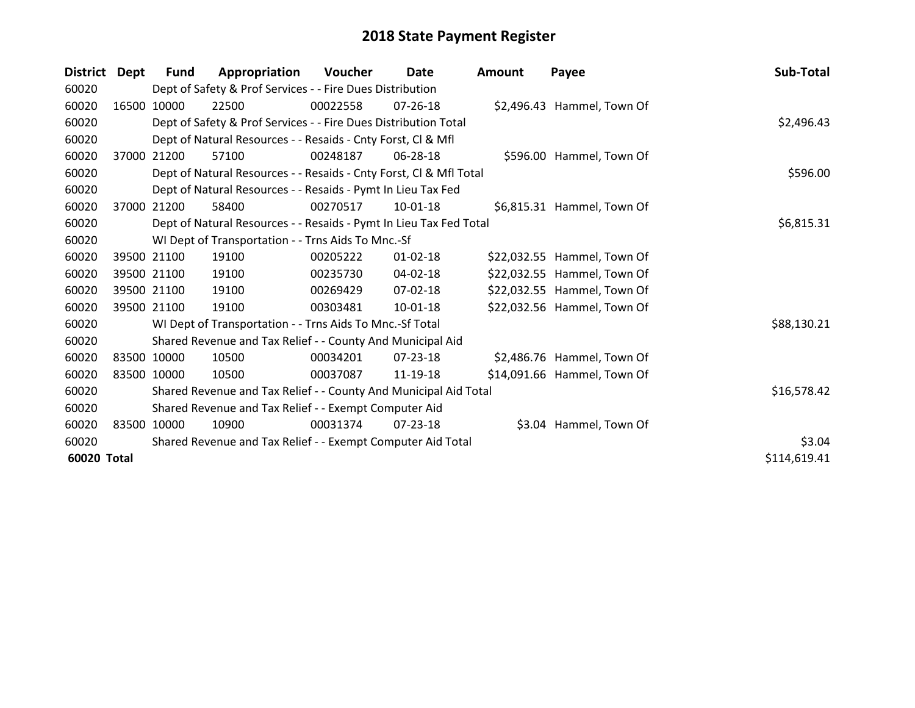| <b>District</b> | Dept  | <b>Fund</b> | Appropriation                                                      | Voucher  | Date           | <b>Amount</b> | Payee                       | Sub-Total    |
|-----------------|-------|-------------|--------------------------------------------------------------------|----------|----------------|---------------|-----------------------------|--------------|
| 60020           |       |             | Dept of Safety & Prof Services - - Fire Dues Distribution          |          |                |               |                             |              |
| 60020           |       | 16500 10000 | 22500                                                              | 00022558 | $07 - 26 - 18$ |               | \$2,496.43 Hammel, Town Of  |              |
| 60020           |       |             | Dept of Safety & Prof Services - - Fire Dues Distribution Total    |          |                |               |                             | \$2,496.43   |
| 60020           |       |             | Dept of Natural Resources - - Resaids - Cnty Forst, CI & Mfl       |          |                |               |                             |              |
| 60020           | 37000 | 21200       | 57100                                                              | 00248187 | 06-28-18       |               | \$596.00 Hammel, Town Of    |              |
| 60020           |       |             | Dept of Natural Resources - - Resaids - Cnty Forst, Cl & Mfl Total |          | \$596.00       |               |                             |              |
| 60020           |       |             | Dept of Natural Resources - - Resaids - Pymt In Lieu Tax Fed       |          |                |               |                             |              |
| 60020           | 37000 | 21200       | 58400                                                              | 00270517 | 10-01-18       |               | \$6,815.31 Hammel, Town Of  |              |
| 60020           |       |             | Dept of Natural Resources - - Resaids - Pymt In Lieu Tax Fed Total |          |                |               |                             | \$6,815.31   |
| 60020           |       |             | WI Dept of Transportation - - Trns Aids To Mnc.-Sf                 |          |                |               |                             |              |
| 60020           |       | 39500 21100 | 19100                                                              | 00205222 | $01 - 02 - 18$ |               | \$22,032.55 Hammel, Town Of |              |
| 60020           |       | 39500 21100 | 19100                                                              | 00235730 | 04-02-18       |               | \$22,032.55 Hammel, Town Of |              |
| 60020           |       | 39500 21100 | 19100                                                              | 00269429 | 07-02-18       |               | \$22,032.55 Hammel, Town Of |              |
| 60020           |       | 39500 21100 | 19100                                                              | 00303481 | $10-01-18$     |               | \$22,032.56 Hammel, Town Of |              |
| 60020           |       |             | WI Dept of Transportation - - Trns Aids To Mnc.-Sf Total           |          |                |               |                             | \$88,130.21  |
| 60020           |       |             | Shared Revenue and Tax Relief - - County And Municipal Aid         |          |                |               |                             |              |
| 60020           |       | 83500 10000 | 10500                                                              | 00034201 | 07-23-18       |               | \$2,486.76 Hammel, Town Of  |              |
| 60020           |       | 83500 10000 | 10500                                                              | 00037087 | 11-19-18       |               | \$14,091.66 Hammel, Town Of |              |
| 60020           |       |             | Shared Revenue and Tax Relief - - County And Municipal Aid Total   |          |                |               |                             | \$16,578.42  |
| 60020           |       |             | Shared Revenue and Tax Relief - - Exempt Computer Aid              |          |                |               |                             |              |
| 60020           |       | 83500 10000 | 10900                                                              | 00031374 | 07-23-18       |               | \$3.04 Hammel, Town Of      |              |
| 60020           |       |             | Shared Revenue and Tax Relief - - Exempt Computer Aid Total        |          |                |               |                             | \$3.04       |
| 60020 Total     |       |             |                                                                    |          |                |               |                             | \$114,619.41 |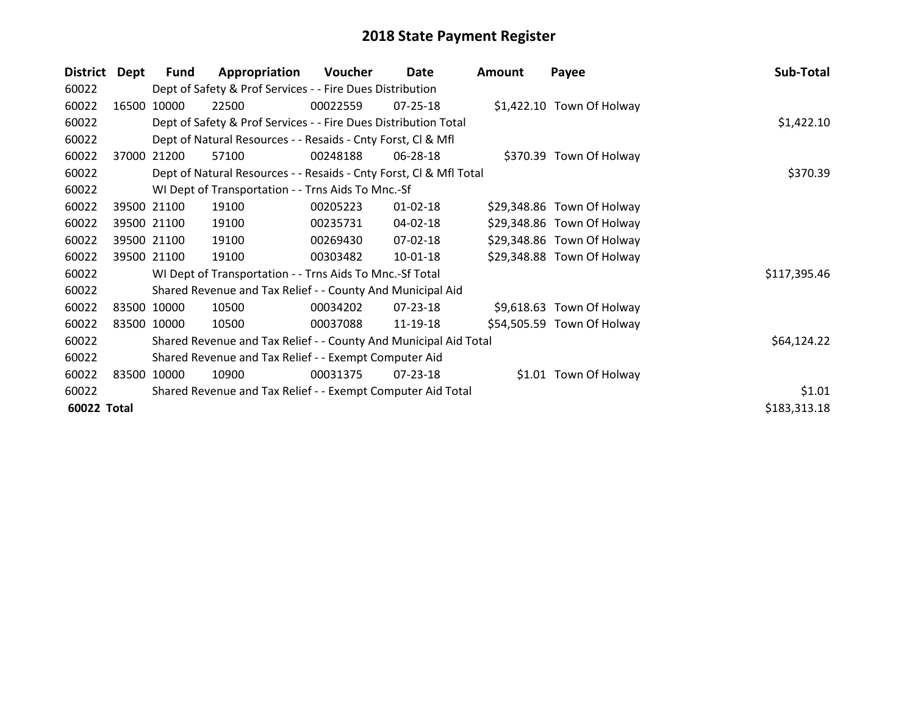| <b>District</b> | <b>Dept</b> | <b>Fund</b> | Appropriation                                                      | Voucher  | Date           | <b>Amount</b> | Payee                      | Sub-Total    |
|-----------------|-------------|-------------|--------------------------------------------------------------------|----------|----------------|---------------|----------------------------|--------------|
| 60022           |             |             | Dept of Safety & Prof Services - - Fire Dues Distribution          |          |                |               |                            |              |
| 60022           | 16500       | 10000       | 22500                                                              | 00022559 | $07 - 25 - 18$ |               | \$1,422.10 Town Of Holway  |              |
| 60022           |             |             | Dept of Safety & Prof Services - - Fire Dues Distribution Total    |          |                |               |                            | \$1,422.10   |
| 60022           |             |             | Dept of Natural Resources - - Resaids - Cnty Forst, CI & Mfl       |          |                |               |                            |              |
| 60022           | 37000       | 21200       | 57100                                                              | 00248188 | 06-28-18       |               | \$370.39 Town Of Holway    |              |
| 60022           |             |             | Dept of Natural Resources - - Resaids - Cnty Forst, CI & Mfl Total | \$370.39 |                |               |                            |              |
| 60022           |             |             | WI Dept of Transportation - - Trns Aids To Mnc.-Sf                 |          |                |               |                            |              |
| 60022           |             | 39500 21100 | 19100                                                              | 00205223 | $01 - 02 - 18$ |               | \$29,348.86 Town Of Holway |              |
| 60022           |             | 39500 21100 | 19100                                                              | 00235731 | 04-02-18       |               | \$29,348.86 Town Of Holway |              |
| 60022           |             | 39500 21100 | 19100                                                              | 00269430 | 07-02-18       |               | \$29,348.86 Town Of Holway |              |
| 60022           |             | 39500 21100 | 19100                                                              | 00303482 | $10-01-18$     |               | \$29,348.88 Town Of Holway |              |
| 60022           |             |             | WI Dept of Transportation - - Trns Aids To Mnc.-Sf Total           |          |                |               |                            | \$117,395.46 |
| 60022           |             |             | Shared Revenue and Tax Relief - - County And Municipal Aid         |          |                |               |                            |              |
| 60022           |             | 83500 10000 | 10500                                                              | 00034202 | $07 - 23 - 18$ |               | \$9,618.63 Town Of Holway  |              |
| 60022           |             | 83500 10000 | 10500                                                              | 00037088 | 11-19-18       |               | \$54,505.59 Town Of Holway |              |
| 60022           |             |             | Shared Revenue and Tax Relief - - County And Municipal Aid Total   |          |                |               |                            | \$64,124.22  |
| 60022           |             |             | Shared Revenue and Tax Relief - - Exempt Computer Aid              |          |                |               |                            |              |
| 60022           |             | 83500 10000 | 10900                                                              | 00031375 | 07-23-18       |               | \$1.01 Town Of Holway      |              |
| 60022           |             | \$1.01      |                                                                    |          |                |               |                            |              |
| 60022 Total     |             |             |                                                                    |          |                |               |                            | \$183,313.18 |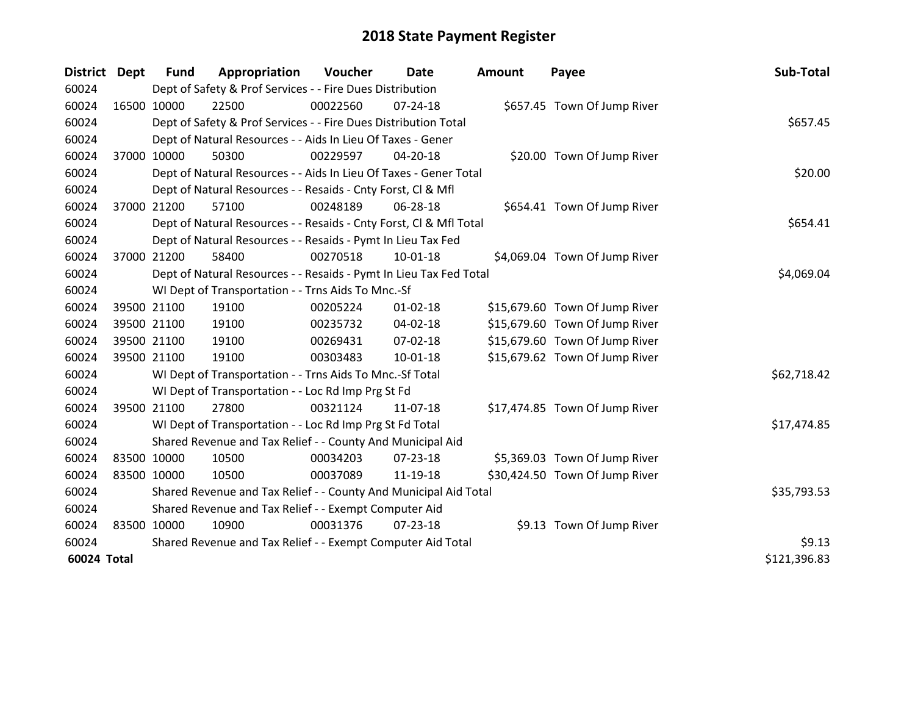| District    | Dept        | <b>Fund</b>                                           | Appropriation                                                      | Voucher  | Date           | <b>Amount</b> | Payee                          | Sub-Total    |
|-------------|-------------|-------------------------------------------------------|--------------------------------------------------------------------|----------|----------------|---------------|--------------------------------|--------------|
| 60024       |             |                                                       | Dept of Safety & Prof Services - - Fire Dues Distribution          |          |                |               |                                |              |
| 60024       |             | 16500 10000                                           | 22500                                                              | 00022560 | $07 - 24 - 18$ |               | \$657.45 Town Of Jump River    |              |
| 60024       |             |                                                       | Dept of Safety & Prof Services - - Fire Dues Distribution Total    |          |                |               |                                | \$657.45     |
| 60024       |             |                                                       | Dept of Natural Resources - - Aids In Lieu Of Taxes - Gener        |          |                |               |                                |              |
| 60024       |             | 37000 10000                                           | 50300                                                              | 00229597 | 04-20-18       |               | \$20.00 Town Of Jump River     |              |
| 60024       |             |                                                       | Dept of Natural Resources - - Aids In Lieu Of Taxes - Gener Total  |          |                |               |                                | \$20.00      |
| 60024       |             |                                                       | Dept of Natural Resources - - Resaids - Cnty Forst, Cl & Mfl       |          |                |               |                                |              |
| 60024       | 37000 21200 |                                                       | 57100                                                              | 00248189 | 06-28-18       |               | \$654.41 Town Of Jump River    |              |
| 60024       |             |                                                       | Dept of Natural Resources - - Resaids - Cnty Forst, CI & Mfl Total |          |                |               |                                | \$654.41     |
| 60024       |             |                                                       | Dept of Natural Resources - - Resaids - Pymt In Lieu Tax Fed       |          |                |               |                                |              |
| 60024       | 37000 21200 |                                                       | 58400                                                              | 00270518 | $10 - 01 - 18$ |               | \$4,069.04 Town Of Jump River  |              |
| 60024       |             |                                                       | Dept of Natural Resources - - Resaids - Pymt In Lieu Tax Fed Total |          |                |               |                                | \$4,069.04   |
| 60024       |             |                                                       | WI Dept of Transportation - - Trns Aids To Mnc.-Sf                 |          |                |               |                                |              |
| 60024       |             | 39500 21100                                           | 19100                                                              | 00205224 | $01 - 02 - 18$ |               | \$15,679.60 Town Of Jump River |              |
| 60024       |             | 39500 21100                                           | 19100                                                              | 00235732 | 04-02-18       |               | \$15,679.60 Town Of Jump River |              |
| 60024       |             | 39500 21100                                           | 19100                                                              | 00269431 | 07-02-18       |               | \$15,679.60 Town Of Jump River |              |
| 60024       | 39500 21100 |                                                       | 19100                                                              | 00303483 | 10-01-18       |               | \$15,679.62 Town Of Jump River |              |
| 60024       |             |                                                       | WI Dept of Transportation - - Trns Aids To Mnc.-Sf Total           |          |                |               |                                | \$62,718.42  |
| 60024       |             |                                                       | WI Dept of Transportation - - Loc Rd Imp Prg St Fd                 |          |                |               |                                |              |
| 60024       | 39500 21100 |                                                       | 27800                                                              | 00321124 | 11-07-18       |               | \$17,474.85 Town Of Jump River |              |
| 60024       |             |                                                       | WI Dept of Transportation - - Loc Rd Imp Prg St Fd Total           |          |                |               |                                | \$17,474.85  |
| 60024       |             |                                                       | Shared Revenue and Tax Relief - - County And Municipal Aid         |          |                |               |                                |              |
| 60024       | 83500 10000 |                                                       | 10500                                                              | 00034203 | 07-23-18       |               | \$5,369.03 Town Of Jump River  |              |
| 60024       | 83500 10000 |                                                       | 10500                                                              | 00037089 | 11-19-18       |               | \$30,424.50 Town Of Jump River |              |
| 60024       |             |                                                       | Shared Revenue and Tax Relief - - County And Municipal Aid Total   |          |                |               |                                | \$35,793.53  |
| 60024       |             | Shared Revenue and Tax Relief - - Exempt Computer Aid |                                                                    |          |                |               |                                |              |
| 60024       | 83500 10000 |                                                       | 10900                                                              | 00031376 | $07 - 23 - 18$ |               | \$9.13 Town Of Jump River      |              |
| 60024       |             |                                                       | Shared Revenue and Tax Relief - - Exempt Computer Aid Total        |          | \$9.13         |               |                                |              |
| 60024 Total |             |                                                       |                                                                    |          |                |               |                                | \$121,396.83 |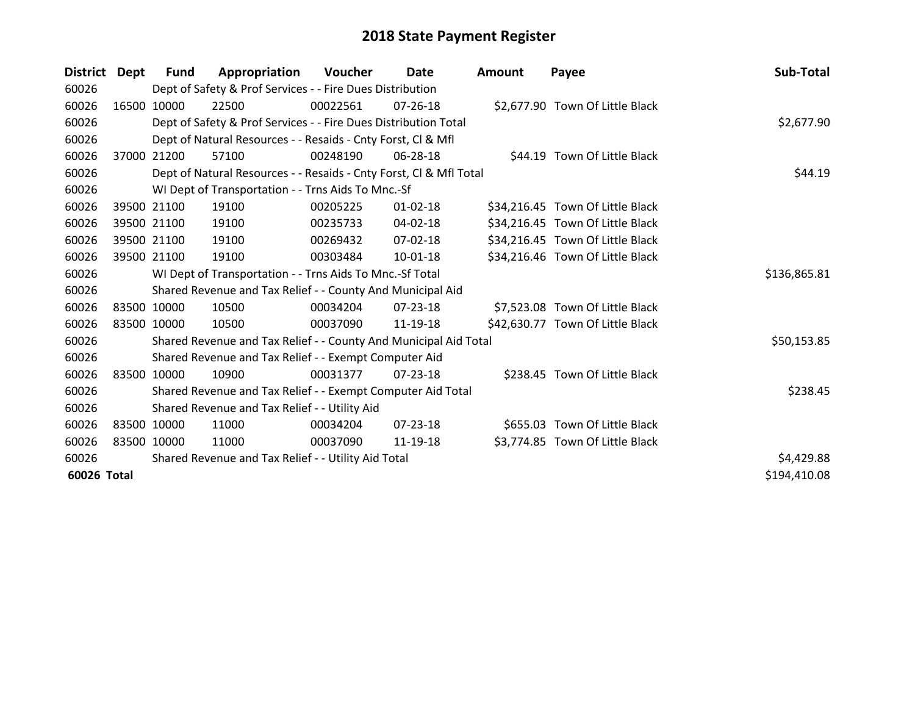| <b>District</b> | Dept  | <b>Fund</b> | Appropriation                                                      | Voucher  | Date           | Amount | Payee                            | Sub-Total    |
|-----------------|-------|-------------|--------------------------------------------------------------------|----------|----------------|--------|----------------------------------|--------------|
| 60026           |       |             | Dept of Safety & Prof Services - - Fire Dues Distribution          |          |                |        |                                  |              |
| 60026           |       | 16500 10000 | 22500                                                              | 00022561 | $07 - 26 - 18$ |        | \$2,677.90 Town Of Little Black  |              |
| 60026           |       |             | Dept of Safety & Prof Services - - Fire Dues Distribution Total    |          |                |        |                                  | \$2,677.90   |
| 60026           |       |             | Dept of Natural Resources - - Resaids - Cnty Forst, CI & Mfl       |          |                |        |                                  |              |
| 60026           | 37000 | 21200       | 57100                                                              | 00248190 | 06-28-18       |        | \$44.19 Town Of Little Black     |              |
| 60026           |       |             | Dept of Natural Resources - - Resaids - Cnty Forst, CI & Mfl Total | \$44.19  |                |        |                                  |              |
| 60026           |       |             | WI Dept of Transportation - - Trns Aids To Mnc.-Sf                 |          |                |        |                                  |              |
| 60026           |       | 39500 21100 | 19100                                                              | 00205225 | $01 - 02 - 18$ |        | \$34,216.45 Town Of Little Black |              |
| 60026           |       | 39500 21100 | 19100                                                              | 00235733 | 04-02-18       |        | \$34,216.45 Town Of Little Black |              |
| 60026           |       | 39500 21100 | 19100                                                              | 00269432 | 07-02-18       |        | \$34,216.45 Town Of Little Black |              |
| 60026           |       | 39500 21100 | 19100                                                              | 00303484 | 10-01-18       |        | \$34,216.46 Town Of Little Black |              |
| 60026           |       |             | WI Dept of Transportation - - Trns Aids To Mnc.-Sf Total           |          |                |        |                                  | \$136,865.81 |
| 60026           |       |             | Shared Revenue and Tax Relief - - County And Municipal Aid         |          |                |        |                                  |              |
| 60026           |       | 83500 10000 | 10500                                                              | 00034204 | $07 - 23 - 18$ |        | \$7,523.08 Town Of Little Black  |              |
| 60026           |       | 83500 10000 | 10500                                                              | 00037090 | 11-19-18       |        | \$42,630.77 Town Of Little Black |              |
| 60026           |       |             | Shared Revenue and Tax Relief - - County And Municipal Aid Total   |          |                |        |                                  | \$50,153.85  |
| 60026           |       |             | Shared Revenue and Tax Relief - - Exempt Computer Aid              |          |                |        |                                  |              |
| 60026           |       | 83500 10000 | 10900                                                              | 00031377 | $07 - 23 - 18$ |        | \$238.45 Town Of Little Black    |              |
| 60026           |       |             | Shared Revenue and Tax Relief - - Exempt Computer Aid Total        |          |                |        |                                  | \$238.45     |
| 60026           |       |             | Shared Revenue and Tax Relief - - Utility Aid                      |          |                |        |                                  |              |
| 60026           |       | 83500 10000 | 11000                                                              | 00034204 | $07 - 23 - 18$ |        | \$655.03 Town Of Little Black    |              |
| 60026           |       | 83500 10000 | 11000                                                              | 00037090 | 11-19-18       |        | \$3,774.85 Town Of Little Black  |              |
| 60026           |       |             | Shared Revenue and Tax Relief - - Utility Aid Total                |          |                |        |                                  | \$4,429.88   |
| 60026 Total     |       |             |                                                                    |          |                |        |                                  | \$194,410.08 |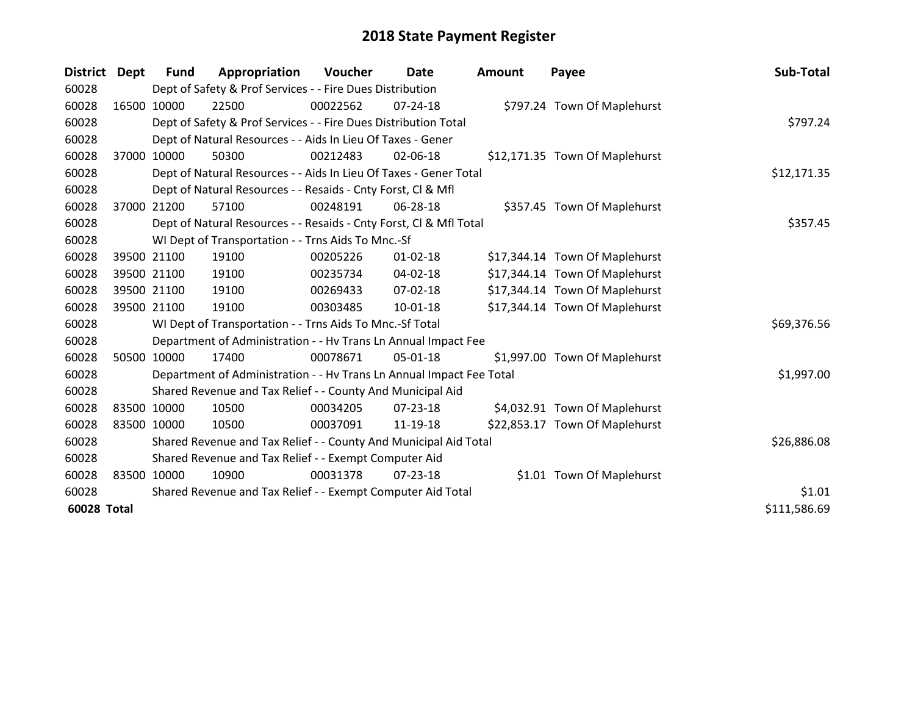| District Dept      |             | <b>Fund</b> | Appropriation                                                        | Voucher  | <b>Date</b>    | Amount | Payee                          | Sub-Total    |
|--------------------|-------------|-------------|----------------------------------------------------------------------|----------|----------------|--------|--------------------------------|--------------|
| 60028              |             |             | Dept of Safety & Prof Services - - Fire Dues Distribution            |          |                |        |                                |              |
| 60028              | 16500 10000 |             | 22500                                                                | 00022562 | $07 - 24 - 18$ |        | \$797.24 Town Of Maplehurst    |              |
| 60028              |             |             | Dept of Safety & Prof Services - - Fire Dues Distribution Total      |          |                |        |                                | \$797.24     |
| 60028              |             |             | Dept of Natural Resources - - Aids In Lieu Of Taxes - Gener          |          |                |        |                                |              |
| 60028              | 37000 10000 |             | 50300                                                                | 00212483 | 02-06-18       |        | \$12,171.35 Town Of Maplehurst |              |
| 60028              |             |             | Dept of Natural Resources - - Aids In Lieu Of Taxes - Gener Total    |          | \$12,171.35    |        |                                |              |
| 60028              |             |             | Dept of Natural Resources - - Resaids - Cnty Forst, CI & Mfl         |          |                |        |                                |              |
| 60028              | 37000       | 21200       | 57100                                                                | 00248191 | 06-28-18       |        | \$357.45 Town Of Maplehurst    |              |
| 60028              |             |             | Dept of Natural Resources - - Resaids - Cnty Forst, CI & Mfl Total   |          | \$357.45       |        |                                |              |
| 60028              |             |             | WI Dept of Transportation - - Trns Aids To Mnc.-Sf                   |          |                |        |                                |              |
| 60028              |             | 39500 21100 | 19100                                                                | 00205226 | $01 - 02 - 18$ |        | \$17,344.14 Town Of Maplehurst |              |
| 60028              |             | 39500 21100 | 19100                                                                | 00235734 | $04 - 02 - 18$ |        | \$17,344.14 Town Of Maplehurst |              |
| 60028              |             | 39500 21100 | 19100                                                                | 00269433 | $07 - 02 - 18$ |        | \$17,344.14 Town Of Maplehurst |              |
| 60028              | 39500 21100 |             | 19100                                                                | 00303485 | 10-01-18       |        | \$17,344.14 Town Of Maplehurst |              |
| 60028              |             |             | WI Dept of Transportation - - Trns Aids To Mnc.-Sf Total             |          |                |        |                                | \$69,376.56  |
| 60028              |             |             | Department of Administration - - Hv Trans Ln Annual Impact Fee       |          |                |        |                                |              |
| 60028              | 50500 10000 |             | 17400                                                                | 00078671 | 05-01-18       |        | \$1,997.00 Town Of Maplehurst  |              |
| 60028              |             |             | Department of Administration - - Hv Trans Ln Annual Impact Fee Total |          |                |        |                                | \$1,997.00   |
| 60028              |             |             | Shared Revenue and Tax Relief - - County And Municipal Aid           |          |                |        |                                |              |
| 60028              | 83500 10000 |             | 10500                                                                | 00034205 | $07 - 23 - 18$ |        | \$4,032.91 Town Of Maplehurst  |              |
| 60028              | 83500 10000 |             | 10500                                                                | 00037091 | 11-19-18       |        | \$22,853.17 Town Of Maplehurst |              |
| 60028              |             |             | Shared Revenue and Tax Relief - - County And Municipal Aid Total     |          |                |        |                                | \$26,886.08  |
| 60028              |             |             | Shared Revenue and Tax Relief - - Exempt Computer Aid                |          |                |        |                                |              |
| 60028              |             | 83500 10000 | 10900                                                                | 00031378 | 07-23-18       |        | \$1.01 Town Of Maplehurst      |              |
| 60028              |             |             | Shared Revenue and Tax Relief - - Exempt Computer Aid Total          |          |                |        |                                | \$1.01       |
| <b>60028 Total</b> |             |             |                                                                      |          |                |        |                                | \$111,586.69 |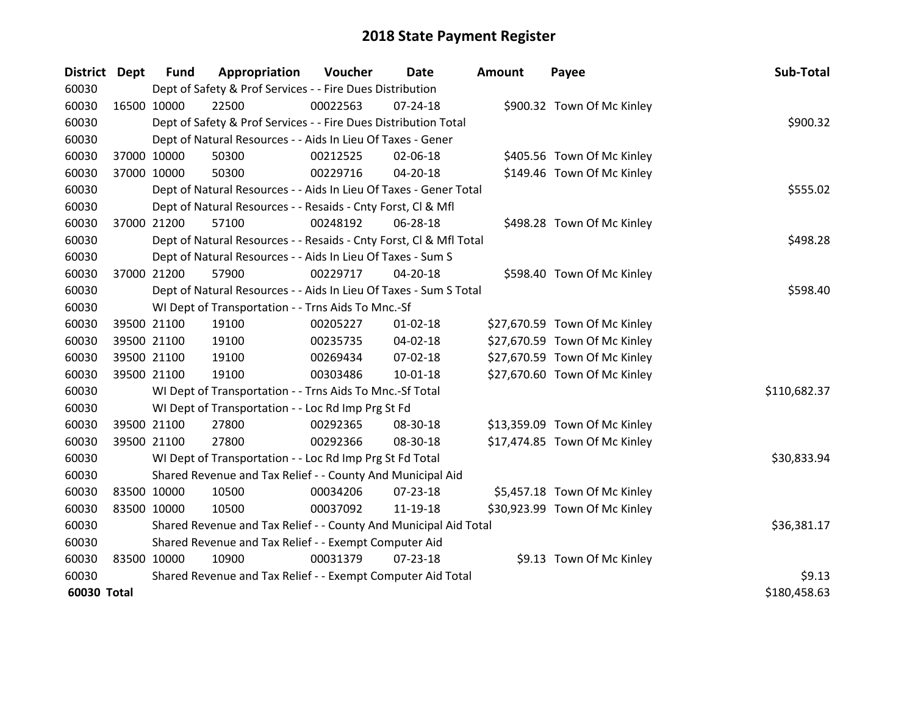| <b>District</b> | <b>Dept</b> | <b>Fund</b>                                           | Appropriation                                                      | Voucher  | Date           | <b>Amount</b> | Payee                         | Sub-Total    |
|-----------------|-------------|-------------------------------------------------------|--------------------------------------------------------------------|----------|----------------|---------------|-------------------------------|--------------|
| 60030           |             |                                                       | Dept of Safety & Prof Services - - Fire Dues Distribution          |          |                |               |                               |              |
| 60030           | 16500 10000 |                                                       | 22500                                                              | 00022563 | 07-24-18       |               | \$900.32 Town Of Mc Kinley    |              |
| 60030           |             |                                                       | Dept of Safety & Prof Services - - Fire Dues Distribution Total    |          |                |               |                               | \$900.32     |
| 60030           |             |                                                       | Dept of Natural Resources - - Aids In Lieu Of Taxes - Gener        |          |                |               |                               |              |
| 60030           |             | 37000 10000                                           | 50300                                                              | 00212525 | 02-06-18       |               | \$405.56 Town Of Mc Kinley    |              |
| 60030           |             | 37000 10000                                           | 50300                                                              | 00229716 | 04-20-18       |               | \$149.46 Town Of Mc Kinley    |              |
| 60030           |             |                                                       | Dept of Natural Resources - - Aids In Lieu Of Taxes - Gener Total  |          |                |               |                               | \$555.02     |
| 60030           |             |                                                       | Dept of Natural Resources - - Resaids - Cnty Forst, CI & Mfl       |          |                |               |                               |              |
| 60030           |             | 37000 21200                                           | 57100                                                              | 00248192 | 06-28-18       |               | \$498.28 Town Of Mc Kinley    |              |
| 60030           |             |                                                       | Dept of Natural Resources - - Resaids - Cnty Forst, Cl & Mfl Total |          | \$498.28       |               |                               |              |
| 60030           |             |                                                       | Dept of Natural Resources - - Aids In Lieu Of Taxes - Sum S        |          |                |               |                               |              |
| 60030           |             | 37000 21200                                           | 57900                                                              | 00229717 | 04-20-18       |               | \$598.40 Town Of Mc Kinley    |              |
| 60030           |             |                                                       | Dept of Natural Resources - - Aids In Lieu Of Taxes - Sum S Total  |          |                |               |                               | \$598.40     |
| 60030           |             |                                                       | WI Dept of Transportation - - Trns Aids To Mnc.-Sf                 |          |                |               |                               |              |
| 60030           |             | 39500 21100                                           | 19100                                                              | 00205227 | $01 - 02 - 18$ |               | \$27,670.59 Town Of Mc Kinley |              |
| 60030           |             | 39500 21100                                           | 19100                                                              | 00235735 | 04-02-18       |               | \$27,670.59 Town Of Mc Kinley |              |
| 60030           |             | 39500 21100                                           | 19100                                                              | 00269434 | 07-02-18       |               | \$27,670.59 Town Of Mc Kinley |              |
| 60030           | 39500 21100 |                                                       | 19100                                                              | 00303486 | $10 - 01 - 18$ |               | \$27,670.60 Town Of Mc Kinley |              |
| 60030           |             |                                                       | WI Dept of Transportation - - Trns Aids To Mnc.-Sf Total           |          |                |               |                               | \$110,682.37 |
| 60030           |             |                                                       | WI Dept of Transportation - - Loc Rd Imp Prg St Fd                 |          |                |               |                               |              |
| 60030           |             | 39500 21100                                           | 27800                                                              | 00292365 | 08-30-18       |               | \$13,359.09 Town Of Mc Kinley |              |
| 60030           |             | 39500 21100                                           | 27800                                                              | 00292366 | 08-30-18       |               | \$17,474.85 Town Of Mc Kinley |              |
| 60030           |             |                                                       | WI Dept of Transportation - - Loc Rd Imp Prg St Fd Total           |          |                |               |                               | \$30,833.94  |
| 60030           |             |                                                       | Shared Revenue and Tax Relief - - County And Municipal Aid         |          |                |               |                               |              |
| 60030           |             | 83500 10000                                           | 10500                                                              | 00034206 | 07-23-18       |               | \$5,457.18 Town Of Mc Kinley  |              |
| 60030           | 83500 10000 |                                                       | 10500                                                              | 00037092 | 11-19-18       |               | \$30,923.99 Town Of Mc Kinley |              |
| 60030           |             |                                                       | Shared Revenue and Tax Relief - - County And Municipal Aid Total   |          |                |               |                               | \$36,381.17  |
| 60030           |             | Shared Revenue and Tax Relief - - Exempt Computer Aid |                                                                    |          |                |               |                               |              |
| 60030           | 83500 10000 |                                                       | 10900                                                              | 00031379 | $07 - 23 - 18$ |               | \$9.13 Town Of Mc Kinley      |              |
| 60030           |             |                                                       | Shared Revenue and Tax Relief - - Exempt Computer Aid Total        |          |                |               |                               | \$9.13       |
| 60030 Total     |             |                                                       |                                                                    |          |                |               |                               | \$180,458.63 |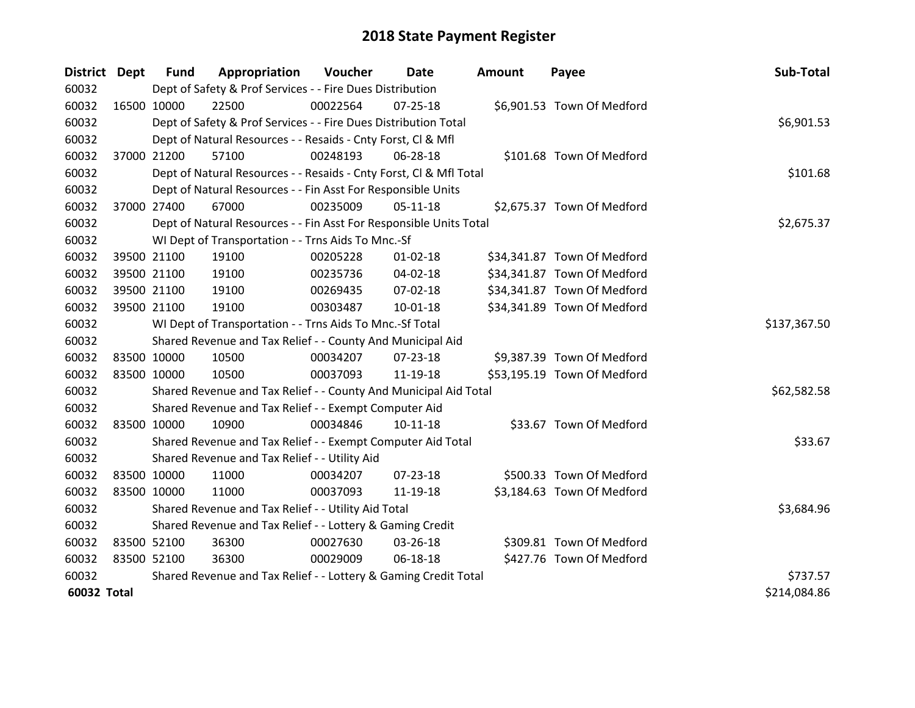| District Dept |             | <b>Fund</b> | Appropriation                                                      | Voucher      | <b>Date</b>    | <b>Amount</b> | Payee                       | Sub-Total    |
|---------------|-------------|-------------|--------------------------------------------------------------------|--------------|----------------|---------------|-----------------------------|--------------|
| 60032         |             |             | Dept of Safety & Prof Services - - Fire Dues Distribution          |              |                |               |                             |              |
| 60032         | 16500 10000 |             | 22500                                                              | 00022564     | $07 - 25 - 18$ |               | \$6,901.53 Town Of Medford  |              |
| 60032         |             |             | Dept of Safety & Prof Services - - Fire Dues Distribution Total    |              |                |               |                             | \$6,901.53   |
| 60032         |             |             | Dept of Natural Resources - - Resaids - Cnty Forst, Cl & Mfl       |              |                |               |                             |              |
| 60032         | 37000 21200 |             | 57100                                                              | 00248193     | 06-28-18       |               | \$101.68 Town Of Medford    |              |
| 60032         |             |             | Dept of Natural Resources - - Resaids - Cnty Forst, Cl & Mfl Total |              | \$101.68       |               |                             |              |
| 60032         |             |             | Dept of Natural Resources - - Fin Asst For Responsible Units       |              |                |               |                             |              |
| 60032         | 37000 27400 |             | 67000                                                              | 00235009     | $05-11-18$     |               | \$2,675.37 Town Of Medford  |              |
| 60032         |             |             | Dept of Natural Resources - - Fin Asst For Responsible Units Total |              | \$2,675.37     |               |                             |              |
| 60032         |             |             | WI Dept of Transportation - - Trns Aids To Mnc.-Sf                 |              |                |               |                             |              |
| 60032         | 39500 21100 |             | 19100                                                              | 00205228     | 01-02-18       |               | \$34,341.87 Town Of Medford |              |
| 60032         | 39500 21100 |             | 19100                                                              | 00235736     | 04-02-18       |               | \$34,341.87 Town Of Medford |              |
| 60032         | 39500 21100 |             | 19100                                                              | 00269435     | 07-02-18       |               | \$34,341.87 Town Of Medford |              |
| 60032         | 39500 21100 |             | 19100                                                              | 00303487     | $10 - 01 - 18$ |               | \$34,341.89 Town Of Medford |              |
| 60032         |             |             | WI Dept of Transportation - - Trns Aids To Mnc.-Sf Total           | \$137,367.50 |                |               |                             |              |
| 60032         |             |             | Shared Revenue and Tax Relief - - County And Municipal Aid         |              |                |               |                             |              |
| 60032         | 83500 10000 |             | 10500                                                              | 00034207     | 07-23-18       |               | \$9,387.39 Town Of Medford  |              |
| 60032         | 83500 10000 |             | 10500                                                              | 00037093     | 11-19-18       |               | \$53,195.19 Town Of Medford |              |
| 60032         |             |             | Shared Revenue and Tax Relief - - County And Municipal Aid Total   |              |                |               |                             | \$62,582.58  |
| 60032         |             |             | Shared Revenue and Tax Relief - - Exempt Computer Aid              |              |                |               |                             |              |
| 60032         | 83500 10000 |             | 10900                                                              | 00034846     | $10 - 11 - 18$ |               | \$33.67 Town Of Medford     |              |
| 60032         |             |             | Shared Revenue and Tax Relief - - Exempt Computer Aid Total        |              |                |               |                             | \$33.67      |
| 60032         |             |             | Shared Revenue and Tax Relief - - Utility Aid                      |              |                |               |                             |              |
| 60032         | 83500 10000 |             | 11000                                                              | 00034207     | $07 - 23 - 18$ |               | \$500.33 Town Of Medford    |              |
| 60032         | 83500 10000 |             | 11000                                                              | 00037093     | 11-19-18       |               | \$3,184.63 Town Of Medford  |              |
| 60032         |             |             | Shared Revenue and Tax Relief - - Utility Aid Total                | \$3,684.96   |                |               |                             |              |
| 60032         |             |             | Shared Revenue and Tax Relief - - Lottery & Gaming Credit          |              |                |               |                             |              |
| 60032         | 83500 52100 |             | 36300                                                              | 00027630     | 03-26-18       |               | \$309.81 Town Of Medford    |              |
| 60032         | 83500 52100 |             | 36300                                                              | 00029009     | 06-18-18       |               | \$427.76 Town Of Medford    |              |
| 60032         |             |             | Shared Revenue and Tax Relief - - Lottery & Gaming Credit Total    |              |                |               |                             | \$737.57     |
| 60032 Total   |             |             |                                                                    |              |                |               |                             | \$214,084.86 |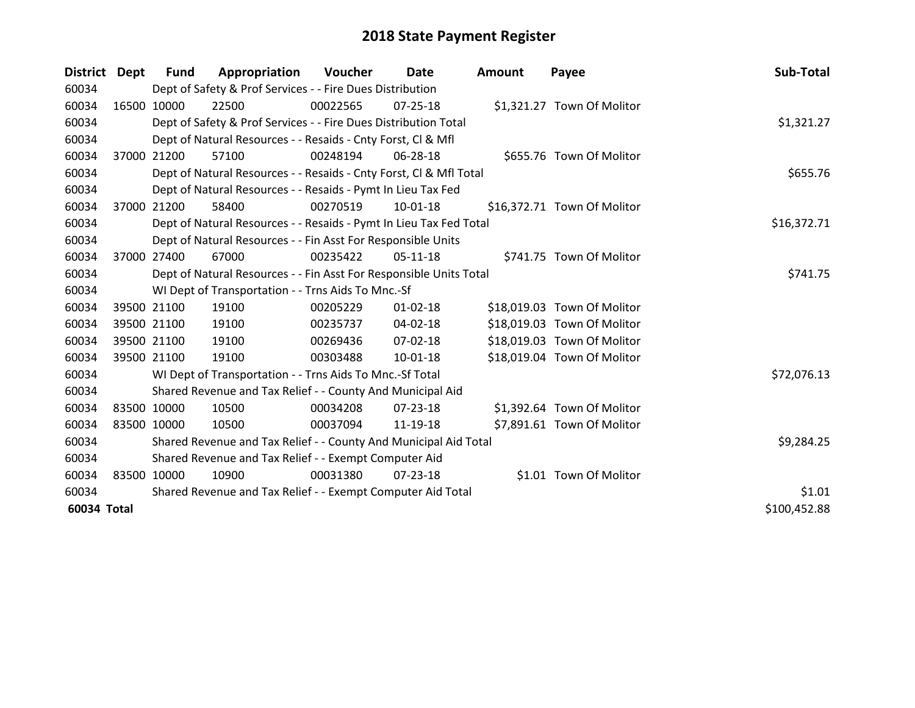| District Dept |             | Fund                                                               | Appropriation                                                      | Voucher  | Date           | Amount | Payee                       | Sub-Total    |
|---------------|-------------|--------------------------------------------------------------------|--------------------------------------------------------------------|----------|----------------|--------|-----------------------------|--------------|
| 60034         |             |                                                                    | Dept of Safety & Prof Services - - Fire Dues Distribution          |          |                |        |                             |              |
| 60034         | 16500 10000 |                                                                    | 22500                                                              | 00022565 | 07-25-18       |        | \$1,321.27 Town Of Molitor  |              |
| 60034         |             |                                                                    | Dept of Safety & Prof Services - - Fire Dues Distribution Total    |          |                |        |                             | \$1,321.27   |
| 60034         |             |                                                                    | Dept of Natural Resources - - Resaids - Cnty Forst, CI & Mfl       |          |                |        |                             |              |
| 60034         |             | 37000 21200                                                        | 57100                                                              | 00248194 | 06-28-18       |        | \$655.76 Town Of Molitor    |              |
| 60034         |             |                                                                    | Dept of Natural Resources - - Resaids - Cnty Forst, CI & Mfl Total |          |                |        |                             | \$655.76     |
| 60034         |             |                                                                    | Dept of Natural Resources - - Resaids - Pymt In Lieu Tax Fed       |          |                |        |                             |              |
| 60034         | 37000       | 21200                                                              | 58400                                                              | 00270519 | 10-01-18       |        | \$16,372.71 Town Of Molitor |              |
| 60034         |             |                                                                    | Dept of Natural Resources - - Resaids - Pymt In Lieu Tax Fed Total |          |                |        |                             | \$16,372.71  |
| 60034         |             |                                                                    | Dept of Natural Resources - - Fin Asst For Responsible Units       |          |                |        |                             |              |
| 60034         |             | 37000 27400                                                        | 67000                                                              | 00235422 | $05 - 11 - 18$ |        | \$741.75 Town Of Molitor    |              |
| 60034         |             | Dept of Natural Resources - - Fin Asst For Responsible Units Total | \$741.75                                                           |          |                |        |                             |              |
| 60034         |             |                                                                    | WI Dept of Transportation - - Trns Aids To Mnc.-Sf                 |          |                |        |                             |              |
| 60034         |             | 39500 21100                                                        | 19100                                                              | 00205229 | $01 - 02 - 18$ |        | \$18,019.03 Town Of Molitor |              |
| 60034         | 39500 21100 |                                                                    | 19100                                                              | 00235737 | $04 - 02 - 18$ |        | \$18,019.03 Town Of Molitor |              |
| 60034         | 39500 21100 |                                                                    | 19100                                                              | 00269436 | 07-02-18       |        | \$18,019.03 Town Of Molitor |              |
| 60034         |             | 39500 21100                                                        | 19100                                                              | 00303488 | 10-01-18       |        | \$18,019.04 Town Of Molitor |              |
| 60034         |             |                                                                    | WI Dept of Transportation - - Trns Aids To Mnc.-Sf Total           |          |                |        |                             | \$72,076.13  |
| 60034         |             |                                                                    | Shared Revenue and Tax Relief - - County And Municipal Aid         |          |                |        |                             |              |
| 60034         | 83500 10000 |                                                                    | 10500                                                              | 00034208 | 07-23-18       |        | \$1,392.64 Town Of Molitor  |              |
| 60034         | 83500 10000 |                                                                    | 10500                                                              | 00037094 | 11-19-18       |        | \$7,891.61 Town Of Molitor  |              |
| 60034         |             | Shared Revenue and Tax Relief - - County And Municipal Aid Total   | \$9,284.25                                                         |          |                |        |                             |              |
| 60034         |             |                                                                    | Shared Revenue and Tax Relief - - Exempt Computer Aid              |          |                |        |                             |              |
| 60034         | 83500 10000 |                                                                    | 10900                                                              | 00031380 | 07-23-18       |        | \$1.01 Town Of Molitor      |              |
| 60034         |             |                                                                    | Shared Revenue and Tax Relief - - Exempt Computer Aid Total        |          |                |        |                             | \$1.01       |
| 60034 Total   |             |                                                                    |                                                                    |          |                |        |                             | \$100,452.88 |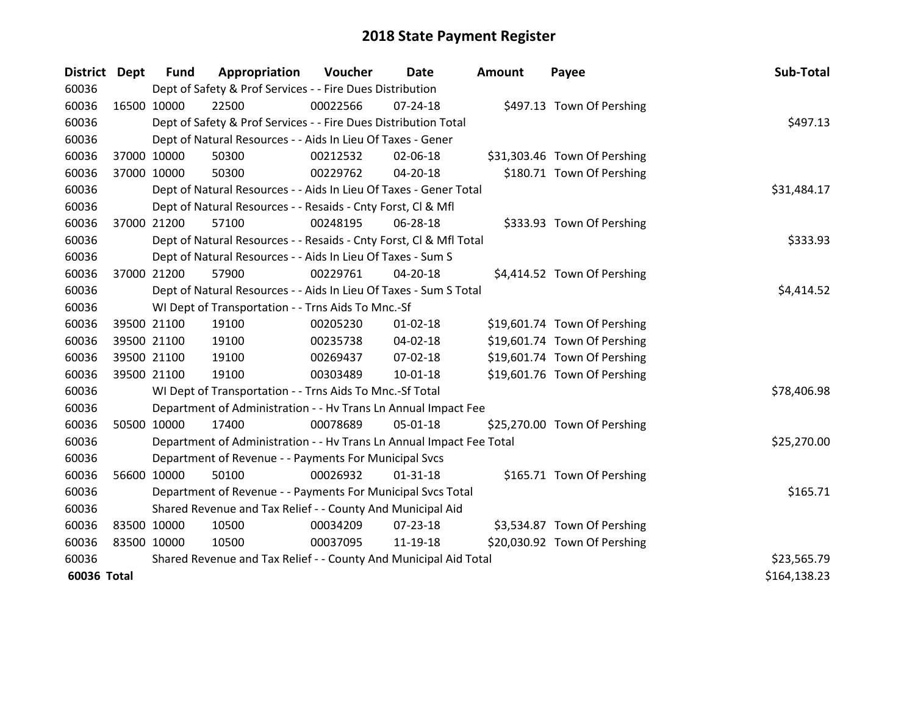| <b>District</b> | <b>Dept</b> | <b>Fund</b> | Appropriation                                                        | Voucher  | Date           | <b>Amount</b> | Payee                        | Sub-Total    |
|-----------------|-------------|-------------|----------------------------------------------------------------------|----------|----------------|---------------|------------------------------|--------------|
| 60036           |             |             | Dept of Safety & Prof Services - - Fire Dues Distribution            |          |                |               |                              |              |
| 60036           | 16500 10000 |             | 22500                                                                | 00022566 | $07 - 24 - 18$ |               | \$497.13 Town Of Pershing    |              |
| 60036           |             |             | Dept of Safety & Prof Services - - Fire Dues Distribution Total      |          |                |               |                              | \$497.13     |
| 60036           |             |             | Dept of Natural Resources - - Aids In Lieu Of Taxes - Gener          |          |                |               |                              |              |
| 60036           | 37000 10000 |             | 50300                                                                | 00212532 | 02-06-18       |               | \$31,303.46 Town Of Pershing |              |
| 60036           | 37000 10000 |             | 50300                                                                | 00229762 | 04-20-18       |               | \$180.71 Town Of Pershing    |              |
| 60036           |             |             | Dept of Natural Resources - - Aids In Lieu Of Taxes - Gener Total    |          | \$31,484.17    |               |                              |              |
| 60036           |             |             | Dept of Natural Resources - - Resaids - Cnty Forst, Cl & Mfl         |          |                |               |                              |              |
| 60036           | 37000 21200 |             | 57100                                                                | 00248195 | 06-28-18       |               | \$333.93 Town Of Pershing    |              |
| 60036           |             |             | Dept of Natural Resources - - Resaids - Cnty Forst, CI & Mfl Total   |          |                |               |                              | \$333.93     |
| 60036           |             |             | Dept of Natural Resources - - Aids In Lieu Of Taxes - Sum S          |          |                |               |                              |              |
| 60036           | 37000 21200 |             | 57900                                                                | 00229761 | 04-20-18       |               | \$4,414.52 Town Of Pershing  |              |
| 60036           |             |             | Dept of Natural Resources - - Aids In Lieu Of Taxes - Sum S Total    |          |                |               |                              | \$4,414.52   |
| 60036           |             |             | WI Dept of Transportation - - Trns Aids To Mnc.-Sf                   |          |                |               |                              |              |
| 60036           | 39500 21100 |             | 19100                                                                | 00205230 | $01 - 02 - 18$ |               | \$19,601.74 Town Of Pershing |              |
| 60036           | 39500 21100 |             | 19100                                                                | 00235738 | 04-02-18       |               | \$19,601.74 Town Of Pershing |              |
| 60036           | 39500 21100 |             | 19100                                                                | 00269437 | $07 - 02 - 18$ |               | \$19,601.74 Town Of Pershing |              |
| 60036           | 39500 21100 |             | 19100                                                                | 00303489 | $10 - 01 - 18$ |               | \$19,601.76 Town Of Pershing |              |
| 60036           |             |             | WI Dept of Transportation - - Trns Aids To Mnc.-Sf Total             |          |                |               |                              | \$78,406.98  |
| 60036           |             |             | Department of Administration - - Hv Trans Ln Annual Impact Fee       |          |                |               |                              |              |
| 60036           | 50500 10000 |             | 17400                                                                | 00078689 | 05-01-18       |               | \$25,270.00 Town Of Pershing |              |
| 60036           |             |             | Department of Administration - - Hv Trans Ln Annual Impact Fee Total |          |                |               |                              | \$25,270.00  |
| 60036           |             |             | Department of Revenue - - Payments For Municipal Svcs                |          |                |               |                              |              |
| 60036           | 56600 10000 |             | 50100                                                                | 00026932 | $01 - 31 - 18$ |               | \$165.71 Town Of Pershing    |              |
| 60036           |             |             | Department of Revenue - - Payments For Municipal Svcs Total          |          |                |               |                              | \$165.71     |
| 60036           |             |             | Shared Revenue and Tax Relief - - County And Municipal Aid           |          |                |               |                              |              |
| 60036           | 83500 10000 |             | 10500                                                                | 00034209 | 07-23-18       |               | \$3,534.87 Town Of Pershing  |              |
| 60036           | 83500 10000 |             | 10500                                                                | 00037095 | 11-19-18       |               | \$20,030.92 Town Of Pershing |              |
| 60036           |             |             | Shared Revenue and Tax Relief - - County And Municipal Aid Total     |          |                |               |                              | \$23,565.79  |
| 60036 Total     |             |             |                                                                      |          |                |               |                              | \$164,138.23 |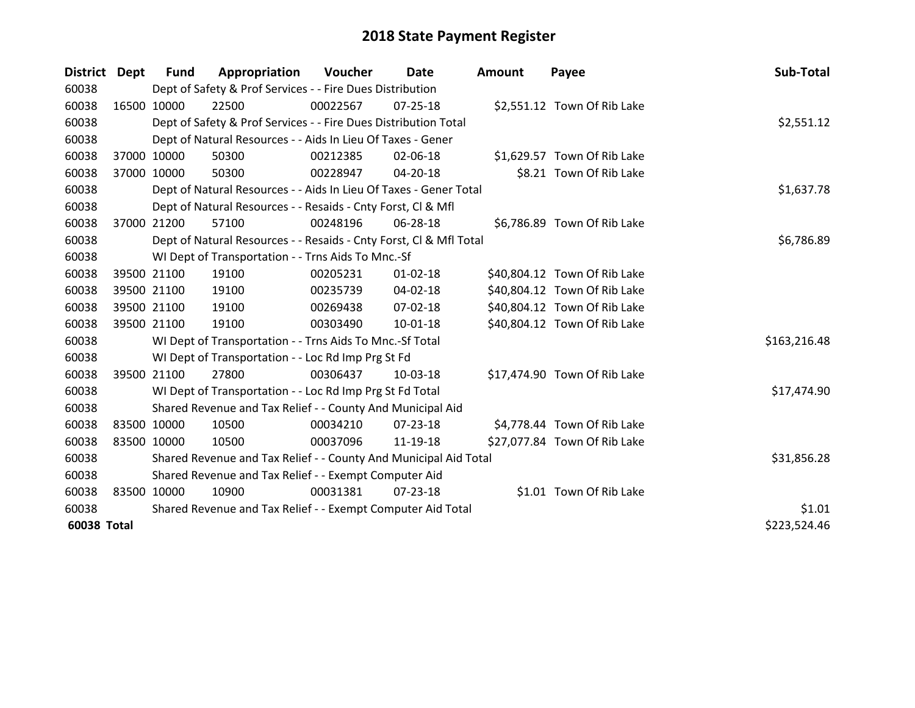| District Dept |             | <b>Fund</b>  | Appropriation                                                      | Voucher  | Date           | <b>Amount</b> | Payee                        | Sub-Total    |
|---------------|-------------|--------------|--------------------------------------------------------------------|----------|----------------|---------------|------------------------------|--------------|
| 60038         |             |              | Dept of Safety & Prof Services - - Fire Dues Distribution          |          |                |               |                              |              |
| 60038         | 16500 10000 |              | 22500                                                              | 00022567 | 07-25-18       |               | \$2,551.12 Town Of Rib Lake  |              |
| 60038         |             |              | Dept of Safety & Prof Services - - Fire Dues Distribution Total    |          |                |               |                              | \$2,551.12   |
| 60038         |             |              | Dept of Natural Resources - - Aids In Lieu Of Taxes - Gener        |          |                |               |                              |              |
| 60038         |             | 37000 10000  | 50300                                                              | 00212385 | 02-06-18       |               | \$1,629.57 Town Of Rib Lake  |              |
| 60038         |             | 37000 10000  | 50300                                                              | 00228947 | 04-20-18       |               | \$8.21 Town Of Rib Lake      |              |
| 60038         |             |              | Dept of Natural Resources - - Aids In Lieu Of Taxes - Gener Total  |          |                |               |                              | \$1,637.78   |
| 60038         |             |              | Dept of Natural Resources - - Resaids - Cnty Forst, CI & Mfl       |          |                |               |                              |              |
| 60038         |             | 37000 21200  | 57100                                                              | 00248196 | 06-28-18       |               | \$6,786.89 Town Of Rib Lake  |              |
| 60038         |             |              | Dept of Natural Resources - - Resaids - Cnty Forst, Cl & Mfl Total |          |                |               |                              | \$6,786.89   |
| 60038         |             |              | WI Dept of Transportation - - Trns Aids To Mnc.-Sf                 |          |                |               |                              |              |
| 60038         |             | 39500 21100  | 19100                                                              | 00205231 | $01 - 02 - 18$ |               | \$40,804.12 Town Of Rib Lake |              |
| 60038         |             | 39500 21100  | 19100                                                              | 00235739 | 04-02-18       |               | \$40,804.12 Town Of Rib Lake |              |
| 60038         |             | 39500 21100  | 19100                                                              | 00269438 | $07 - 02 - 18$ |               | \$40,804.12 Town Of Rib Lake |              |
| 60038         |             | 39500 21100  | 19100                                                              | 00303490 | $10 - 01 - 18$ |               | \$40,804.12 Town Of Rib Lake |              |
| 60038         |             |              | WI Dept of Transportation - - Trns Aids To Mnc.-Sf Total           |          |                |               |                              | \$163,216.48 |
| 60038         |             |              | WI Dept of Transportation - - Loc Rd Imp Prg St Fd                 |          |                |               |                              |              |
| 60038         |             | 39500 21100  | 27800                                                              | 00306437 | 10-03-18       |               | \$17,474.90 Town Of Rib Lake |              |
| 60038         |             |              | WI Dept of Transportation - - Loc Rd Imp Prg St Fd Total           |          |                |               |                              | \$17,474.90  |
| 60038         |             |              | Shared Revenue and Tax Relief - - County And Municipal Aid         |          |                |               |                              |              |
| 60038         |             | 83500 10000  | 10500                                                              | 00034210 | 07-23-18       |               | \$4,778.44 Town Of Rib Lake  |              |
| 60038         |             | 83500 10000  | 10500                                                              | 00037096 | 11-19-18       |               | \$27,077.84 Town Of Rib Lake |              |
| 60038         |             |              | Shared Revenue and Tax Relief - - County And Municipal Aid Total   |          |                |               |                              | \$31,856.28  |
| 60038         |             |              | Shared Revenue and Tax Relief - - Exempt Computer Aid              |          |                |               |                              |              |
| 60038         |             | 83500 10000  | 10900                                                              | 00031381 | $07 - 23 - 18$ |               | \$1.01 Town Of Rib Lake      |              |
| 60038         |             |              | Shared Revenue and Tax Relief - - Exempt Computer Aid Total        |          |                |               |                              | \$1.01       |
| 60038 Total   |             | \$223,524.46 |                                                                    |          |                |               |                              |              |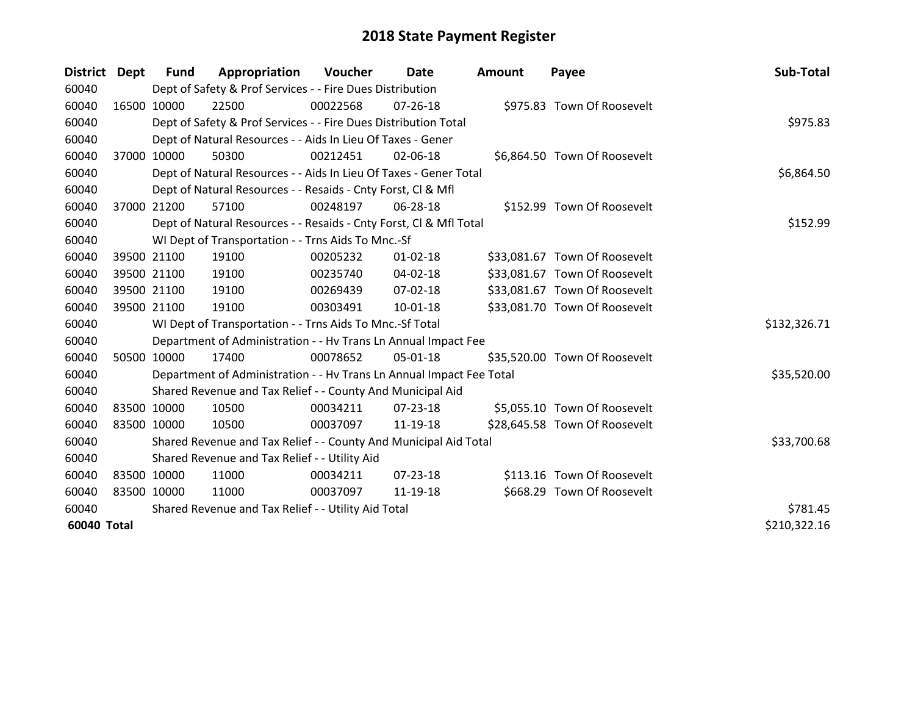| District Dept | <b>Fund</b> | Appropriation                                                        | Voucher    | Date           | <b>Amount</b> | Payee                         | Sub-Total    |
|---------------|-------------|----------------------------------------------------------------------|------------|----------------|---------------|-------------------------------|--------------|
| 60040         |             | Dept of Safety & Prof Services - - Fire Dues Distribution            |            |                |               |                               |              |
| 60040         | 16500 10000 | 22500                                                                | 00022568   | $07 - 26 - 18$ |               | \$975.83 Town Of Roosevelt    |              |
| 60040         |             | Dept of Safety & Prof Services - - Fire Dues Distribution Total      |            |                |               |                               | \$975.83     |
| 60040         |             | Dept of Natural Resources - - Aids In Lieu Of Taxes - Gener          |            |                |               |                               |              |
| 60040         | 37000 10000 | 50300                                                                | 00212451   | 02-06-18       |               | \$6,864.50 Town Of Roosevelt  |              |
| 60040         |             | Dept of Natural Resources - - Aids In Lieu Of Taxes - Gener Total    | \$6,864.50 |                |               |                               |              |
| 60040         |             | Dept of Natural Resources - - Resaids - Cnty Forst, Cl & Mfl         |            |                |               |                               |              |
| 60040         | 37000 21200 | 57100                                                                | 00248197   | 06-28-18       |               | \$152.99 Town Of Roosevelt    |              |
| 60040         |             | Dept of Natural Resources - - Resaids - Cnty Forst, CI & Mfl Total   |            |                |               |                               | \$152.99     |
| 60040         |             | WI Dept of Transportation - - Trns Aids To Mnc.-Sf                   |            |                |               |                               |              |
| 60040         | 39500 21100 | 19100                                                                | 00205232   | $01 - 02 - 18$ |               | \$33,081.67 Town Of Roosevelt |              |
| 60040         | 39500 21100 | 19100                                                                | 00235740   | $04 - 02 - 18$ |               | \$33,081.67 Town Of Roosevelt |              |
| 60040         | 39500 21100 | 19100                                                                | 00269439   | 07-02-18       |               | \$33,081.67 Town Of Roosevelt |              |
| 60040         | 39500 21100 | 19100                                                                | 00303491   | $10 - 01 - 18$ |               | \$33,081.70 Town Of Roosevelt |              |
| 60040         |             | WI Dept of Transportation - - Trns Aids To Mnc.-Sf Total             |            |                |               |                               | \$132,326.71 |
| 60040         |             | Department of Administration - - Hv Trans Ln Annual Impact Fee       |            |                |               |                               |              |
| 60040         | 50500 10000 | 17400                                                                | 00078652   | 05-01-18       |               | \$35,520.00 Town Of Roosevelt |              |
| 60040         |             | Department of Administration - - Hv Trans Ln Annual Impact Fee Total |            |                |               |                               | \$35,520.00  |
| 60040         |             | Shared Revenue and Tax Relief - - County And Municipal Aid           |            |                |               |                               |              |
| 60040         | 83500 10000 | 10500                                                                | 00034211   | $07 - 23 - 18$ |               | \$5,055.10 Town Of Roosevelt  |              |
| 60040         | 83500 10000 | 10500                                                                | 00037097   | 11-19-18       |               | \$28,645.58 Town Of Roosevelt |              |
| 60040         |             | Shared Revenue and Tax Relief - - County And Municipal Aid Total     |            |                |               |                               | \$33,700.68  |
| 60040         |             | Shared Revenue and Tax Relief - - Utility Aid                        |            |                |               |                               |              |
| 60040         | 83500 10000 | 11000                                                                | 00034211   | $07 - 23 - 18$ |               | \$113.16 Town Of Roosevelt    |              |
| 60040         | 83500 10000 | 11000                                                                | 00037097   | 11-19-18       |               | \$668.29 Town Of Roosevelt    |              |
| 60040         |             | Shared Revenue and Tax Relief - - Utility Aid Total                  |            |                |               |                               | \$781.45     |
| 60040 Total   |             |                                                                      |            |                |               |                               | \$210,322.16 |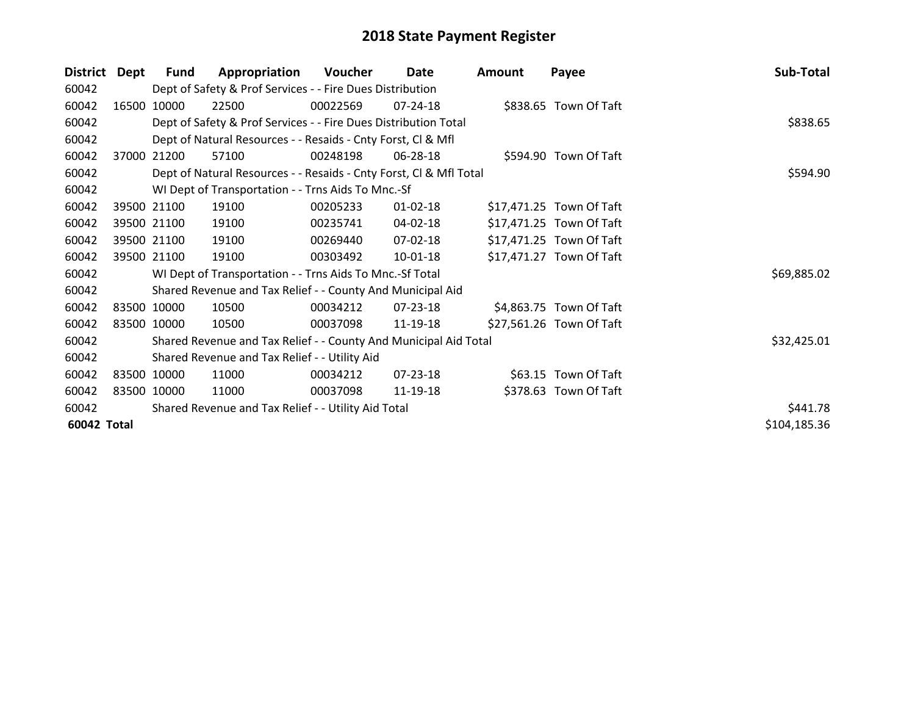| <b>District</b> | <b>Dept</b> | <b>Fund</b> | Appropriation                                                      | Voucher  | Date           | <b>Amount</b> | Payee                    | Sub-Total    |
|-----------------|-------------|-------------|--------------------------------------------------------------------|----------|----------------|---------------|--------------------------|--------------|
| 60042           |             |             | Dept of Safety & Prof Services - - Fire Dues Distribution          |          |                |               |                          |              |
| 60042           | 16500       | 10000       | 22500                                                              | 00022569 | $07 - 24 - 18$ |               | \$838.65 Town Of Taft    |              |
| 60042           |             |             | Dept of Safety & Prof Services - - Fire Dues Distribution Total    |          |                |               |                          | \$838.65     |
| 60042           |             |             | Dept of Natural Resources - - Resaids - Cnty Forst, CI & Mfl       |          |                |               |                          |              |
| 60042           | 37000       | 21200       | 57100                                                              | 00248198 | 06-28-18       |               | \$594.90 Town Of Taft    |              |
| 60042           |             |             | Dept of Natural Resources - - Resaids - Cnty Forst, CI & Mfl Total | \$594.90 |                |               |                          |              |
| 60042           |             |             | WI Dept of Transportation - - Trns Aids To Mnc.-Sf                 |          |                |               |                          |              |
| 60042           |             | 39500 21100 | 19100                                                              | 00205233 | $01 - 02 - 18$ |               | \$17,471.25 Town Of Taft |              |
| 60042           |             | 39500 21100 | 19100                                                              | 00235741 | 04-02-18       |               | \$17,471.25 Town Of Taft |              |
| 60042           |             | 39500 21100 | 19100                                                              | 00269440 | 07-02-18       |               | \$17,471.25 Town Of Taft |              |
| 60042           |             | 39500 21100 | 19100                                                              | 00303492 | $10-01-18$     |               | \$17,471.27 Town Of Taft |              |
| 60042           |             |             | WI Dept of Transportation - - Trns Aids To Mnc.-Sf Total           |          |                |               |                          | \$69,885.02  |
| 60042           |             |             | Shared Revenue and Tax Relief - - County And Municipal Aid         |          |                |               |                          |              |
| 60042           |             | 83500 10000 | 10500                                                              | 00034212 | 07-23-18       |               | \$4,863.75 Town Of Taft  |              |
| 60042           |             | 83500 10000 | 10500                                                              | 00037098 | 11-19-18       |               | \$27,561.26 Town Of Taft |              |
| 60042           |             |             | Shared Revenue and Tax Relief - - County And Municipal Aid Total   |          |                |               |                          | \$32,425.01  |
| 60042           |             |             | Shared Revenue and Tax Relief - - Utility Aid                      |          |                |               |                          |              |
| 60042           |             | 83500 10000 | 11000                                                              | 00034212 | 07-23-18       |               | \$63.15 Town Of Taft     |              |
| 60042           |             | 83500 10000 | 11000                                                              | 00037098 | 11-19-18       |               | \$378.63 Town Of Taft    |              |
| 60042           |             |             | Shared Revenue and Tax Relief - - Utility Aid Total                |          |                |               |                          | \$441.78     |
| 60042 Total     |             |             |                                                                    |          |                |               |                          | \$104,185.36 |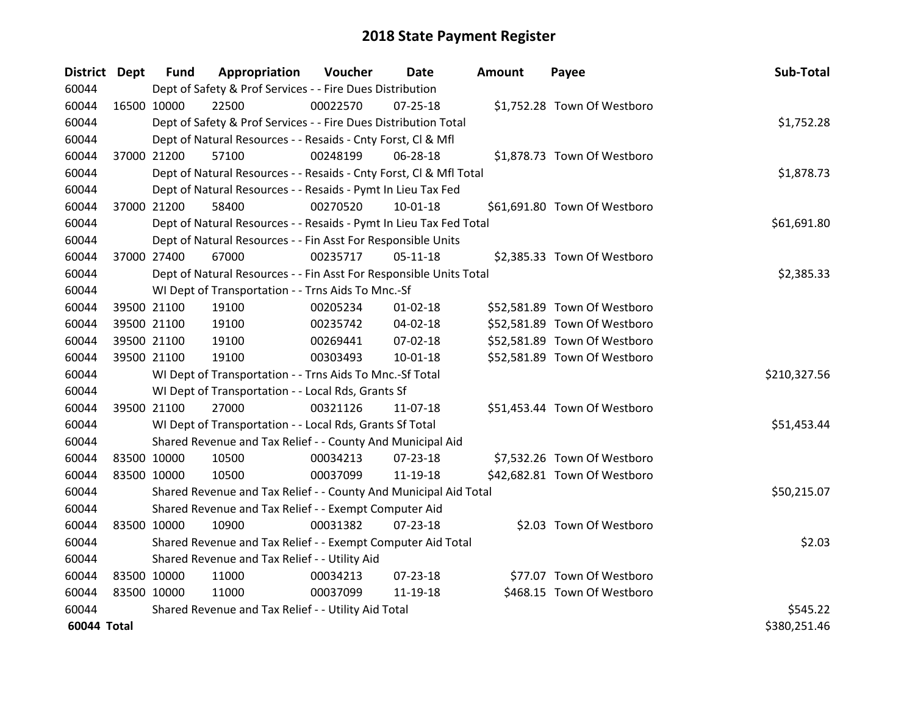| <b>District Dept</b> |             | <b>Fund</b>                                         | Appropriation                                                      | Voucher  | Date           | Amount | Payee                        | Sub-Total    |
|----------------------|-------------|-----------------------------------------------------|--------------------------------------------------------------------|----------|----------------|--------|------------------------------|--------------|
| 60044                |             |                                                     | Dept of Safety & Prof Services - - Fire Dues Distribution          |          |                |        |                              |              |
| 60044                | 16500 10000 |                                                     | 22500                                                              | 00022570 | $07 - 25 - 18$ |        | \$1,752.28 Town Of Westboro  |              |
| 60044                |             |                                                     | Dept of Safety & Prof Services - - Fire Dues Distribution Total    |          |                |        |                              | \$1,752.28   |
| 60044                |             |                                                     | Dept of Natural Resources - - Resaids - Cnty Forst, CI & Mfl       |          |                |        |                              |              |
| 60044                | 37000 21200 |                                                     | 57100                                                              | 00248199 | 06-28-18       |        | \$1,878.73 Town Of Westboro  |              |
| 60044                |             |                                                     | Dept of Natural Resources - - Resaids - Cnty Forst, CI & Mfl Total |          |                |        |                              | \$1,878.73   |
| 60044                |             |                                                     | Dept of Natural Resources - - Resaids - Pymt In Lieu Tax Fed       |          |                |        |                              |              |
| 60044                | 37000 21200 |                                                     | 58400                                                              | 00270520 | $10-01-18$     |        | \$61,691.80 Town Of Westboro |              |
| 60044                |             |                                                     | Dept of Natural Resources - - Resaids - Pymt In Lieu Tax Fed Total |          |                |        |                              | \$61,691.80  |
| 60044                |             |                                                     | Dept of Natural Resources - - Fin Asst For Responsible Units       |          |                |        |                              |              |
| 60044                | 37000 27400 |                                                     | 67000                                                              | 00235717 | $05-11-18$     |        | \$2,385.33 Town Of Westboro  |              |
| 60044                |             |                                                     | Dept of Natural Resources - - Fin Asst For Responsible Units Total |          |                |        |                              | \$2,385.33   |
| 60044                |             |                                                     | WI Dept of Transportation - - Trns Aids To Mnc.-Sf                 |          |                |        |                              |              |
| 60044                |             | 39500 21100                                         | 19100                                                              | 00205234 | $01 - 02 - 18$ |        | \$52,581.89 Town Of Westboro |              |
| 60044                |             | 39500 21100                                         | 19100                                                              | 00235742 | 04-02-18       |        | \$52,581.89 Town Of Westboro |              |
| 60044                |             | 39500 21100                                         | 19100                                                              | 00269441 | 07-02-18       |        | \$52,581.89 Town Of Westboro |              |
| 60044                | 39500 21100 |                                                     | 19100                                                              | 00303493 | $10 - 01 - 18$ |        | \$52,581.89 Town Of Westboro |              |
| 60044                |             |                                                     | WI Dept of Transportation - - Trns Aids To Mnc.-Sf Total           |          |                |        |                              | \$210,327.56 |
| 60044                |             |                                                     | WI Dept of Transportation - - Local Rds, Grants Sf                 |          |                |        |                              |              |
| 60044                | 39500 21100 |                                                     | 27000                                                              | 00321126 | 11-07-18       |        | \$51,453.44 Town Of Westboro |              |
| 60044                |             |                                                     | WI Dept of Transportation - - Local Rds, Grants Sf Total           |          |                |        |                              | \$51,453.44  |
| 60044                |             |                                                     | Shared Revenue and Tax Relief - - County And Municipal Aid         |          |                |        |                              |              |
| 60044                | 83500 10000 |                                                     | 10500                                                              | 00034213 | $07 - 23 - 18$ |        | \$7,532.26 Town Of Westboro  |              |
| 60044                | 83500 10000 |                                                     | 10500                                                              | 00037099 | 11-19-18       |        | \$42,682.81 Town Of Westboro |              |
| 60044                |             |                                                     | Shared Revenue and Tax Relief - - County And Municipal Aid Total   |          |                |        |                              | \$50,215.07  |
| 60044                |             |                                                     | Shared Revenue and Tax Relief - - Exempt Computer Aid              |          |                |        |                              |              |
| 60044                | 83500 10000 |                                                     | 10900                                                              | 00031382 | $07 - 23 - 18$ |        | \$2.03 Town Of Westboro      |              |
| 60044                |             |                                                     | Shared Revenue and Tax Relief - - Exempt Computer Aid Total        |          |                |        |                              | \$2.03       |
| 60044                |             |                                                     | Shared Revenue and Tax Relief - - Utility Aid                      |          |                |        |                              |              |
| 60044                | 83500 10000 |                                                     | 11000                                                              | 00034213 | $07 - 23 - 18$ |        | \$77.07 Town Of Westboro     |              |
| 60044                | 83500 10000 |                                                     | 11000                                                              | 00037099 | 11-19-18       |        | \$468.15 Town Of Westboro    |              |
| 60044                |             | Shared Revenue and Tax Relief - - Utility Aid Total | \$545.22                                                           |          |                |        |                              |              |
| 60044 Total          |             |                                                     |                                                                    |          |                |        |                              | \$380,251.46 |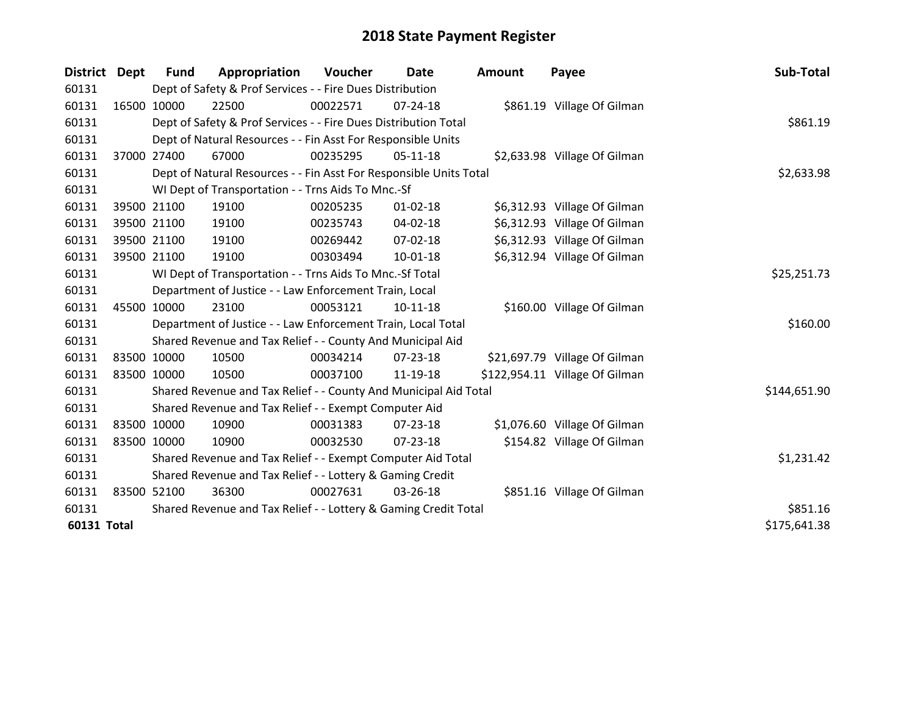| District Dept      | <b>Fund</b>                                               | Appropriation                                                      | Voucher  | Date           | <b>Amount</b> | Payee                          | Sub-Total    |
|--------------------|-----------------------------------------------------------|--------------------------------------------------------------------|----------|----------------|---------------|--------------------------------|--------------|
| 60131              |                                                           | Dept of Safety & Prof Services - - Fire Dues Distribution          |          |                |               |                                |              |
| 60131              | 16500 10000                                               | 22500                                                              | 00022571 | $07 - 24 - 18$ |               | \$861.19 Village Of Gilman     |              |
| 60131              |                                                           | Dept of Safety & Prof Services - - Fire Dues Distribution Total    |          |                |               |                                | \$861.19     |
| 60131              |                                                           | Dept of Natural Resources - - Fin Asst For Responsible Units       |          |                |               |                                |              |
| 60131              | 37000 27400                                               | 67000                                                              | 00235295 | $05-11-18$     |               | \$2,633.98 Village Of Gilman   |              |
| 60131              |                                                           | Dept of Natural Resources - - Fin Asst For Responsible Units Total |          |                |               |                                | \$2,633.98   |
| 60131              |                                                           | WI Dept of Transportation - - Trns Aids To Mnc.-Sf                 |          |                |               |                                |              |
| 60131              | 39500 21100                                               | 19100                                                              | 00205235 | $01 - 02 - 18$ |               | \$6,312.93 Village Of Gilman   |              |
| 60131              | 39500 21100                                               | 19100                                                              | 00235743 | $04 - 02 - 18$ |               | \$6,312.93 Village Of Gilman   |              |
| 60131              | 39500 21100                                               | 19100                                                              | 00269442 | $07 - 02 - 18$ |               | \$6,312.93 Village Of Gilman   |              |
| 60131              | 39500 21100                                               | 19100                                                              | 00303494 | $10 - 01 - 18$ |               | \$6,312.94 Village Of Gilman   |              |
| 60131              |                                                           | WI Dept of Transportation - - Trns Aids To Mnc.-Sf Total           |          |                |               |                                | \$25,251.73  |
| 60131              |                                                           | Department of Justice - - Law Enforcement Train, Local             |          |                |               |                                |              |
| 60131              | 45500 10000                                               | 23100                                                              | 00053121 | $10-11-18$     |               | \$160.00 Village Of Gilman     |              |
| 60131              |                                                           | Department of Justice - - Law Enforcement Train, Local Total       |          |                |               |                                | \$160.00     |
| 60131              |                                                           | Shared Revenue and Tax Relief - - County And Municipal Aid         |          |                |               |                                |              |
| 60131              | 83500 10000                                               | 10500                                                              | 00034214 | $07 - 23 - 18$ |               | \$21,697.79 Village Of Gilman  |              |
| 60131              | 83500 10000                                               | 10500                                                              | 00037100 | 11-19-18       |               | \$122,954.11 Village Of Gilman |              |
| 60131              |                                                           | Shared Revenue and Tax Relief - - County And Municipal Aid Total   |          |                |               |                                | \$144,651.90 |
| 60131              |                                                           | Shared Revenue and Tax Relief - - Exempt Computer Aid              |          |                |               |                                |              |
| 60131              | 83500 10000                                               | 10900                                                              | 00031383 | $07 - 23 - 18$ |               | \$1,076.60 Village Of Gilman   |              |
| 60131              | 83500 10000                                               | 10900                                                              | 00032530 | $07 - 23 - 18$ |               | \$154.82 Village Of Gilman     |              |
| 60131              |                                                           | Shared Revenue and Tax Relief - - Exempt Computer Aid Total        |          |                |               |                                | \$1,231.42   |
| 60131              | Shared Revenue and Tax Relief - - Lottery & Gaming Credit |                                                                    |          |                |               |                                |              |
| 60131              | 83500 52100                                               | 36300                                                              | 00027631 | 03-26-18       |               | \$851.16 Village Of Gilman     |              |
| 60131              |                                                           | Shared Revenue and Tax Relief - - Lottery & Gaming Credit Total    | \$851.16 |                |               |                                |              |
| <b>60131 Total</b> |                                                           |                                                                    |          |                |               |                                | \$175,641.38 |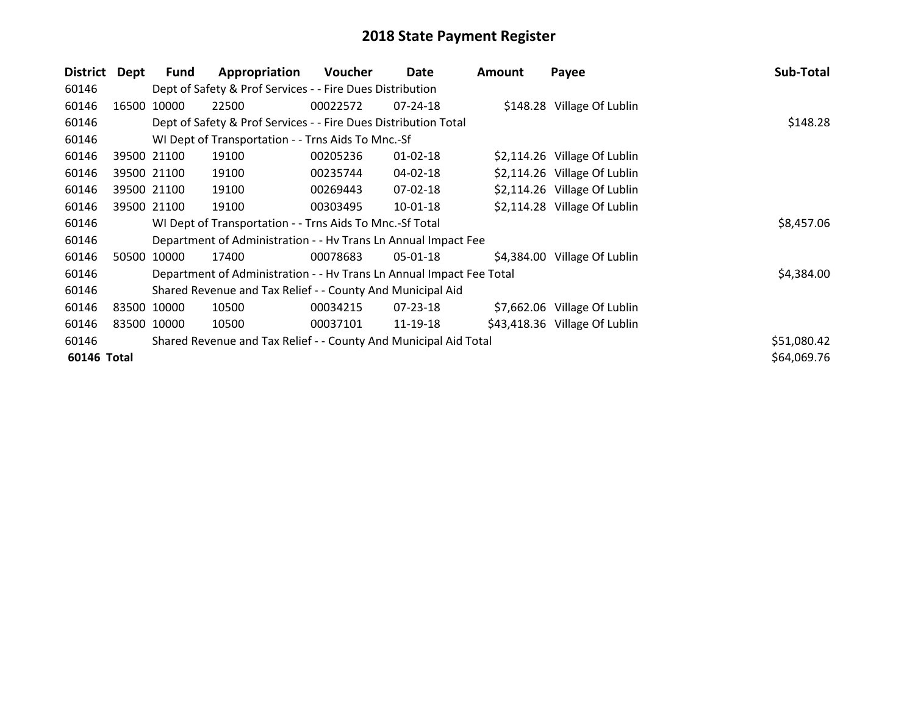| <b>District</b> | <b>Dept</b> | Fund        | Appropriation                                                        | Voucher  | Date           | <b>Amount</b> | Payee                         | Sub-Total   |
|-----------------|-------------|-------------|----------------------------------------------------------------------|----------|----------------|---------------|-------------------------------|-------------|
| 60146           |             |             | Dept of Safety & Prof Services - - Fire Dues Distribution            |          |                |               |                               |             |
| 60146           | 16500       | 10000       | 22500                                                                | 00022572 | 07-24-18       |               | \$148.28 Village Of Lublin    |             |
| 60146           |             |             | Dept of Safety & Prof Services - - Fire Dues Distribution Total      |          |                |               |                               | \$148.28    |
| 60146           |             |             | WI Dept of Transportation - - Trns Aids To Mnc.-Sf                   |          |                |               |                               |             |
| 60146           |             | 39500 21100 | 19100                                                                | 00205236 | $01 - 02 - 18$ |               | \$2,114.26 Village Of Lublin  |             |
| 60146           |             | 39500 21100 | 19100                                                                | 00235744 | 04-02-18       |               | \$2,114.26 Village Of Lublin  |             |
| 60146           |             | 39500 21100 | 19100                                                                | 00269443 | 07-02-18       |               | \$2,114.26 Village Of Lublin  |             |
| 60146           |             | 39500 21100 | 19100                                                                | 00303495 | 10-01-18       |               | \$2,114.28 Village Of Lublin  |             |
| 60146           |             |             | WI Dept of Transportation - - Trns Aids To Mnc.-Sf Total             |          |                |               |                               | \$8,457.06  |
| 60146           |             |             | Department of Administration - - Hy Trans Ln Annual Impact Fee       |          |                |               |                               |             |
| 60146           |             | 50500 10000 | 17400                                                                | 00078683 | 05-01-18       |               | \$4,384.00 Village Of Lublin  |             |
| 60146           |             |             | Department of Administration - - Hv Trans Ln Annual Impact Fee Total |          |                |               |                               | \$4,384.00  |
| 60146           |             |             | Shared Revenue and Tax Relief - - County And Municipal Aid           |          |                |               |                               |             |
| 60146           | 83500 10000 |             | 10500                                                                | 00034215 | $07 - 23 - 18$ |               | \$7,662.06 Village Of Lublin  |             |
| 60146           | 83500 10000 |             | 10500                                                                | 00037101 | 11-19-18       |               | \$43,418.36 Village Of Lublin |             |
| 60146           |             |             | Shared Revenue and Tax Relief - - County And Municipal Aid Total     |          |                |               |                               | \$51,080.42 |
| 60146 Total     |             |             |                                                                      |          |                |               |                               | \$64,069.76 |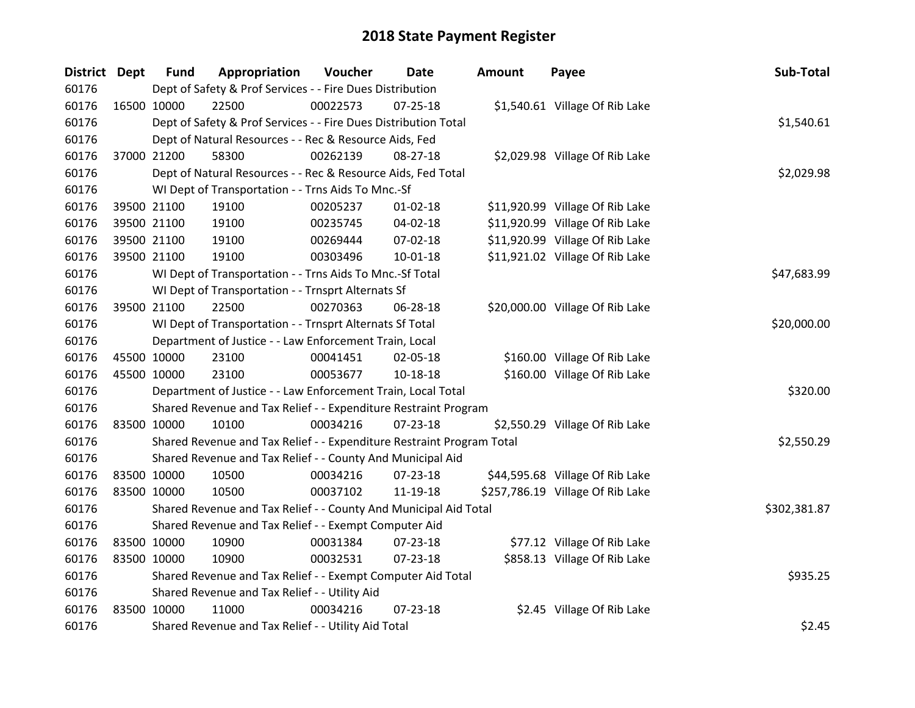| <b>District Dept</b> | <b>Fund</b> | Appropriation                                                         | Voucher  | <b>Date</b>    | <b>Amount</b> | Payee                            | Sub-Total    |
|----------------------|-------------|-----------------------------------------------------------------------|----------|----------------|---------------|----------------------------------|--------------|
| 60176                |             | Dept of Safety & Prof Services - - Fire Dues Distribution             |          |                |               |                                  |              |
| 60176                | 16500 10000 | 22500                                                                 | 00022573 | $07 - 25 - 18$ |               | \$1,540.61 Village Of Rib Lake   |              |
| 60176                |             | Dept of Safety & Prof Services - - Fire Dues Distribution Total       |          |                |               |                                  | \$1,540.61   |
| 60176                |             | Dept of Natural Resources - - Rec & Resource Aids, Fed                |          |                |               |                                  |              |
| 60176                | 37000 21200 | 58300                                                                 | 00262139 | 08-27-18       |               | \$2,029.98 Village Of Rib Lake   |              |
| 60176                |             | Dept of Natural Resources - - Rec & Resource Aids, Fed Total          |          |                |               |                                  | \$2,029.98   |
| 60176                |             | WI Dept of Transportation - - Trns Aids To Mnc.-Sf                    |          |                |               |                                  |              |
| 60176                | 39500 21100 | 19100                                                                 | 00205237 | $01 - 02 - 18$ |               | \$11,920.99 Village Of Rib Lake  |              |
| 60176                | 39500 21100 | 19100                                                                 | 00235745 | 04-02-18       |               | \$11,920.99 Village Of Rib Lake  |              |
| 60176                | 39500 21100 | 19100                                                                 | 00269444 | 07-02-18       |               | \$11,920.99 Village Of Rib Lake  |              |
| 60176                | 39500 21100 | 19100                                                                 | 00303496 | $10 - 01 - 18$ |               | \$11,921.02 Village Of Rib Lake  |              |
| 60176                |             | WI Dept of Transportation - - Trns Aids To Mnc.-Sf Total              |          |                |               |                                  | \$47,683.99  |
| 60176                |             | WI Dept of Transportation - - Trnsprt Alternats Sf                    |          |                |               |                                  |              |
| 60176                | 39500 21100 | 22500                                                                 | 00270363 | 06-28-18       |               | \$20,000.00 Village Of Rib Lake  |              |
| 60176                |             | WI Dept of Transportation - - Trnsprt Alternats Sf Total              |          |                |               |                                  | \$20,000.00  |
| 60176                |             | Department of Justice - - Law Enforcement Train, Local                |          |                |               |                                  |              |
| 60176                | 45500 10000 | 23100                                                                 | 00041451 | 02-05-18       |               | \$160.00 Village Of Rib Lake     |              |
| 60176                | 45500 10000 | 23100                                                                 | 00053677 | 10-18-18       |               | \$160.00 Village Of Rib Lake     |              |
| 60176                |             | Department of Justice - - Law Enforcement Train, Local Total          |          |                |               |                                  | \$320.00     |
| 60176                |             | Shared Revenue and Tax Relief - - Expenditure Restraint Program       |          |                |               |                                  |              |
| 60176                | 83500 10000 | 10100                                                                 | 00034216 | 07-23-18       |               | \$2,550.29 Village Of Rib Lake   |              |
| 60176                |             | Shared Revenue and Tax Relief - - Expenditure Restraint Program Total |          |                |               |                                  | \$2,550.29   |
| 60176                |             | Shared Revenue and Tax Relief - - County And Municipal Aid            |          |                |               |                                  |              |
| 60176                | 83500 10000 | 10500                                                                 | 00034216 | 07-23-18       |               | \$44,595.68 Village Of Rib Lake  |              |
| 60176                | 83500 10000 | 10500                                                                 | 00037102 | 11-19-18       |               | \$257,786.19 Village Of Rib Lake |              |
| 60176                |             | Shared Revenue and Tax Relief - - County And Municipal Aid Total      |          |                |               |                                  | \$302,381.87 |
| 60176                |             | Shared Revenue and Tax Relief - - Exempt Computer Aid                 |          |                |               |                                  |              |
| 60176                | 83500 10000 | 10900                                                                 | 00031384 | 07-23-18       |               | \$77.12 Village Of Rib Lake      |              |
| 60176                | 83500 10000 | 10900                                                                 | 00032531 | 07-23-18       |               | \$858.13 Village Of Rib Lake     |              |
| 60176                |             | Shared Revenue and Tax Relief - - Exempt Computer Aid Total           |          |                |               |                                  | \$935.25     |
| 60176                |             | Shared Revenue and Tax Relief - - Utility Aid                         |          |                |               |                                  |              |
| 60176                | 83500 10000 | 11000                                                                 | 00034216 | $07 - 23 - 18$ |               | \$2.45 Village Of Rib Lake       |              |
| 60176                |             | Shared Revenue and Tax Relief - - Utility Aid Total                   |          |                |               |                                  | \$2.45       |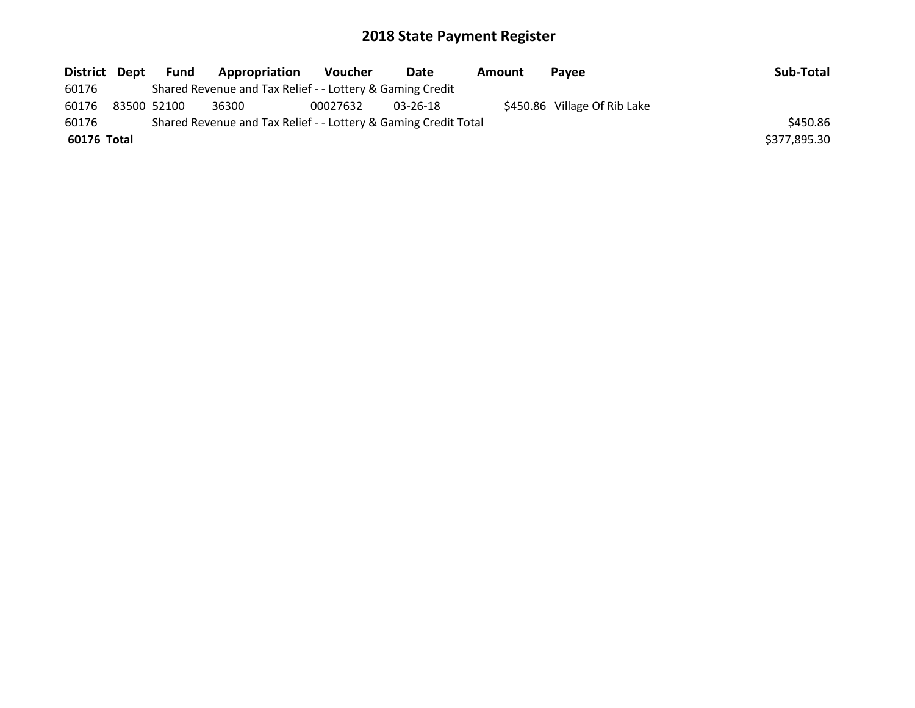| District Dept | Fund        | Appropriation                                                   | <b>Voucher</b> | Date     | Amount | <b>Pavee</b>                 | Sub-Total    |
|---------------|-------------|-----------------------------------------------------------------|----------------|----------|--------|------------------------------|--------------|
| 60176         |             | Shared Revenue and Tax Relief - - Lottery & Gaming Credit       |                |          |        |                              |              |
| 60176         | 83500 52100 | 36300                                                           | 00027632       | 03-26-18 |        | \$450.86 Village Of Rib Lake |              |
| 60176         |             | Shared Revenue and Tax Relief - - Lottery & Gaming Credit Total |                |          |        |                              | \$450.86     |
| 60176 Total   |             |                                                                 |                |          |        |                              | \$377,895.30 |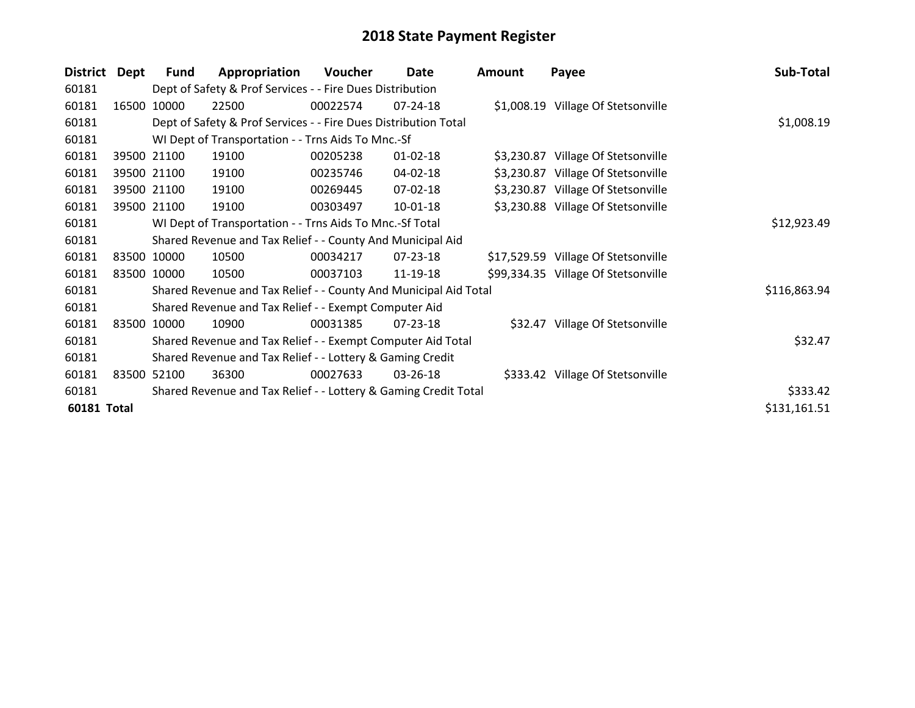| <b>District</b>    | Dept  | <b>Fund</b> | Appropriation                                                    | Voucher  | Date           | Amount | Payee                               | Sub-Total    |
|--------------------|-------|-------------|------------------------------------------------------------------|----------|----------------|--------|-------------------------------------|--------------|
| 60181              |       |             | Dept of Safety & Prof Services - - Fire Dues Distribution        |          |                |        |                                     |              |
| 60181              | 16500 | 10000       | 22500                                                            | 00022574 | 07-24-18       |        | \$1,008.19 Village Of Stetsonville  |              |
| 60181              |       |             | Dept of Safety & Prof Services - - Fire Dues Distribution Total  |          |                |        |                                     | \$1,008.19   |
| 60181              |       |             | WI Dept of Transportation - - Trns Aids To Mnc.-Sf               |          |                |        |                                     |              |
| 60181              |       | 39500 21100 | 19100                                                            | 00205238 | $01 - 02 - 18$ |        | \$3,230.87 Village Of Stetsonville  |              |
| 60181              |       | 39500 21100 | 19100                                                            | 00235746 | 04-02-18       |        | \$3,230.87 Village Of Stetsonville  |              |
| 60181              |       | 39500 21100 | 19100                                                            | 00269445 | 07-02-18       |        | \$3,230.87 Village Of Stetsonville  |              |
| 60181              |       | 39500 21100 | 19100                                                            | 00303497 | 10-01-18       |        | \$3,230.88 Village Of Stetsonville  |              |
| 60181              |       |             | WI Dept of Transportation - - Trns Aids To Mnc.-Sf Total         |          |                |        |                                     | \$12,923.49  |
| 60181              |       |             | Shared Revenue and Tax Relief - - County And Municipal Aid       |          |                |        |                                     |              |
| 60181              |       | 83500 10000 | 10500                                                            | 00034217 | 07-23-18       |        | \$17,529.59 Village Of Stetsonville |              |
| 60181              |       | 83500 10000 | 10500                                                            | 00037103 | 11-19-18       |        | \$99,334.35 Village Of Stetsonville |              |
| 60181              |       |             | Shared Revenue and Tax Relief - - County And Municipal Aid Total |          |                |        |                                     | \$116,863.94 |
| 60181              |       |             | Shared Revenue and Tax Relief - - Exempt Computer Aid            |          |                |        |                                     |              |
| 60181              | 83500 | 10000       | 10900                                                            | 00031385 | $07 - 23 - 18$ |        | \$32.47 Village Of Stetsonville     |              |
| 60181              |       |             | Shared Revenue and Tax Relief - - Exempt Computer Aid Total      |          |                |        |                                     | \$32.47      |
| 60181              |       |             | Shared Revenue and Tax Relief - - Lottery & Gaming Credit        |          |                |        |                                     |              |
| 60181              | 83500 | 52100       | 36300                                                            | 00027633 | 03-26-18       |        | \$333.42 Village Of Stetsonville    |              |
| 60181              |       |             | Shared Revenue and Tax Relief - - Lottery & Gaming Credit Total  |          |                |        |                                     | \$333.42     |
| <b>60181 Total</b> |       |             |                                                                  |          |                |        |                                     | \$131,161.51 |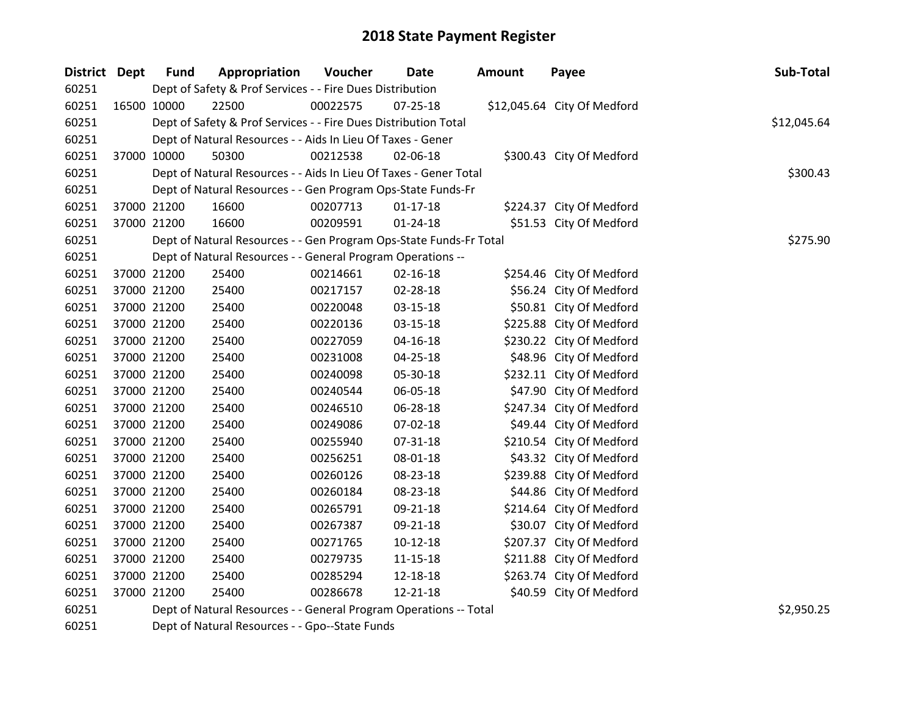| District Dept | <b>Fund</b> | Appropriation                                                      | Voucher  | <b>Date</b>    | <b>Amount</b> | Payee                       | Sub-Total   |
|---------------|-------------|--------------------------------------------------------------------|----------|----------------|---------------|-----------------------------|-------------|
| 60251         |             | Dept of Safety & Prof Services - - Fire Dues Distribution          |          |                |               |                             |             |
| 60251         | 16500 10000 | 22500                                                              | 00022575 | $07 - 25 - 18$ |               | \$12,045.64 City Of Medford |             |
| 60251         |             | Dept of Safety & Prof Services - - Fire Dues Distribution Total    |          |                |               |                             | \$12,045.64 |
| 60251         |             | Dept of Natural Resources - - Aids In Lieu Of Taxes - Gener        |          |                |               |                             |             |
| 60251         | 37000 10000 | 50300                                                              | 00212538 | 02-06-18       |               | \$300.43 City Of Medford    |             |
| 60251         |             | Dept of Natural Resources - - Aids In Lieu Of Taxes - Gener Total  |          |                |               |                             | \$300.43    |
| 60251         |             | Dept of Natural Resources - - Gen Program Ops-State Funds-Fr       |          |                |               |                             |             |
| 60251         | 37000 21200 | 16600                                                              | 00207713 | $01-17-18$     |               | \$224.37 City Of Medford    |             |
| 60251         | 37000 21200 | 16600                                                              | 00209591 | $01 - 24 - 18$ |               | \$51.53 City Of Medford     |             |
| 60251         |             | Dept of Natural Resources - - Gen Program Ops-State Funds-Fr Total |          |                |               |                             | \$275.90    |
| 60251         |             | Dept of Natural Resources - - General Program Operations --        |          |                |               |                             |             |
| 60251         | 37000 21200 | 25400                                                              | 00214661 | $02 - 16 - 18$ |               | \$254.46 City Of Medford    |             |
| 60251         | 37000 21200 | 25400                                                              | 00217157 | 02-28-18       |               | \$56.24 City Of Medford     |             |
| 60251         | 37000 21200 | 25400                                                              | 00220048 | 03-15-18       |               | \$50.81 City Of Medford     |             |
| 60251         | 37000 21200 | 25400                                                              | 00220136 | 03-15-18       |               | \$225.88 City Of Medford    |             |
| 60251         | 37000 21200 | 25400                                                              | 00227059 | $04 - 16 - 18$ |               | \$230.22 City Of Medford    |             |
| 60251         | 37000 21200 | 25400                                                              | 00231008 | $04 - 25 - 18$ |               | \$48.96 City Of Medford     |             |
| 60251         | 37000 21200 | 25400                                                              | 00240098 | 05-30-18       |               | \$232.11 City Of Medford    |             |
| 60251         | 37000 21200 | 25400                                                              | 00240544 | 06-05-18       |               | \$47.90 City Of Medford     |             |
| 60251         | 37000 21200 | 25400                                                              | 00246510 | 06-28-18       |               | \$247.34 City Of Medford    |             |
| 60251         | 37000 21200 | 25400                                                              | 00249086 | $07 - 02 - 18$ |               | \$49.44 City Of Medford     |             |
| 60251         | 37000 21200 | 25400                                                              | 00255940 | 07-31-18       |               | \$210.54 City Of Medford    |             |
| 60251         | 37000 21200 | 25400                                                              | 00256251 | 08-01-18       |               | \$43.32 City Of Medford     |             |
| 60251         | 37000 21200 | 25400                                                              | 00260126 | 08-23-18       |               | \$239.88 City Of Medford    |             |
| 60251         | 37000 21200 | 25400                                                              | 00260184 | 08-23-18       |               | \$44.86 City Of Medford     |             |
| 60251         | 37000 21200 | 25400                                                              | 00265791 | 09-21-18       |               | \$214.64 City Of Medford    |             |
| 60251         | 37000 21200 | 25400                                                              | 00267387 | 09-21-18       |               | \$30.07 City Of Medford     |             |
| 60251         | 37000 21200 | 25400                                                              | 00271765 | $10 - 12 - 18$ |               | \$207.37 City Of Medford    |             |
| 60251         | 37000 21200 | 25400                                                              | 00279735 | 11-15-18       |               | \$211.88 City Of Medford    |             |
| 60251         | 37000 21200 | 25400                                                              | 00285294 | 12-18-18       |               | \$263.74 City Of Medford    |             |
| 60251         | 37000 21200 | 25400                                                              | 00286678 | 12-21-18       |               | \$40.59 City Of Medford     |             |

Dept of Natural Resources - - General Program Operations -- Total \$2,950.25

Dept of Natural Resources - - Gpo--State Funds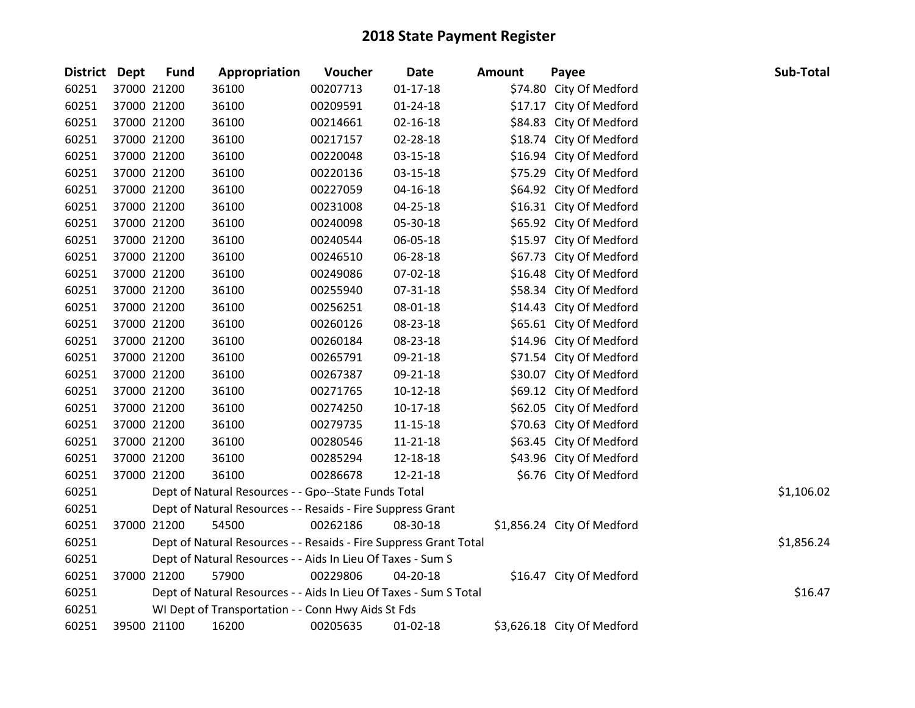| District Dept | <b>Fund</b> | Appropriation                                                     | Voucher  | <b>Date</b>    | <b>Amount</b> | Payee                      | Sub-Total  |
|---------------|-------------|-------------------------------------------------------------------|----------|----------------|---------------|----------------------------|------------|
| 60251         | 37000 21200 | 36100                                                             | 00207713 | $01 - 17 - 18$ |               | \$74.80 City Of Medford    |            |
| 60251         | 37000 21200 | 36100                                                             | 00209591 | $01 - 24 - 18$ |               | \$17.17 City Of Medford    |            |
| 60251         | 37000 21200 | 36100                                                             | 00214661 | $02 - 16 - 18$ |               | \$84.83 City Of Medford    |            |
| 60251         | 37000 21200 | 36100                                                             | 00217157 | 02-28-18       |               | \$18.74 City Of Medford    |            |
| 60251         | 37000 21200 | 36100                                                             | 00220048 | 03-15-18       |               | \$16.94 City Of Medford    |            |
| 60251         | 37000 21200 | 36100                                                             | 00220136 | $03 - 15 - 18$ |               | \$75.29 City Of Medford    |            |
| 60251         | 37000 21200 | 36100                                                             | 00227059 | $04 - 16 - 18$ |               | \$64.92 City Of Medford    |            |
| 60251         | 37000 21200 | 36100                                                             | 00231008 | 04-25-18       |               | \$16.31 City Of Medford    |            |
| 60251         | 37000 21200 | 36100                                                             | 00240098 | 05-30-18       |               | \$65.92 City Of Medford    |            |
| 60251         | 37000 21200 | 36100                                                             | 00240544 | 06-05-18       |               | \$15.97 City Of Medford    |            |
| 60251         | 37000 21200 | 36100                                                             | 00246510 | 06-28-18       |               | \$67.73 City Of Medford    |            |
| 60251         | 37000 21200 | 36100                                                             | 00249086 | 07-02-18       |               | \$16.48 City Of Medford    |            |
| 60251         | 37000 21200 | 36100                                                             | 00255940 | 07-31-18       |               | \$58.34 City Of Medford    |            |
| 60251         | 37000 21200 | 36100                                                             | 00256251 | 08-01-18       |               | \$14.43 City Of Medford    |            |
| 60251         | 37000 21200 | 36100                                                             | 00260126 | 08-23-18       |               | \$65.61 City Of Medford    |            |
| 60251         | 37000 21200 | 36100                                                             | 00260184 | 08-23-18       |               | \$14.96 City Of Medford    |            |
| 60251         | 37000 21200 | 36100                                                             | 00265791 | 09-21-18       |               | \$71.54 City Of Medford    |            |
| 60251         | 37000 21200 | 36100                                                             | 00267387 | 09-21-18       |               | \$30.07 City Of Medford    |            |
| 60251         | 37000 21200 | 36100                                                             | 00271765 | $10-12-18$     |               | \$69.12 City Of Medford    |            |
| 60251         | 37000 21200 | 36100                                                             | 00274250 | $10-17-18$     |               | \$62.05 City Of Medford    |            |
| 60251         | 37000 21200 | 36100                                                             | 00279735 | $11 - 15 - 18$ |               | \$70.63 City Of Medford    |            |
| 60251         | 37000 21200 | 36100                                                             | 00280546 | 11-21-18       |               | \$63.45 City Of Medford    |            |
| 60251         | 37000 21200 | 36100                                                             | 00285294 | 12-18-18       |               | \$43.96 City Of Medford    |            |
| 60251         | 37000 21200 | 36100                                                             | 00286678 | 12-21-18       |               | \$6.76 City Of Medford     |            |
| 60251         |             | Dept of Natural Resources - - Gpo--State Funds Total              |          |                |               |                            | \$1,106.02 |
| 60251         |             | Dept of Natural Resources - - Resaids - Fire Suppress Grant       |          |                |               |                            |            |
| 60251         | 37000 21200 | 54500                                                             | 00262186 | 08-30-18       |               | \$1,856.24 City Of Medford |            |
| 60251         |             | Dept of Natural Resources - - Resaids - Fire Suppress Grant Total |          |                |               |                            | \$1,856.24 |
| 60251         |             | Dept of Natural Resources - - Aids In Lieu Of Taxes - Sum S       |          |                |               |                            |            |
| 60251         | 37000 21200 | 57900                                                             | 00229806 | 04-20-18       |               | \$16.47 City Of Medford    |            |
| 60251         |             | Dept of Natural Resources - - Aids In Lieu Of Taxes - Sum S Total |          |                |               |                            | \$16.47    |
| 60251         |             | WI Dept of Transportation - - Conn Hwy Aids St Fds                |          |                |               |                            |            |
| 60251         | 39500 21100 | 16200                                                             | 00205635 | $01 - 02 - 18$ |               | \$3,626.18 City Of Medford |            |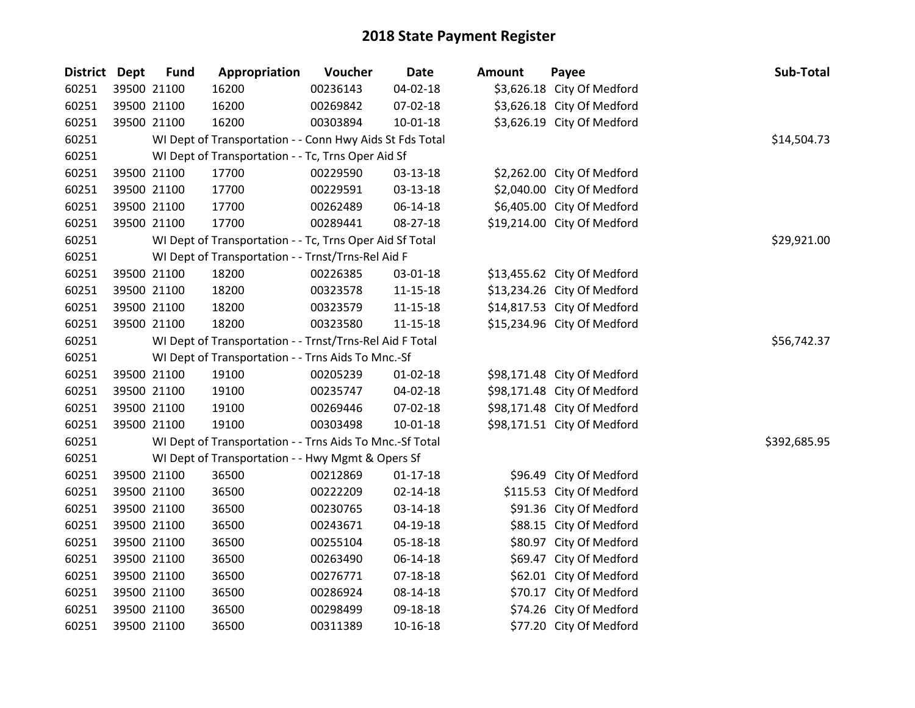| <b>District</b> | <b>Dept</b> | <b>Fund</b> | Appropriation                                            | Voucher  | <b>Date</b>    | <b>Amount</b> | Payee                       | Sub-Total    |
|-----------------|-------------|-------------|----------------------------------------------------------|----------|----------------|---------------|-----------------------------|--------------|
| 60251           |             | 39500 21100 | 16200                                                    | 00236143 | 04-02-18       |               | \$3,626.18 City Of Medford  |              |
| 60251           |             | 39500 21100 | 16200                                                    | 00269842 | 07-02-18       |               | \$3,626.18 City Of Medford  |              |
| 60251           |             | 39500 21100 | 16200                                                    | 00303894 | $10 - 01 - 18$ |               | \$3,626.19 City Of Medford  |              |
| 60251           |             |             | WI Dept of Transportation - - Conn Hwy Aids St Fds Total |          |                |               |                             | \$14,504.73  |
| 60251           |             |             | WI Dept of Transportation - - Tc, Trns Oper Aid Sf       |          |                |               |                             |              |
| 60251           |             | 39500 21100 | 17700                                                    | 00229590 | 03-13-18       |               | \$2,262.00 City Of Medford  |              |
| 60251           |             | 39500 21100 | 17700                                                    | 00229591 | 03-13-18       |               | \$2,040.00 City Of Medford  |              |
| 60251           |             | 39500 21100 | 17700                                                    | 00262489 | 06-14-18       |               | \$6,405.00 City Of Medford  |              |
| 60251           |             | 39500 21100 | 17700                                                    | 00289441 | 08-27-18       |               | \$19,214.00 City Of Medford |              |
| 60251           |             |             | WI Dept of Transportation - - Tc, Trns Oper Aid Sf Total |          |                |               |                             | \$29,921.00  |
| 60251           |             |             | WI Dept of Transportation - - Trnst/Trns-Rel Aid F       |          |                |               |                             |              |
| 60251           |             | 39500 21100 | 18200                                                    | 00226385 | 03-01-18       |               | \$13,455.62 City Of Medford |              |
| 60251           |             | 39500 21100 | 18200                                                    | 00323578 | 11-15-18       |               | \$13,234.26 City Of Medford |              |
| 60251           |             | 39500 21100 | 18200                                                    | 00323579 | $11 - 15 - 18$ |               | \$14,817.53 City Of Medford |              |
| 60251           |             | 39500 21100 | 18200                                                    | 00323580 | $11 - 15 - 18$ |               | \$15,234.96 City Of Medford |              |
| 60251           |             |             | WI Dept of Transportation - - Trnst/Trns-Rel Aid F Total |          |                |               |                             | \$56,742.37  |
| 60251           |             |             | WI Dept of Transportation - - Trns Aids To Mnc.-Sf       |          |                |               |                             |              |
| 60251           |             | 39500 21100 | 19100                                                    | 00205239 | $01 - 02 - 18$ |               | \$98,171.48 City Of Medford |              |
| 60251           |             | 39500 21100 | 19100                                                    | 00235747 | 04-02-18       |               | \$98,171.48 City Of Medford |              |
| 60251           |             | 39500 21100 | 19100                                                    | 00269446 | 07-02-18       |               | \$98,171.48 City Of Medford |              |
| 60251           |             | 39500 21100 | 19100                                                    | 00303498 | 10-01-18       |               | \$98,171.51 City Of Medford |              |
| 60251           |             |             | WI Dept of Transportation - - Trns Aids To Mnc.-Sf Total |          |                |               |                             | \$392,685.95 |
| 60251           |             |             | WI Dept of Transportation - - Hwy Mgmt & Opers Sf        |          |                |               |                             |              |
| 60251           |             | 39500 21100 | 36500                                                    | 00212869 | $01 - 17 - 18$ |               | \$96.49 City Of Medford     |              |
| 60251           |             | 39500 21100 | 36500                                                    | 00222209 | $02 - 14 - 18$ |               | \$115.53 City Of Medford    |              |
| 60251           |             | 39500 21100 | 36500                                                    | 00230765 | 03-14-18       |               | \$91.36 City Of Medford     |              |
| 60251           |             | 39500 21100 | 36500                                                    | 00243671 | 04-19-18       |               | \$88.15 City Of Medford     |              |
| 60251           |             | 39500 21100 | 36500                                                    | 00255104 | 05-18-18       |               | \$80.97 City Of Medford     |              |
| 60251           |             | 39500 21100 | 36500                                                    | 00263490 | 06-14-18       |               | \$69.47 City Of Medford     |              |
| 60251           |             | 39500 21100 | 36500                                                    | 00276771 | 07-18-18       |               | \$62.01 City Of Medford     |              |
| 60251           |             | 39500 21100 | 36500                                                    | 00286924 | 08-14-18       |               | \$70.17 City Of Medford     |              |
| 60251           |             | 39500 21100 | 36500                                                    | 00298499 | 09-18-18       |               | \$74.26 City Of Medford     |              |
| 60251           |             | 39500 21100 | 36500                                                    | 00311389 | $10-16-18$     |               | \$77.20 City Of Medford     |              |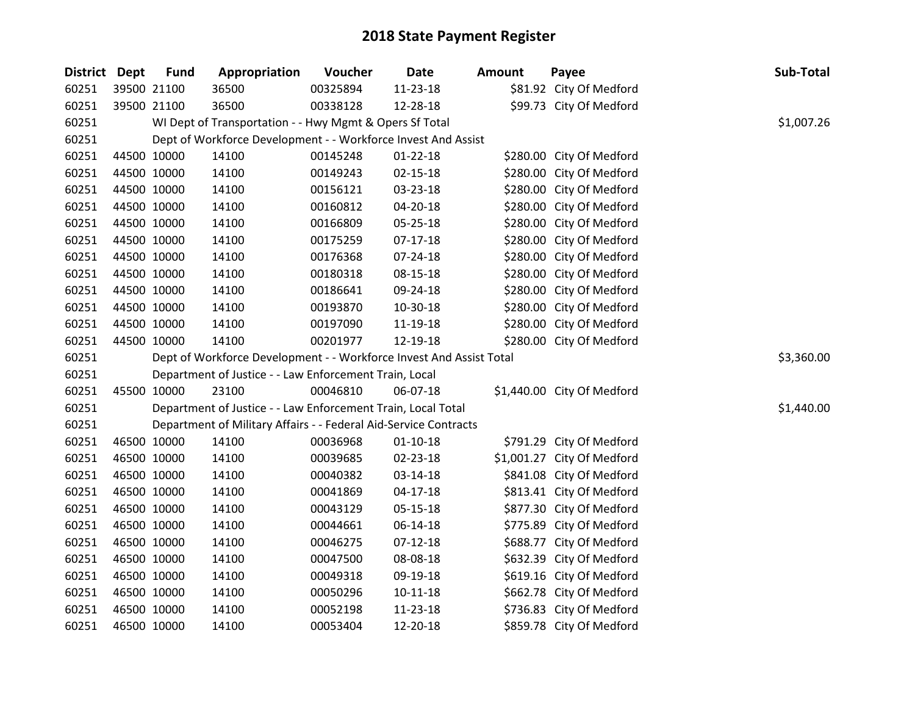| District Dept |             | <b>Fund</b> | Appropriation                                                       | Voucher  | <b>Date</b>    | Amount | Payee                      | Sub-Total  |
|---------------|-------------|-------------|---------------------------------------------------------------------|----------|----------------|--------|----------------------------|------------|
| 60251         |             | 39500 21100 | 36500                                                               | 00325894 | 11-23-18       |        | \$81.92 City Of Medford    |            |
| 60251         |             | 39500 21100 | 36500                                                               | 00338128 | 12-28-18       |        | \$99.73 City Of Medford    |            |
| 60251         |             |             | WI Dept of Transportation - - Hwy Mgmt & Opers Sf Total             |          |                |        |                            | \$1,007.26 |
| 60251         |             |             | Dept of Workforce Development - - Workforce Invest And Assist       |          |                |        |                            |            |
| 60251         |             | 44500 10000 | 14100                                                               | 00145248 | $01 - 22 - 18$ |        | \$280.00 City Of Medford   |            |
| 60251         |             | 44500 10000 | 14100                                                               | 00149243 | $02 - 15 - 18$ |        | \$280.00 City Of Medford   |            |
| 60251         |             | 44500 10000 | 14100                                                               | 00156121 | 03-23-18       |        | \$280.00 City Of Medford   |            |
| 60251         |             | 44500 10000 | 14100                                                               | 00160812 | 04-20-18       |        | \$280.00 City Of Medford   |            |
| 60251         |             | 44500 10000 | 14100                                                               | 00166809 | 05-25-18       |        | \$280.00 City Of Medford   |            |
| 60251         |             | 44500 10000 | 14100                                                               | 00175259 | $07-17-18$     |        | \$280.00 City Of Medford   |            |
| 60251         |             | 44500 10000 | 14100                                                               | 00176368 | 07-24-18       |        | \$280.00 City Of Medford   |            |
| 60251         |             | 44500 10000 | 14100                                                               | 00180318 | 08-15-18       |        | \$280.00 City Of Medford   |            |
| 60251         |             | 44500 10000 | 14100                                                               | 00186641 | 09-24-18       |        | \$280.00 City Of Medford   |            |
| 60251         |             | 44500 10000 | 14100                                                               | 00193870 | 10-30-18       |        | \$280.00 City Of Medford   |            |
| 60251         |             | 44500 10000 | 14100                                                               | 00197090 | 11-19-18       |        | \$280.00 City Of Medford   |            |
| 60251         |             | 44500 10000 | 14100                                                               | 00201977 | 12-19-18       |        | \$280.00 City Of Medford   |            |
| 60251         |             |             | Dept of Workforce Development - - Workforce Invest And Assist Total |          |                |        |                            | \$3,360.00 |
| 60251         |             |             | Department of Justice - - Law Enforcement Train, Local              |          |                |        |                            |            |
| 60251         |             | 45500 10000 | 23100                                                               | 00046810 | 06-07-18       |        | \$1,440.00 City Of Medford |            |
| 60251         |             |             | Department of Justice - - Law Enforcement Train, Local Total        |          |                |        |                            | \$1,440.00 |
| 60251         |             |             | Department of Military Affairs - - Federal Aid-Service Contracts    |          |                |        |                            |            |
| 60251         |             | 46500 10000 | 14100                                                               | 00036968 | $01-10-18$     |        | \$791.29 City Of Medford   |            |
| 60251         |             | 46500 10000 | 14100                                                               | 00039685 | 02-23-18       |        | \$1,001.27 City Of Medford |            |
| 60251         |             | 46500 10000 | 14100                                                               | 00040382 | 03-14-18       |        | \$841.08 City Of Medford   |            |
| 60251         |             | 46500 10000 | 14100                                                               | 00041869 | $04 - 17 - 18$ |        | \$813.41 City Of Medford   |            |
| 60251         |             | 46500 10000 | 14100                                                               | 00043129 | 05-15-18       |        | \$877.30 City Of Medford   |            |
| 60251         |             | 46500 10000 | 14100                                                               | 00044661 | 06-14-18       |        | \$775.89 City Of Medford   |            |
| 60251         |             | 46500 10000 | 14100                                                               | 00046275 | $07 - 12 - 18$ |        | \$688.77 City Of Medford   |            |
| 60251         |             | 46500 10000 | 14100                                                               | 00047500 | 08-08-18       |        | \$632.39 City Of Medford   |            |
| 60251         |             | 46500 10000 | 14100                                                               | 00049318 | 09-19-18       |        | \$619.16 City Of Medford   |            |
| 60251         | 46500 10000 |             | 14100                                                               | 00050296 | $10-11-18$     |        | \$662.78 City Of Medford   |            |
| 60251         | 46500 10000 |             | 14100                                                               | 00052198 | 11-23-18       |        | \$736.83 City Of Medford   |            |
| 60251         | 46500 10000 |             | 14100                                                               | 00053404 | 12-20-18       |        | \$859.78 City Of Medford   |            |